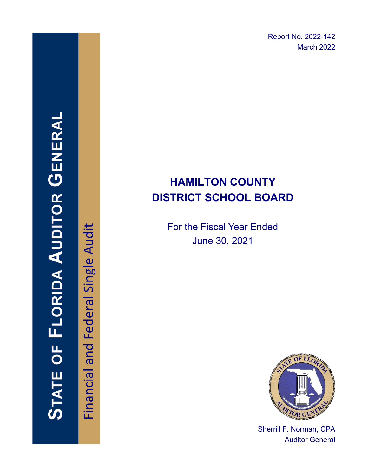Report No. 2022-142 March 2022

# **HAMILTON COUNTY DISTRICT SCHOOL BOARD**

For the Fiscal Year Ended June 30, 2021



Sherrill F. Norman, CPA Auditor General

Financial and Federal Single Audit Financial and Federal Single Audit

STATE OF FLORIDA AUDITOR GENERAI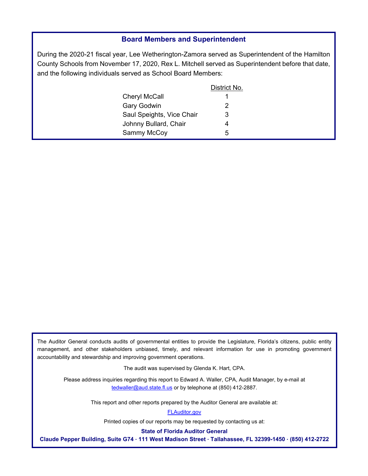### **Board Members and Superintendent**

During the 2020-21 fiscal year, Lee Wetherington-Zamora served as Superintendent of the Hamilton County Schools from November 17, 2020, Rex L. Mitchell served as Superintendent before that date, and the following individuals served as School Board Members:

|                           | District No. |  |
|---------------------------|--------------|--|
| Cheryl McCall             |              |  |
| <b>Gary Godwin</b>        | 2            |  |
| Saul Speights, Vice Chair | 3            |  |
| Johnny Bullard, Chair     | 4            |  |
| Sammy McCoy               | 5            |  |

The Auditor General conducts audits of governmental entities to provide the Legislature, Florida's citizens, public entity management, and other stakeholders unbiased, timely, and relevant information for use in promoting government accountability and stewardship and improving government operations.

The audit was supervised by Glenda K. Hart, CPA.

Please address inquiries regarding this report to Edward A. Waller, CPA, Audit Manager, by e-mail at tedwaller@aud.state.fl.us or by telephone at (850) 412-2887.

This report and other reports prepared by the Auditor General are available at:

[FLAuditor.gov](http://flauditor.gov/)

Printed copies of our reports may be requested by contacting us at:

**State of Florida Auditor General** 

**Claude Pepper Building, Suite G74 · 111 West Madison Street · Tallahassee, FL 32399-1450 · (850) 412-2722**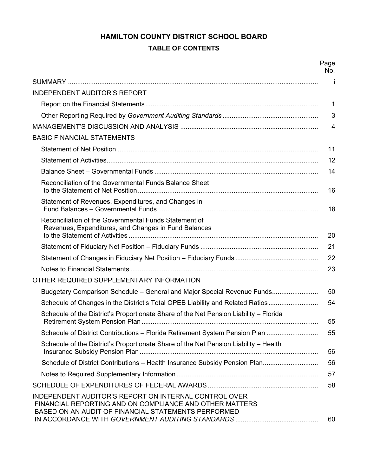# **HAMILTON COUNTY DISTRICT SCHOOL BOARD TABLE OF CONTENTS**

|                                                                                                                                                                         | Page<br>No.    |
|-------------------------------------------------------------------------------------------------------------------------------------------------------------------------|----------------|
|                                                                                                                                                                         | Ť              |
| <b>INDEPENDENT AUDITOR'S REPORT</b>                                                                                                                                     |                |
|                                                                                                                                                                         | 1              |
|                                                                                                                                                                         | 3              |
|                                                                                                                                                                         | $\overline{4}$ |
| <b>BASIC FINANCIAL STATEMENTS</b>                                                                                                                                       |                |
|                                                                                                                                                                         | 11             |
|                                                                                                                                                                         | 12             |
|                                                                                                                                                                         | 14             |
| Reconciliation of the Governmental Funds Balance Sheet                                                                                                                  | 16             |
| Statement of Revenues, Expenditures, and Changes in                                                                                                                     | 18             |
| Reconciliation of the Governmental Funds Statement of<br>Revenues, Expenditures, and Changes in Fund Balances                                                           | 20             |
|                                                                                                                                                                         | 21             |
|                                                                                                                                                                         | 22             |
|                                                                                                                                                                         | 23             |
| OTHER REQUIRED SUPPLEMENTARY INFORMATION                                                                                                                                |                |
| Budgetary Comparison Schedule – General and Major Special Revenue Funds                                                                                                 | 50             |
| Schedule of Changes in the District's Total OPEB Liability and Related Ratios                                                                                           | 54             |
| Schedule of the District's Proportionate Share of the Net Pension Liability - Florida                                                                                   | 55             |
| Schedule of District Contributions - Florida Retirement System Pension Plan                                                                                             | 55             |
| Schedule of the District's Proportionate Share of the Net Pension Liability - Health                                                                                    | 56             |
| Schedule of District Contributions - Health Insurance Subsidy Pension Plan                                                                                              | 56             |
|                                                                                                                                                                         | 57             |
|                                                                                                                                                                         | 58             |
| INDEPENDENT AUDITOR'S REPORT ON INTERNAL CONTROL OVER<br>FINANCIAL REPORTING AND ON COMPLIANCE AND OTHER MATTERS<br>BASED ON AN AUDIT OF FINANCIAL STATEMENTS PERFORMED | 60             |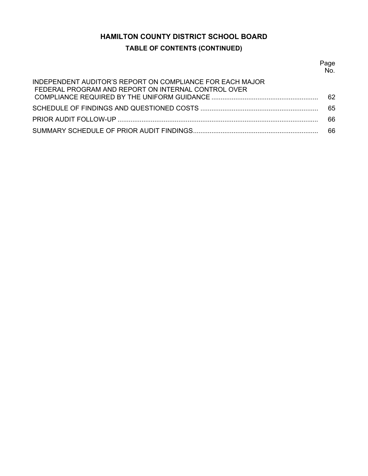## **HAMILTON COUNTY DISTRICT SCHOOL BOARD**

# **TABLE OF CONTENTS (CONTINUED)**

Page No.

| INDEPENDENT AUDITOR'S REPORT ON COMPLIANCE FOR EACH MAJOR |      |
|-----------------------------------------------------------|------|
| FEDERAL PROGRAM AND REPORT ON INTERNAL CONTROL OVER       |      |
|                                                           | -62. |
|                                                           |      |
|                                                           | -66  |
|                                                           |      |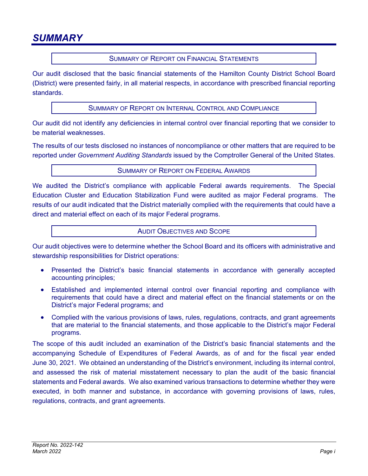### SUMMARY OF REPORT ON FINANCIAL STATEMENTS

<span id="page-4-0"></span>Our audit disclosed that the basic financial statements of the Hamilton County District School Board (District) were presented fairly, in all material respects, in accordance with prescribed financial reporting standards.

SUMMARY OF REPORT ON INTERNAL CONTROL AND COMPLIANCE

Our audit did not identify any deficiencies in internal control over financial reporting that we consider to be material weaknesses.

The results of our tests disclosed no instances of noncompliance or other matters that are required to be reported under *Government Auditing Standards* issued by the Comptroller General of the United States*.* 

### SUMMARY OF REPORT ON FEDERAL AWARDS

We audited the District's compliance with applicable Federal awards requirements. The Special Education Cluster and Education Stabilization Fund were audited as major Federal programs. The results of our audit indicated that the District materially complied with the requirements that could have a direct and material effect on each of its major Federal programs.

### AUDIT OBJECTIVES AND SCOPE

Our audit objectives were to determine whether the School Board and its officers with administrative and stewardship responsibilities for District operations:

- Presented the District's basic financial statements in accordance with generally accepted accounting principles;
- Established and implemented internal control over financial reporting and compliance with requirements that could have a direct and material effect on the financial statements or on the District's major Federal programs; and
- Complied with the various provisions of laws, rules, regulations, contracts, and grant agreements that are material to the financial statements, and those applicable to the District's major Federal programs.

The scope of this audit included an examination of the District's basic financial statements and the accompanying Schedule of Expenditures of Federal Awards, as of and for the fiscal year ended June 30, 2021. We obtained an understanding of the District's environment, including its internal control, and assessed the risk of material misstatement necessary to plan the audit of the basic financial statements and Federal awards. We also examined various transactions to determine whether they were executed, in both manner and substance, in accordance with governing provisions of laws, rules, regulations, contracts, and grant agreements.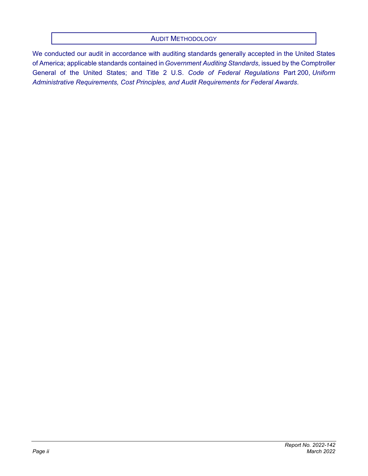### AUDIT METHODOLOGY

We conducted our audit in accordance with auditing standards generally accepted in the United States of America; applicable standards contained in *Government Auditing Standards*, issued by the Comptroller General of the United States; and Title 2 U.S. *Code of Federal Regulations* Part 200, *Uniform Administrative Requirements, Cost Principles, and Audit Requirements for Federal Awards*.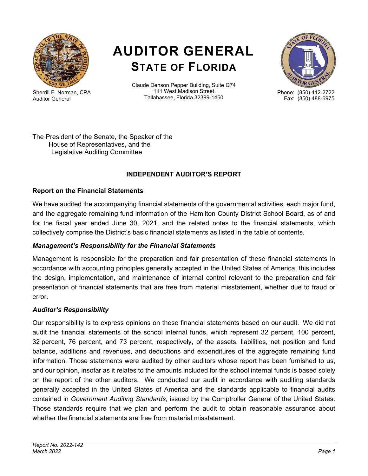<span id="page-6-0"></span>

Sherrill F. Norman, CPA Auditor General

# **AUDITOR GENERAL STATE OF FLORIDA**

Claude Denson Pepper Building, Suite G74 111 West Madison Street Tallahassee, Florida 32399-1450



Phone: (850) 412-2722 Fax: (850) 488-6975

The President of the Senate, the Speaker of the House of Representatives, and the Legislative Auditing Committee

### **INDEPENDENT AUDITOR'S REPORT**

### **Report on the Financial Statements**

We have audited the accompanying financial statements of the governmental activities, each major fund, and the aggregate remaining fund information of the Hamilton County District School Board, as of and for the fiscal year ended June 30, 2021, and the related notes to the financial statements, which collectively comprise the District's basic financial statements as listed in the table of contents.

### *Management's Responsibility for the Financial Statements*

Management is responsible for the preparation and fair presentation of these financial statements in accordance with accounting principles generally accepted in the United States of America; this includes the design, implementation, and maintenance of internal control relevant to the preparation and fair presentation of financial statements that are free from material misstatement, whether due to fraud or error.

### *Auditor's Responsibility*

Our responsibility is to express opinions on these financial statements based on our audit. We did not audit the financial statements of the school internal funds, which represent 32 percent, 100 percent, 32 percent, 76 percent, and 73 percent, respectively, of the assets, liabilities, net position and fund balance, additions and revenues, and deductions and expenditures of the aggregate remaining fund information. Those statements were audited by other auditors whose report has been furnished to us, and our opinion, insofar as it relates to the amounts included for the school internal funds is based solely on the report of the other auditors. We conducted our audit in accordance with auditing standards generally accepted in the United States of America and the standards applicable to financial audits contained in *Government Auditing Standards*, issued by the Comptroller General of the United States. Those standards require that we plan and perform the audit to obtain reasonable assurance about whether the financial statements are free from material misstatement.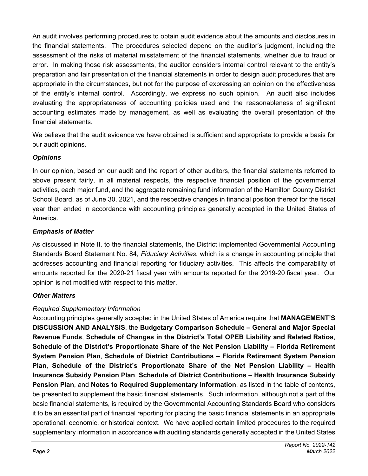An audit involves performing procedures to obtain audit evidence about the amounts and disclosures in the financial statements. The procedures selected depend on the auditor's judgment, including the assessment of the risks of material misstatement of the financial statements, whether due to fraud or error. In making those risk assessments, the auditor considers internal control relevant to the entity's preparation and fair presentation of the financial statements in order to design audit procedures that are appropriate in the circumstances, but not for the purpose of expressing an opinion on the effectiveness of the entity's internal control. Accordingly, we express no such opinion. An audit also includes evaluating the appropriateness of accounting policies used and the reasonableness of significant accounting estimates made by management, as well as evaluating the overall presentation of the financial statements.

We believe that the audit evidence we have obtained is sufficient and appropriate to provide a basis for our audit opinions.

### *Opinions*

In our opinion, based on our audit and the report of other auditors, the financial statements referred to above present fairly, in all material respects, the respective financial position of the governmental activities, each major fund, and the aggregate remaining fund information of the Hamilton County District School Board, as of June 30, 2021, and the respective changes in financial position thereof for the fiscal year then ended in accordance with accounting principles generally accepted in the United States of America.

### *Emphasis of Matter*

As discussed in Note II. to the financial statements, the District implemented Governmental Accounting Standards Board Statement No. 84, *Fiduciary Activities*, which is a change in accounting principle that addresses accounting and financial reporting for fiduciary activities. This affects the comparability of amounts reported for the 2020-21 fiscal year with amounts reported for the 2019-20 fiscal year. Our opinion is not modified with respect to this matter.

### *Other Matters*

### *Required Supplementary Information*

Accounting principles generally accepted in the United States of America require that **MANAGEMENT'S DISCUSSION AND ANALYSIS**, the **Budgetary Comparison Schedule – General and Major Special Revenue Funds**, **Schedule of Changes in the District's Total OPEB Liability and Related Ratios**, **Schedule of the District's Proportionate Share of the Net Pension Liability – Florida Retirement System Pension Plan**, **Schedule of District Contributions – Florida Retirement System Pension Plan**, **Schedule of the District's Proportionate Share of the Net Pension Liability – Health Insurance Subsidy Pension Plan**, **Schedule of District Contributions – Health Insurance Subsidy Pension Plan**, and **Notes to Required Supplementary Information**, as listed in the table of contents, be presented to supplement the basic financial statements. Such information, although not a part of the basic financial statements, is required by the Governmental Accounting Standards Board who considers it to be an essential part of financial reporting for placing the basic financial statements in an appropriate operational, economic, or historical context. We have applied certain limited procedures to the required supplementary information in accordance with auditing standards generally accepted in the United States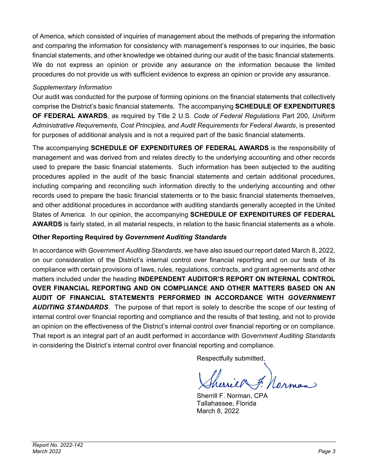<span id="page-8-0"></span>of America, which consisted of inquiries of management about the methods of preparing the information and comparing the information for consistency with management's responses to our inquiries, the basic financial statements, and other knowledge we obtained during our audit of the basic financial statements. We do not express an opinion or provide any assurance on the information because the limited procedures do not provide us with sufficient evidence to express an opinion or provide any assurance.

### *Supplementary Information*

Our audit was conducted for the purpose of forming opinions on the financial statements that collectively comprise the District's basic financial statements. The accompanying **SCHEDULE OF EXPENDITURES OF FEDERAL AWARDS**, as required by Title 2 U.S. *Code of Federal Regulations* Part 200, *Uniform Administrative Requirements, Cost Principles, and Audit Requirements for Federal Awards*, is presented for purposes of additional analysis and is not a required part of the basic financial statements.

The accompanying **SCHEDULE OF EXPENDITURES OF FEDERAL AWARDS** is the responsibility of management and was derived from and relates directly to the underlying accounting and other records used to prepare the basic financial statements. Such information has been subjected to the auditing procedures applied in the audit of the basic financial statements and certain additional procedures, including comparing and reconciling such information directly to the underlying accounting and other records used to prepare the basic financial statements or to the basic financial statements themselves, and other additional procedures in accordance with auditing standards generally accepted in the United States of America. In our opinion, the accompanying **SCHEDULE OF EXPENDITURES OF FEDERAL AWARDS** is fairly stated, in all material respects, in relation to the basic financial statements as a whole.

### **Other Reporting Required by** *Government Auditing Standards*

In accordance with *Government Auditing Standards*, we have also issued our report dated March 8, 2022, on our consideration of the District's internal control over financial reporting and on our tests of its compliance with certain provisions of laws, rules, regulations, contracts, and grant agreements and other matters included under the heading **INDEPENDENT AUDITOR'S REPORT ON INTERNAL CONTROL OVER FINANCIAL REPORTING AND ON COMPLIANCE AND OTHER MATTERS BASED ON AN AUDIT OF FINANCIAL STATEMENTS PERFORMED IN ACCORDANCE WITH** *GOVERNMENT AUDITING STANDARDS*. The purpose of that report is solely to describe the scope of our testing of internal control over financial reporting and compliance and the results of that testing, and not to provide an opinion on the effectiveness of the District's internal control over financial reporting or on compliance. That report is an integral part of an audit performed in accordance with *Government Auditing Standards* in considering the District's internal control over financial reporting and compliance.

Respectfully submitted,

Sherrill F. Norman, CPA Tallahassee, Florida March 8, 2022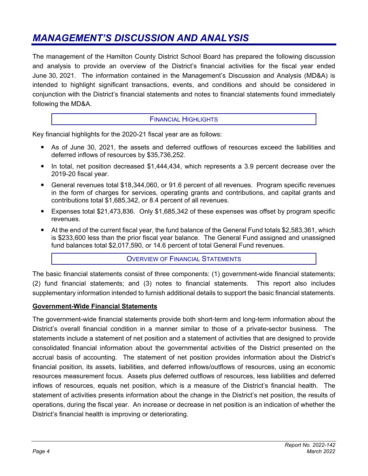# <span id="page-9-0"></span>*MANAGEMENT'S DISCUSSION AND ANALYSIS*

The management of the Hamilton County District School Board has prepared the following discussion and analysis to provide an overview of the District's financial activities for the fiscal year ended June 30, 2021. The information contained in the Management's Discussion and Analysis (MD&A) is intended to highlight significant transactions, events, and conditions and should be considered in conjunction with the District's financial statements and notes to financial statements found immediately following the MD&A.

### FINANCIAL HIGHLIGHTS

Key financial highlights for the 2020-21 fiscal year are as follows:

- As of June 30, 2021, the assets and deferred outflows of resources exceed the liabilities and deferred inflows of resources by \$35,736,252.
- In total, net position decreased \$1,444,434, which represents a 3.9 percent decrease over the 2019-20 fiscal year.
- General revenues total \$18,344,060, or 91.6 percent of all revenues. Program specific revenues in the form of charges for services, operating grants and contributions, and capital grants and contributions total \$1,685,342, or 8.4 percent of all revenues.
- Expenses total \$21,473,836. Only \$1,685,342 of these expenses was offset by program specific revenues.
- At the end of the current fiscal year, the fund balance of the General Fund totals \$2,583,361, which is \$233,600 less than the prior fiscal year balance. The General Fund assigned and unassigned fund balances total \$2,017,590, or 14.6 percent of total General Fund revenues.

### OVERVIEW OF FINANCIAL STATEMENTS

The basic financial statements consist of three components: (1) government-wide financial statements; (2) fund financial statements; and (3) notes to financial statements. This report also includes supplementary information intended to furnish additional details to support the basic financial statements.

### **Government-Wide Financial Statements**

The government-wide financial statements provide both short-term and long-term information about the District's overall financial condition in a manner similar to those of a private-sector business. The statements include a statement of net position and a statement of activities that are designed to provide consolidated financial information about the governmental activities of the District presented on the accrual basis of accounting. The statement of net position provides information about the District's financial position, its assets, liabilities, and deferred inflows/outflows of resources, using an economic resources measurement focus. Assets plus deferred outflows of resources, less liabilities and deferred inflows of resources, equals net position, which is a measure of the District's financial health. The statement of activities presents information about the change in the District's net position, the results of operations, during the fiscal year. An increase or decrease in net position is an indication of whether the District's financial health is improving or deteriorating.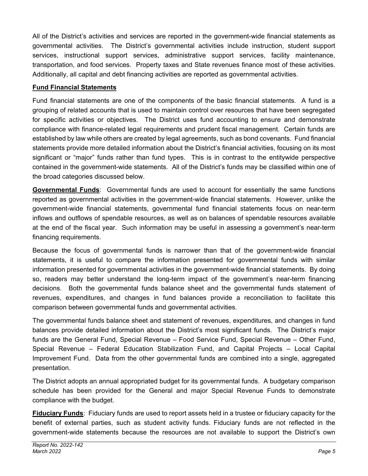All of the District's activities and services are reported in the government-wide financial statements as governmental activities. The District's governmental activities include instruction, student support services, instructional support services, administrative support services, facility maintenance, transportation, and food services. Property taxes and State revenues finance most of these activities. Additionally, all capital and debt financing activities are reported as governmental activities.

### **Fund Financial Statements**

Fund financial statements are one of the components of the basic financial statements. A fund is a grouping of related accounts that is used to maintain control over resources that have been segregated for specific activities or objectives. The District uses fund accounting to ensure and demonstrate compliance with finance-related legal requirements and prudent fiscal management. Certain funds are established by law while others are created by legal agreements, such as bond covenants. Fund financial statements provide more detailed information about the District's financial activities, focusing on its most significant or "major" funds rather than fund types. This is in contrast to the entitywide perspective contained in the government-wide statements. All of the District's funds may be classified within one of the broad categories discussed below.

**Governmental Funds**: Governmental funds are used to account for essentially the same functions reported as governmental activities in the government-wide financial statements. However, unlike the government-wide financial statements, governmental fund financial statements focus on near-term inflows and outflows of spendable resources, as well as on balances of spendable resources available at the end of the fiscal year. Such information may be useful in assessing a government's near-term financing requirements.

Because the focus of governmental funds is narrower than that of the government-wide financial statements, it is useful to compare the information presented for governmental funds with similar information presented for governmental activities in the government-wide financial statements. By doing so, readers may better understand the long-term impact of the government's near-term financing decisions. Both the governmental funds balance sheet and the governmental funds statement of revenues, expenditures, and changes in fund balances provide a reconciliation to facilitate this comparison between governmental funds and governmental activities.

The governmental funds balance sheet and statement of revenues, expenditures, and changes in fund balances provide detailed information about the District's most significant funds. The District's major funds are the General Fund, Special Revenue – Food Service Fund, Special Revenue – Other Fund, Special Revenue – Federal Education Stabilization Fund, and Capital Projects – Local Capital Improvement Fund. Data from the other governmental funds are combined into a single, aggregated presentation.

The District adopts an annual appropriated budget for its governmental funds. A budgetary comparison schedule has been provided for the General and major Special Revenue Funds to demonstrate compliance with the budget.

**Fiduciary Funds**: Fiduciary funds are used to report assets held in a trustee or fiduciary capacity for the benefit of external parties, such as student activity funds. Fiduciary funds are not reflected in the government-wide statements because the resources are not available to support the District's own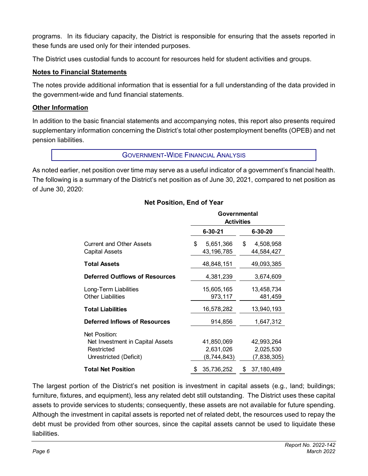programs. In its fiduciary capacity, the District is responsible for ensuring that the assets reported in these funds are used only for their intended purposes.

The District uses custodial funds to account for resources held for student activities and groups.

### **Notes to Financial Statements**

The notes provide additional information that is essential for a full understanding of the data provided in the government-wide and fund financial statements.

### **Other Information**

In addition to the basic financial statements and accompanying notes, this report also presents required supplementary information concerning the District's total other postemployment benefits (OPEB) and net pension liabilities.

GOVERNMENT-WIDE FINANCIAL ANALYSIS

As noted earlier, net position over time may serve as a useful indicator of a government's financial health. The following is a summary of the District's net position as of June 30, 2021, compared to net position as of June 30, 2020:

|                                                                                           | Governmental<br><b>Activities</b>      |                                        |  |  |  |
|-------------------------------------------------------------------------------------------|----------------------------------------|----------------------------------------|--|--|--|
|                                                                                           | 6-30-21                                | $6 - 30 - 20$                          |  |  |  |
| <b>Current and Other Assets</b><br><b>Capital Assets</b>                                  | \$<br>5,651,366<br>43,196,785          | 4,508,958<br>\$<br>44,584,427          |  |  |  |
| <b>Total Assets</b>                                                                       | 48,848,151                             | 49,093,385                             |  |  |  |
| <b>Deferred Outflows of Resources</b>                                                     | 4,381,239                              | 3,674,609                              |  |  |  |
| Long-Term Liabilities<br><b>Other Liabilities</b>                                         | 15,605,165<br>973,117                  | 13,458,734<br>481,459                  |  |  |  |
| <b>Total Liabilities</b>                                                                  | 16,578,282                             | 13,940,193                             |  |  |  |
| <b>Deferred Inflows of Resources</b>                                                      | 914,856                                | 1,647,312                              |  |  |  |
| Net Position:<br>Net Investment in Capital Assets<br>Restricted<br>Unrestricted (Deficit) | 41,850,069<br>2,631,026<br>(8,744,843) | 42,993,264<br>2,025,530<br>(7,838,305) |  |  |  |
| <b>Total Net Position</b>                                                                 | 35,736,252<br>37,180,489<br>S<br>S     |                                        |  |  |  |

### **Net Position, End of Year**

The largest portion of the District's net position is investment in capital assets (e.g., land; buildings; furniture, fixtures, and equipment), less any related debt still outstanding. The District uses these capital assets to provide services to students; consequently, these assets are not available for future spending. Although the investment in capital assets is reported net of related debt, the resources used to repay the debt must be provided from other sources, since the capital assets cannot be used to liquidate these liabilities.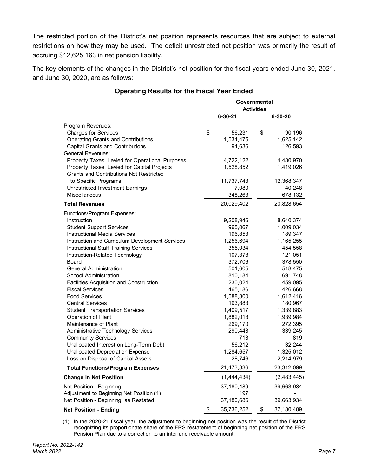The restricted portion of the District's net position represents resources that are subject to external restrictions on how they may be used. The deficit unrestricted net position was primarily the result of accruing \$12,625,163 in net pension liability.

The key elements of the changes in the District's net position for the fiscal years ended June 30, 2021, and June 30, 2020, are as follows:

|                                                 | Governmental |                      |    |                      |  |
|-------------------------------------------------|--------------|----------------------|----|----------------------|--|
|                                                 |              | <b>Activities</b>    |    |                      |  |
|                                                 |              | $6 - 30 - 21$        |    | 6-30-20              |  |
| Program Revenues:                               |              |                      |    |                      |  |
| <b>Charges for Services</b>                     | \$           | 56,231               | \$ | 90,196               |  |
| <b>Operating Grants and Contributions</b>       |              | 1,534,475            |    | 1,625,142            |  |
| <b>Capital Grants and Contributions</b>         |              | 94,636               |    | 126,593              |  |
| <b>General Revenues:</b>                        |              |                      |    |                      |  |
| Property Taxes, Levied for Operational Purposes |              | 4,722,122            |    | 4,480,970            |  |
| Property Taxes, Levied for Capital Projects     |              | 1,528,852            |    | 1,419,026            |  |
| <b>Grants and Contributions Not Restricted</b>  |              |                      |    |                      |  |
| to Specific Programs                            |              | 11,737,743           |    | 12,368,347           |  |
| Unrestricted Investment Earnings                |              | 7,080                |    | 40,248               |  |
| Miscellaneous                                   |              | 348,263              |    | 678,132              |  |
| <b>Total Revenues</b>                           |              | 20,029,402           |    | 20,828,654           |  |
| Functions/Program Expenses:                     |              |                      |    |                      |  |
| Instruction                                     |              | 9,208,946            |    | 8,640,374            |  |
| <b>Student Support Services</b>                 |              | 965,067              |    | 1,009,034            |  |
| <b>Instructional Media Services</b>             |              | 196,853              |    | 189,347              |  |
| Instruction and Curriculum Development Services |              | 1,256,694            |    | 1,165,255            |  |
| <b>Instructional Staff Training Services</b>    |              | 355,034              |    | 454,558              |  |
| Instruction-Related Technology                  |              | 107,378              |    | 121,051              |  |
| Board                                           |              | 372,706              |    | 378,550              |  |
| <b>General Administration</b>                   |              | 501,605              |    | 518,475              |  |
| <b>School Administration</b>                    |              | 810,184              |    | 691,748              |  |
| Facilities Acquisition and Construction         |              | 230,024              |    | 459,095              |  |
| <b>Fiscal Services</b>                          |              | 465,186              |    | 426,668              |  |
| <b>Food Services</b>                            |              | 1,588,800            |    | 1,612,416            |  |
| <b>Central Services</b>                         |              | 193,883              |    | 180,967              |  |
| <b>Student Transportation Services</b>          |              | 1,409,517            |    | 1,339,883            |  |
| Operation of Plant<br>Maintenance of Plant      |              | 1,882,018<br>269,170 |    | 1,939,984<br>272,395 |  |
| <b>Administrative Technology Services</b>       |              | 290,443              |    | 339,245              |  |
| <b>Community Services</b>                       |              | 713                  |    | 819                  |  |
| Unallocated Interest on Long-Term Debt          |              | 56,212               |    | 32,244               |  |
| <b>Unallocated Depreciation Expense</b>         |              | 1,284,657            |    | 1,325,012            |  |
| Loss on Disposal of Capital Assets              |              | 28,746               |    | 2,214,979            |  |
| <b>Total Functions/Program Expenses</b>         |              | 21,473,836           |    | 23,312,099           |  |
|                                                 |              |                      |    |                      |  |
| <b>Change in Net Position</b>                   |              | (1,444,434)          |    | (2,483,445)          |  |
| Net Position - Beginning                        |              | 37,180,489           |    | 39,663,934           |  |
| Adjustment to Beginning Net Position (1)        |              | 197                  |    |                      |  |
| Net Position - Beginning, as Restated           |              | 37,180,686           |    | 39,663,934           |  |
| <b>Net Position - Ending</b>                    | \$           | 35,736,252           | \$ | 37,180,489           |  |

### **Operating Results for the Fiscal Year Ended**

(1) In the 2020-21 fiscal year, the adjustment to beginning net position was the result of the District recognizing its proportionate share of the FRS restatement of beginning net position of the FRS Pension Plan due to a correction to an interfund receivable amount.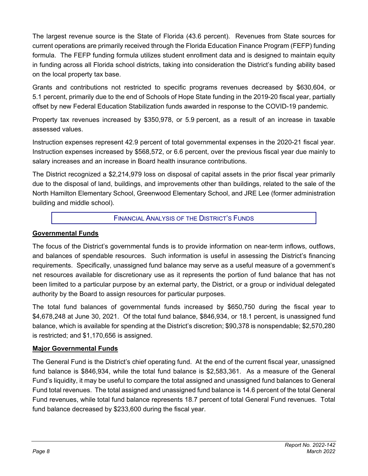The largest revenue source is the State of Florida (43.6 percent). Revenues from State sources for current operations are primarily received through the Florida Education Finance Program (FEFP) funding formula. The FEFP funding formula utilizes student enrollment data and is designed to maintain equity in funding across all Florida school districts, taking into consideration the District's funding ability based on the local property tax base.

Grants and contributions not restricted to specific programs revenues decreased by \$630,604, or 5.1 percent, primarily due to the end of Schools of Hope State funding in the 2019-20 fiscal year, partially offset by new Federal Education Stabilization funds awarded in response to the COVID-19 pandemic.

Property tax revenues increased by \$350,978, or 5.9 percent, as a result of an increase in taxable assessed values.

Instruction expenses represent 42.9 percent of total governmental expenses in the 2020-21 fiscal year. Instruction expenses increased by \$568,572, or 6.6 percent, over the previous fiscal year due mainly to salary increases and an increase in Board health insurance contributions.

The District recognized a \$2,214,979 loss on disposal of capital assets in the prior fiscal year primarily due to the disposal of land, buildings, and improvements other than buildings, related to the sale of the North Hamilton Elementary School, Greenwood Elementary School, and JRE Lee (former administration building and middle school).

### FINANCIAL ANALYSIS OF THE DISTRICT'S FUNDS

### **Governmental Funds**

The focus of the District's governmental funds is to provide information on near-term inflows, outflows, and balances of spendable resources. Such information is useful in assessing the District's financing requirements. Specifically, unassigned fund balance may serve as a useful measure of a government's net resources available for discretionary use as it represents the portion of fund balance that has not been limited to a particular purpose by an external party, the District, or a group or individual delegated authority by the Board to assign resources for particular purposes.

The total fund balances of governmental funds increased by \$650,750 during the fiscal year to \$4,678,248 at June 30, 2021. Of the total fund balance, \$846,934, or 18.1 percent, is unassigned fund balance, which is available for spending at the District's discretion; \$90,378 is nonspendable; \$2,570,280 is restricted; and \$1,170,656 is assigned.

### **Major Governmental Funds**

The General Fund is the District's chief operating fund. At the end of the current fiscal year, unassigned fund balance is \$846,934, while the total fund balance is \$2,583,361. As a measure of the General Fund's liquidity, it may be useful to compare the total assigned and unassigned fund balances to General Fund total revenues. The total assigned and unassigned fund balance is 14.6 percent of the total General Fund revenues, while total fund balance represents 18.7 percent of total General Fund revenues. Total fund balance decreased by \$233,600 during the fiscal year.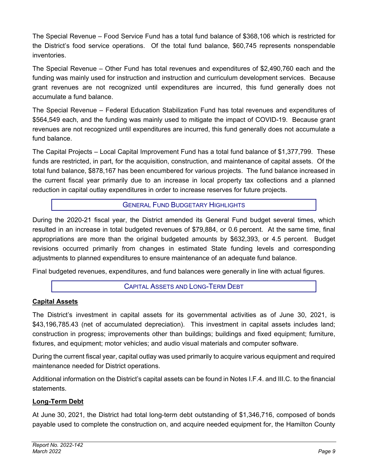The Special Revenue – Food Service Fund has a total fund balance of \$368,106 which is restricted for the District's food service operations. Of the total fund balance, \$60,745 represents nonspendable inventories.

The Special Revenue – Other Fund has total revenues and expenditures of \$2,490,760 each and the funding was mainly used for instruction and instruction and curriculum development services. Because grant revenues are not recognized until expenditures are incurred, this fund generally does not accumulate a fund balance.

The Special Revenue – Federal Education Stabilization Fund has total revenues and expenditures of \$564,549 each, and the funding was mainly used to mitigate the impact of COVID-19. Because grant revenues are not recognized until expenditures are incurred, this fund generally does not accumulate a fund balance.

The Capital Projects – Local Capital Improvement Fund has a total fund balance of \$1,377,799. These funds are restricted, in part, for the acquisition, construction, and maintenance of capital assets. Of the total fund balance, \$878,167 has been encumbered for various projects. The fund balance increased in the current fiscal year primarily due to an increase in local property tax collections and a planned reduction in capital outlay expenditures in order to increase reserves for future projects.

### **GENERAL FUND BUDGETARY HIGHLIGHTS**

During the 2020-21 fiscal year, the District amended its General Fund budget several times, which resulted in an increase in total budgeted revenues of \$79,884, or 0.6 percent. At the same time, final appropriations are more than the original budgeted amounts by \$632,393, or 4.5 percent. Budget revisions occurred primarily from changes in estimated State funding levels and corresponding adjustments to planned expenditures to ensure maintenance of an adequate fund balance.

Final budgeted revenues, expenditures, and fund balances were generally in line with actual figures.

CAPITAL ASSETS AND LONG-TERM DEBT

### **Capital Assets**

The District's investment in capital assets for its governmental activities as of June 30, 2021, is \$43,196,785.43 (net of accumulated depreciation). This investment in capital assets includes land; construction in progress; improvements other than buildings; buildings and fixed equipment; furniture, fixtures, and equipment; motor vehicles; and audio visual materials and computer software.

During the current fiscal year, capital outlay was used primarily to acquire various equipment and required maintenance needed for District operations.

Additional information on the District's capital assets can be found in Notes I.F.4. and III.C. to the financial statements.

### **Long-Term Debt**

At June 30, 2021, the District had total long-term debt outstanding of \$1,346,716, composed of bonds payable used to complete the construction on, and acquire needed equipment for, the Hamilton County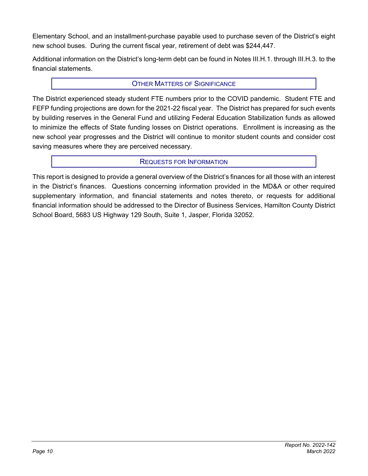Elementary School, and an installment-purchase payable used to purchase seven of the District's eight new school buses. During the current fiscal year, retirement of debt was \$244,447.

Additional information on the District's long-term debt can be found in Notes III.H.1. through III.H.3. to the financial statements.

### OTHER MATTERS OF SIGNIFICANCE

The District experienced steady student FTE numbers prior to the COVID pandemic. Student FTE and FEFP funding projections are down for the 2021-22 fiscal year. The District has prepared for such events by building reserves in the General Fund and utilizing Federal Education Stabilization funds as allowed to minimize the effects of State funding losses on District operations. Enrollment is increasing as the new school year progresses and the District will continue to monitor student counts and consider cost saving measures where they are perceived necessary.

### REQUESTS FOR INFORMATION

This report is designed to provide a general overview of the District's finances for all those with an interest in the District's finances. Questions concerning information provided in the MD&A or other required supplementary information, and financial statements and notes thereto, or requests for additional financial information should be addressed to the Director of Business Services, Hamilton County District School Board, 5683 US Highway 129 South, Suite 1, Jasper, Florida 32052.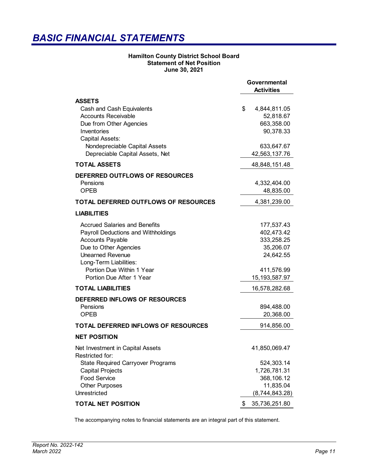# <span id="page-16-0"></span>*BASIC FINANCIAL STATEMENTS*

#### **Hamilton County District School Board Statement of Net Position June 30, 2021**

|                                                     | Governmental<br><b>Activities</b> |
|-----------------------------------------------------|-----------------------------------|
| <b>ASSETS</b>                                       |                                   |
| Cash and Cash Equivalents                           | \$<br>4,844,811.05                |
| <b>Accounts Receivable</b>                          | 52,818.67                         |
| Due from Other Agencies                             | 663,358.00                        |
| Inventories                                         | 90,378.33                         |
| Capital Assets:                                     |                                   |
| Nondepreciable Capital Assets                       | 633,647.67                        |
| Depreciable Capital Assets, Net                     | 42,563,137.76                     |
| <b>TOTAL ASSETS</b>                                 | 48,848,151.48                     |
| DEFERRED OUTFLOWS OF RESOURCES                      |                                   |
| Pensions                                            | 4,332,404.00                      |
| <b>OPEB</b>                                         | 48,835.00                         |
| <b>TOTAL DEFERRED OUTFLOWS OF RESOURCES</b>         | 4,381,239.00                      |
| <b>LIABILITIES</b>                                  |                                   |
| <b>Accrued Salaries and Benefits</b>                | 177,537.43                        |
| Payroll Deductions and Withholdings                 | 402,473.42                        |
| <b>Accounts Payable</b>                             | 333,258.25                        |
| Due to Other Agencies                               | 35,206.07                         |
| <b>Unearned Revenue</b>                             | 24,642.55                         |
| Long-Term Liabilities:                              |                                   |
| Portion Due Within 1 Year                           | 411,576.99                        |
| Portion Due After 1 Year                            | 15, 193, 587. 97                  |
| <b>TOTAL LIABILITIES</b>                            | 16,578,282.68                     |
| DEFERRED INFLOWS OF RESOURCES                       |                                   |
| Pensions                                            | 894,488.00                        |
| <b>OPEB</b>                                         | 20,368.00                         |
| TOTAL DEFERRED INFLOWS OF RESOURCES                 | 914,856.00                        |
| <b>NET POSITION</b>                                 |                                   |
| Net Investment in Capital Assets<br>Restricted for: | 41,850,069.47                     |
| <b>State Required Carryover Programs</b>            | 524,303.14                        |
| <b>Capital Projects</b>                             | 1,726,781.31                      |
| <b>Food Service</b>                                 | 368,106.12                        |
| <b>Other Purposes</b>                               | 11,835.04                         |
| Unrestricted                                        | (8,744,843.28)                    |
| <b>TOTAL NET POSITION</b>                           | \$<br>35,736,251.80               |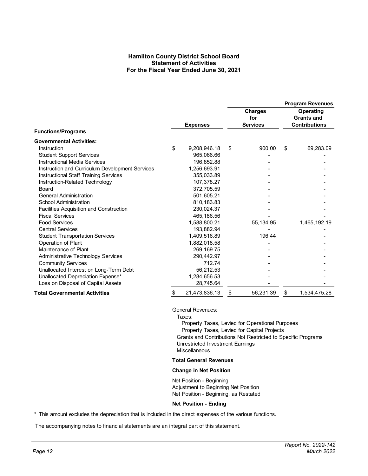#### **Hamilton County District School Board Statement of Activities For the Fiscal Year Ended June 30, 2021**

<span id="page-17-0"></span>

|                                                 |                     |                                          | <b>Program Revenues</b>                                       |
|-------------------------------------------------|---------------------|------------------------------------------|---------------------------------------------------------------|
|                                                 | <b>Expenses</b>     | <b>Charges</b><br>for<br><b>Services</b> | <b>Operating</b><br><b>Grants and</b><br><b>Contributions</b> |
| <b>Functions/Programs</b>                       |                     |                                          |                                                               |
| <b>Governmental Activities:</b>                 |                     |                                          |                                                               |
| Instruction                                     | \$<br>9,208,946.18  | \$<br>900.00                             | \$<br>69,283.09                                               |
| <b>Student Support Services</b>                 | 965,066.66          |                                          |                                                               |
| Instructional Media Services                    | 196.852.88          |                                          |                                                               |
| Instruction and Curriculum Development Services | 1,256,693.91        |                                          |                                                               |
| <b>Instructional Staff Training Services</b>    | 355,033.89          |                                          |                                                               |
| Instruction-Related Technology                  | 107,378.27          |                                          |                                                               |
| Board                                           | 372,705.59          |                                          |                                                               |
| <b>General Administration</b>                   | 501,605.21          |                                          |                                                               |
| <b>School Administration</b>                    | 810, 183.83         |                                          |                                                               |
| Facilities Acquisition and Construction         | 230,024.37          |                                          |                                                               |
| <b>Fiscal Services</b>                          | 465,186.56          |                                          |                                                               |
| <b>Food Services</b>                            | 1,588,800.21        | 55, 134.95                               | 1,465,192.19                                                  |
| <b>Central Services</b>                         | 193,882.94          |                                          |                                                               |
| <b>Student Transportation Services</b>          | 1,409,516.89        | 196.44                                   |                                                               |
| Operation of Plant                              | 1,882,018.58        |                                          |                                                               |
| Maintenance of Plant                            | 269,169.75          |                                          |                                                               |
| Administrative Technology Services              | 290,442.97          |                                          |                                                               |
| <b>Community Services</b>                       | 712.74              |                                          |                                                               |
| Unallocated Interest on Long-Term Debt          | 56,212.53           |                                          |                                                               |
| Unallocated Depreciation Expense*               | 1,284,656.53        |                                          |                                                               |
| Loss on Disposal of Capital Assets              | 28,745.64           |                                          |                                                               |
| <b>Total Governmental Activities</b>            | \$<br>21,473,836.13 | \$<br>56,231.39                          | \$<br>1,534,475.28                                            |

General Revenues:

Taxes:

 Property Taxes, Levied for Operational Purposes Property Taxes, Levied for Capital Projects Grants and Contributions Not Restricted to Specific Programs Unrestricted Investment Earnings Miscellaneous

#### **Total General Revenues**

#### **Change in Net Position**

Net Position - Beginning Adjustment to Beginning Net Position Net Position - Beginning, as Restated

#### **Net Position - Ending**

\* This amount excludes the depreciation that is included in the direct expenses of the various functions.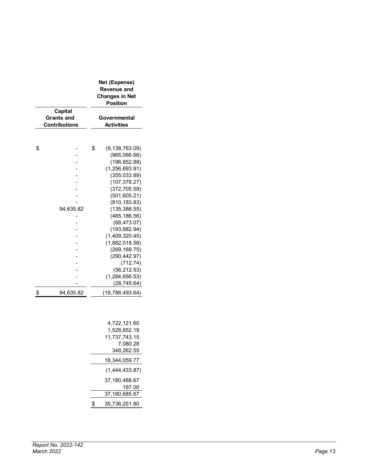|                                                      | Net (Expense)<br><b>Revenue and</b><br><b>Changes in Net</b><br><b>Position</b> |                                                                                                                                                                                                                                                                                                                                                     |  |  |  |
|------------------------------------------------------|---------------------------------------------------------------------------------|-----------------------------------------------------------------------------------------------------------------------------------------------------------------------------------------------------------------------------------------------------------------------------------------------------------------------------------------------------|--|--|--|
| Capital<br><b>Grants and</b><br><b>Contributions</b> | Governmental<br><b>Activities</b>                                               |                                                                                                                                                                                                                                                                                                                                                     |  |  |  |
| \$<br>94,635.82                                      | \$                                                                              | (9, 138, 763.09)<br>(965,066.66)<br>(196, 852.88)<br>(1, 256, 693.91)<br>(355, 033.89)<br>(107, 378.27)<br>(372, 705.59)<br>(501, 605.21)<br>(810, 183.83)<br>(135, 388.55)<br>(465, 186.56)<br>(68, 473.07)<br>(193, 882.94)<br>(1,409,320.45)<br>(1,882,018.58)<br>(269, 169.75)<br>(290, 442.97)<br>(712.74)<br>(56, 212.53)<br>(1, 284, 656.53) |  |  |  |
| \$<br>94,635.82                                      |                                                                                 | (28, 745.64)<br>(19,788,493.64)                                                                                                                                                                                                                                                                                                                     |  |  |  |

|   | 4,722,121.60   |
|---|----------------|
|   | 1,528,852.19   |
|   | 11.737.743.15  |
|   | 7.080.28       |
|   | 348.262.55     |
|   | 18,344,059.77  |
|   | (1,444,433.87) |
|   | 37,180,488.67  |
|   | 197.00         |
|   | 37,180,685.67  |
| 9 | 35,736,251.80  |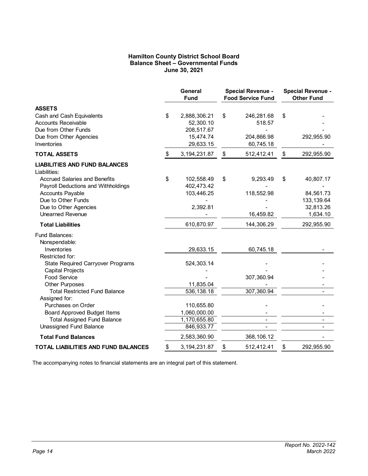#### **Hamilton County District School Board Balance Sheet – Governmental Funds June 30, 2021**

<span id="page-19-0"></span>

|                                                                             | General<br><b>Fund</b> |                                      | <b>Special Revenue -</b><br><b>Food Service Fund</b> |                         | <b>Special Revenue -</b><br><b>Other Fund</b> |                         |
|-----------------------------------------------------------------------------|------------------------|--------------------------------------|------------------------------------------------------|-------------------------|-----------------------------------------------|-------------------------|
| <b>ASSETS</b>                                                               |                        |                                      |                                                      |                         |                                               |                         |
| Cash and Cash Equivalents<br><b>Accounts Receivable</b>                     | \$                     | 2,888,306.21<br>52,300.10            | \$                                                   | 246,281.68<br>518.57    | \$                                            |                         |
| Due from Other Funds<br>Due from Other Agencies<br>Inventories              |                        | 208,517.67<br>15,474.74<br>29,633.15 |                                                      | 204,866.98<br>60,745.18 |                                               | 292,955.90              |
| <b>TOTAL ASSETS</b>                                                         | \$                     | 3, 194, 231.87                       | $\frac{1}{2}$                                        | 512,412.41              | \$                                            | 292,955.90              |
| <b>LIABILITIES AND FUND BALANCES</b><br>Liabilities:                        |                        |                                      |                                                      |                         |                                               |                         |
| <b>Accrued Salaries and Benefits</b><br>Payroll Deductions and Withholdings | \$                     | 102,558.49<br>402,473.42             | \$                                                   | 9,293.49                | \$                                            | 40,807.17               |
| <b>Accounts Payable</b>                                                     |                        | 103,446.25                           |                                                      | 118,552.98              |                                               | 84,561.73               |
| Due to Other Funds<br>Due to Other Agencies                                 |                        | 2,392.81                             |                                                      |                         |                                               | 133,139.64<br>32,813.26 |
| <b>Unearned Revenue</b>                                                     |                        |                                      |                                                      | 16,459.82               |                                               | 1,634.10                |
| <b>Total Liabilities</b>                                                    |                        | 610,870.97                           |                                                      | 144,306.29              |                                               | 292,955.90              |
| Fund Balances:                                                              |                        |                                      |                                                      |                         |                                               |                         |
| Nonspendable:                                                               |                        |                                      |                                                      |                         |                                               |                         |
| Inventories<br>Restricted for:                                              |                        | 29,633.15                            |                                                      | 60,745.18               |                                               |                         |
| <b>State Required Carryover Programs</b>                                    |                        | 524,303.14                           |                                                      |                         |                                               |                         |
| <b>Capital Projects</b>                                                     |                        |                                      |                                                      |                         |                                               |                         |
| <b>Food Service</b>                                                         |                        |                                      |                                                      | 307,360.94              |                                               |                         |
| Other Purposes                                                              |                        | 11,835.04                            |                                                      |                         |                                               |                         |
| <b>Total Restricted Fund Balance</b><br>Assigned for:                       |                        | 536, 138.18                          |                                                      | 307,360.94              |                                               |                         |
| Purchases on Order                                                          |                        | 110,655.80                           |                                                      |                         |                                               |                         |
| <b>Board Approved Budget Items</b>                                          |                        | 1,060,000.00                         |                                                      |                         |                                               |                         |
| <b>Total Assigned Fund Balance</b>                                          |                        | 1,170,655.80                         |                                                      | $\blacksquare$          |                                               | $\blacksquare$          |
| <b>Unassigned Fund Balance</b>                                              |                        | 846,933.77                           |                                                      |                         |                                               | $\overline{a}$          |
| <b>Total Fund Balances</b>                                                  |                        | 2,583,360.90                         |                                                      | 368,106.12              |                                               |                         |
| TOTAL LIABILITIES AND FUND BALANCES                                         | \$                     | 3, 194, 231.87                       | \$                                                   | 512,412.41              | \$                                            | 292,955.90              |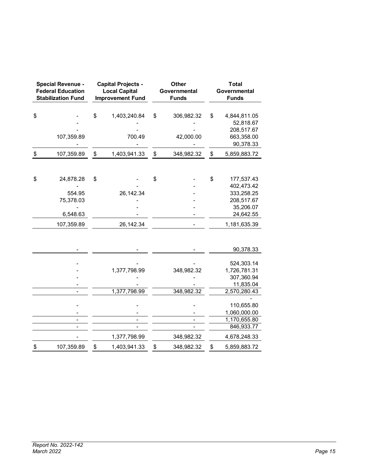| <b>Special Revenue -</b><br><b>Federal Education</b><br><b>Stabilization Fund</b> | <b>Capital Projects -</b><br><b>Local Capital</b><br><b>Improvement Fund</b> | Other<br>Governmental<br><b>Funds</b> |                       | <b>Total</b><br>Governmental<br><b>Funds</b> |
|-----------------------------------------------------------------------------------|------------------------------------------------------------------------------|---------------------------------------|-----------------------|----------------------------------------------|
| \$                                                                                | \$<br>1,403,240.84                                                           | \$<br>306,982.32                      | \$                    | 4,844,811.05                                 |
|                                                                                   |                                                                              |                                       |                       | 52,818.67                                    |
|                                                                                   |                                                                              |                                       |                       | 208,517.67                                   |
| 107,359.89                                                                        | 700.49                                                                       | 42,000.00                             |                       | 663,358.00                                   |
|                                                                                   |                                                                              |                                       |                       | 90,378.33                                    |
| \$<br>107,359.89                                                                  | \$<br>1,403,941.33                                                           | \$<br>348,982.32                      | $\boldsymbol{\theta}$ | 5,859,883.72                                 |
| \$<br>24,878.28                                                                   | \$                                                                           | \$                                    | \$                    | 177,537.43                                   |
|                                                                                   |                                                                              |                                       |                       | 402,473.42                                   |
| 554.95                                                                            | 26,142.34                                                                    |                                       |                       | 333,258.25                                   |
| 75,378.03                                                                         |                                                                              |                                       |                       | 208,517.67                                   |
|                                                                                   |                                                                              |                                       |                       | 35,206.07                                    |
| 6,548.63                                                                          |                                                                              |                                       |                       | 24,642.55                                    |
| 107,359.89                                                                        | 26,142.34                                                                    |                                       |                       | 1,181,635.39                                 |
|                                                                                   |                                                                              |                                       |                       |                                              |
|                                                                                   |                                                                              |                                       |                       | 90,378.33                                    |
|                                                                                   |                                                                              |                                       |                       | 524,303.14                                   |
|                                                                                   | 1,377,798.99                                                                 | 348,982.32                            |                       | 1,726,781.31                                 |
|                                                                                   |                                                                              |                                       |                       | 307,360.94                                   |
|                                                                                   |                                                                              |                                       |                       | 11,835.04                                    |
|                                                                                   | 1,377,798.99                                                                 | 348,982.32                            |                       | 2,570,280.43                                 |
|                                                                                   |                                                                              |                                       |                       | 110,655.80                                   |
|                                                                                   |                                                                              |                                       |                       | 1,060,000.00                                 |
| $\overline{\phantom{0}}$                                                          |                                                                              |                                       |                       | 1,170,655.80                                 |
|                                                                                   |                                                                              |                                       |                       | 846,933.77                                   |
|                                                                                   | 1,377,798.99                                                                 | 348,982.32                            |                       | 4,678,248.33                                 |
| \$<br>107,359.89                                                                  | \$<br>1,403,941.33                                                           | \$<br>348,982.32                      | \$                    | 5,859,883.72                                 |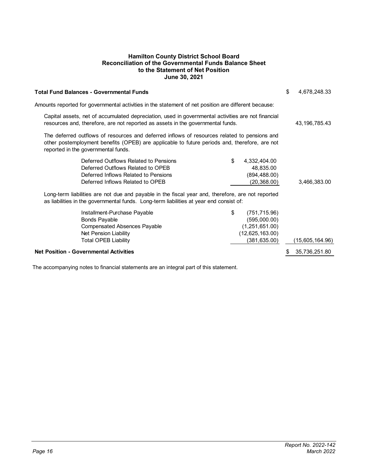#### **Hamilton County District School Board Reconciliation of the Governmental Funds Balance Sheet to the Statement of Net Position June 30, 2021**

<span id="page-21-0"></span>

| <b>Total Fund Balances - Governmental Funds</b>                                                                                                                                       | \$<br>4,678,248.33                                                                                                                                                                                                                   |                                                                          |                 |
|---------------------------------------------------------------------------------------------------------------------------------------------------------------------------------------|--------------------------------------------------------------------------------------------------------------------------------------------------------------------------------------------------------------------------------------|--------------------------------------------------------------------------|-----------------|
|                                                                                                                                                                                       | Amounts reported for governmental activities in the statement of net position are different because:                                                                                                                                 |                                                                          |                 |
| Capital assets, net of accumulated depreciation, used in governmental activities are not financial<br>resources and, therefore, are not reported as assets in the governmental funds. | 43,196,785.43                                                                                                                                                                                                                        |                                                                          |                 |
|                                                                                                                                                                                       | The deferred outflows of resources and deferred inflows of resources related to pensions and<br>other postemployment benefits (OPEB) are applicable to future periods and, therefore, are not<br>reported in the governmental funds. |                                                                          |                 |
|                                                                                                                                                                                       | Deferred Outflows Related to Pensions<br>Deferred Outflows Related to OPEB<br>Deferred Inflows Related to Pensions<br>Deferred Inflows Related to OPEB                                                                               | \$<br>4,332,404.00<br>48,835.00<br>(894, 488.00)<br>(20, 368.00)         | 3,466,383.00    |
|                                                                                                                                                                                       | Long-term liabilities are not due and payable in the fiscal year and, therefore, are not reported<br>as liabilities in the governmental funds. Long-term liabilities at year end consist of:                                         |                                                                          |                 |
|                                                                                                                                                                                       | Installment-Purchase Payable<br><b>Bonds Payable</b><br><b>Compensated Absences Payable</b><br>Net Pension Liability                                                                                                                 | \$<br>(751, 715.96)<br>(595,000.00)<br>(1,251,651.00)<br>(12,625,163.00) |                 |
|                                                                                                                                                                                       | <b>Total OPEB Liability</b>                                                                                                                                                                                                          | (381,635.00)                                                             | (15,605,164.96) |
|                                                                                                                                                                                       | <b>Net Position - Governmental Activities</b>                                                                                                                                                                                        |                                                                          | 35,736,251.80   |
|                                                                                                                                                                                       |                                                                                                                                                                                                                                      |                                                                          |                 |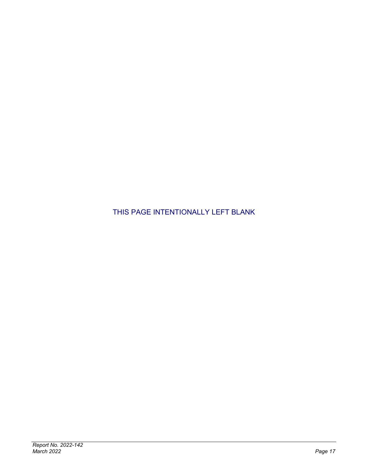THIS PAGE INTENTIONALLY LEFT BLANK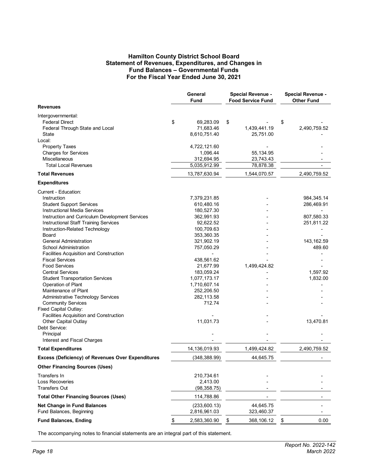#### **Hamilton County District School Board Statement of Revenues, Expenditures, and Changes in Fund Balances – Governmental Funds For the Fiscal Year Ended June 30, 2021**

<span id="page-23-0"></span>

|                                                                                                                                                                          | General<br>Fund |                                                          | <b>Special Revenue -</b><br><b>Food Service Fund</b> |                                      | <b>Special Revenue -</b><br><b>Other Fund</b> |                           |
|--------------------------------------------------------------------------------------------------------------------------------------------------------------------------|-----------------|----------------------------------------------------------|------------------------------------------------------|--------------------------------------|-----------------------------------------------|---------------------------|
| <b>Revenues</b>                                                                                                                                                          |                 |                                                          |                                                      |                                      |                                               |                           |
| Intergovernmental:<br><b>Federal Direct</b><br>Federal Through State and Local<br>State                                                                                  | \$              | 69,283.09<br>71,683.46<br>8,610,751.40                   | \$                                                   | 1,439,441.19<br>25,751.00            | \$                                            | 2,490,759.52              |
| Local:<br><b>Property Taxes</b><br><b>Charges for Services</b><br>Miscellaneous<br><b>Total Local Revenues</b>                                                           |                 | 4,722,121.60<br>1,096.44<br>312,694.95<br>5,035,912.99   |                                                      | 55, 134.95<br>23,743.43<br>78,878.38 |                                               |                           |
| <b>Total Revenues</b>                                                                                                                                                    |                 | 13,787,630.94                                            |                                                      | 1,544,070.57                         |                                               | 2,490,759.52              |
| <b>Expenditures</b>                                                                                                                                                      |                 |                                                          |                                                      |                                      |                                               |                           |
| Current - Education:<br>Instruction<br><b>Student Support Services</b>                                                                                                   |                 | 7,379,231.85<br>610,480.16                               |                                                      |                                      |                                               | 984, 345.14<br>286,469.91 |
| <b>Instructional Media Services</b><br>Instruction and Curriculum Development Services<br><b>Instructional Staff Training Services</b><br>Instruction-Related Technology |                 | 180,527.30<br>362,991.93<br>92,622.52<br>100,709.63      |                                                      |                                      |                                               | 807,580.33<br>251,811.22  |
| Board<br><b>General Administration</b><br><b>School Administration</b><br><b>Facilities Acquisition and Construction</b>                                                 |                 | 353,360.35<br>321,902.19<br>757,050.29                   |                                                      |                                      |                                               | 143,162.59<br>489.60      |
| <b>Fiscal Services</b><br><b>Food Services</b><br><b>Central Services</b>                                                                                                |                 | 438,561.62<br>21,677.99<br>183,059.24                    |                                                      | 1,499,424.82                         |                                               | 1,597.92<br>1,832.00      |
| <b>Student Transportation Services</b><br>Operation of Plant<br>Maintenance of Plant<br><b>Administrative Technology Services</b>                                        |                 | 1,077,173.17<br>1,710,607.14<br>252,206.50<br>282,113.58 |                                                      |                                      |                                               |                           |
| <b>Community Services</b><br>Fixed Capital Outlay:<br>Facilities Acquisition and Construction<br>Other Capital Outlay                                                    |                 | 712.74<br>11,031.73                                      |                                                      |                                      |                                               | 13,470.81                 |
| Debt Service:<br>Principal<br>Interest and Fiscal Charges                                                                                                                |                 |                                                          |                                                      |                                      |                                               |                           |
| <b>Total Expenditures</b>                                                                                                                                                |                 | 14,136,019.93                                            |                                                      | 1,499,424.82                         |                                               | 2,490,759.52              |
| <b>Excess (Deficiency) of Revenues Over Expenditures</b>                                                                                                                 |                 | (348, 388.99)                                            |                                                      | 44,645.75                            |                                               |                           |
| <b>Other Financing Sources (Uses)</b>                                                                                                                                    |                 |                                                          |                                                      |                                      |                                               |                           |
| Transfers In<br><b>Loss Recoveries</b><br><b>Transfers Out</b>                                                                                                           |                 | 210,734.61<br>2,413.00<br>(98, 358.75)                   |                                                      |                                      |                                               |                           |
| <b>Total Other Financing Sources (Uses)</b>                                                                                                                              |                 | 114,788.86                                               |                                                      |                                      |                                               |                           |
| <b>Net Change in Fund Balances</b><br>Fund Balances, Beginning                                                                                                           |                 | (233,600.13)<br>2,816,961.03                             |                                                      | 44,645.75<br>323,460.37              |                                               |                           |
| <b>Fund Balances, Ending</b>                                                                                                                                             | \$              | 2,583,360.90                                             | \$                                                   | 368,106.12                           | \$                                            | 0.00                      |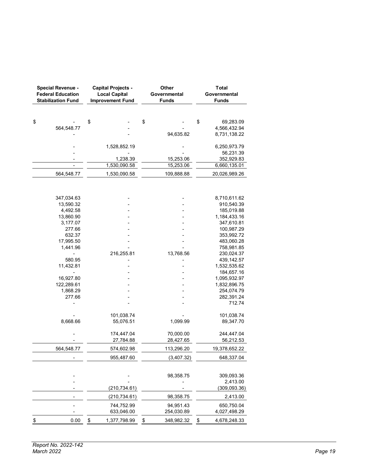| <b>Special Revenue -</b><br><b>Federal Education</b><br><b>Stabilization Fund</b> |    | <b>Capital Projects -</b><br><b>Local Capital</b><br><b>Improvement Fund</b> |    | Other<br>Governmental<br><b>Funds</b> |    | <b>Total</b><br>Governmental<br><b>Funds</b> |
|-----------------------------------------------------------------------------------|----|------------------------------------------------------------------------------|----|---------------------------------------|----|----------------------------------------------|
|                                                                                   |    |                                                                              |    |                                       |    |                                              |
|                                                                                   |    |                                                                              |    |                                       |    |                                              |
| \$                                                                                | \$ |                                                                              | \$ |                                       | \$ | 69,283.09                                    |
| 564,548.77                                                                        |    |                                                                              |    |                                       |    | 4,566,432.94                                 |
|                                                                                   |    |                                                                              |    | 94,635.82                             |    | 8,731,138.22                                 |
|                                                                                   |    | 1,528,852.19                                                                 |    |                                       |    | 6,250,973.79                                 |
|                                                                                   |    |                                                                              |    |                                       |    | 56,231.39                                    |
|                                                                                   |    | 1,238.39                                                                     |    | 15,253.06                             |    | 352,929.83                                   |
|                                                                                   |    | 1,530,090.58                                                                 |    | 15,253.06                             |    | 6,660,135.01                                 |
| 564,548.77                                                                        |    | 1,530,090.58                                                                 |    | 109,888.88                            |    | 20,026,989.26                                |
|                                                                                   |    |                                                                              |    |                                       |    |                                              |
| 347,034.63                                                                        |    |                                                                              |    |                                       |    | 8,710,611.62                                 |
| 13,590.32                                                                         |    |                                                                              |    |                                       |    | 910,540.39                                   |
| 4,492.58                                                                          |    |                                                                              |    |                                       |    | 185,019.88                                   |
| 13,860.90                                                                         |    |                                                                              |    |                                       |    | 1,184,433.16                                 |
| 3,177.07                                                                          |    |                                                                              |    |                                       |    | 347,610.81                                   |
| 277.66                                                                            |    |                                                                              |    |                                       |    | 100,987.29                                   |
| 632.37                                                                            |    |                                                                              |    |                                       |    | 353,992.72                                   |
| 17,995.50                                                                         |    |                                                                              |    |                                       |    | 483,060.28<br>758,981.85                     |
| 1,441.96                                                                          |    | 216,255.81                                                                   |    | 13,768.56                             |    | 230,024.37                                   |
| 580.95                                                                            |    |                                                                              |    |                                       |    | 439,142.57                                   |
| 11,432.81                                                                         |    |                                                                              |    |                                       |    | 1,532,535.62                                 |
|                                                                                   |    |                                                                              |    |                                       |    | 184,657.16                                   |
| 16,927.80                                                                         |    |                                                                              |    |                                       |    | 1,095,932.97                                 |
| 122,289.61                                                                        |    |                                                                              |    |                                       |    | 1,832,896.75                                 |
| 1,868.29                                                                          |    |                                                                              |    |                                       |    | 254,074.79                                   |
| 277.66                                                                            |    |                                                                              |    |                                       |    | 282,391.24                                   |
|                                                                                   |    |                                                                              |    |                                       |    | 712.74                                       |
|                                                                                   |    |                                                                              |    |                                       |    |                                              |
|                                                                                   |    | 101,038.74                                                                   |    |                                       |    | 101,038.74                                   |
| 8,668.66                                                                          |    | 55,076.51                                                                    |    | 1,099.99                              |    | 89,347.70                                    |
|                                                                                   |    | 174,447.04                                                                   |    | 70,000.00                             |    | 244,447.04                                   |
|                                                                                   |    | 27,784.88                                                                    |    | 28,427.65                             |    | 56,212.53                                    |
| 564,548.77                                                                        |    | 574,602.98                                                                   |    | 113,296.20                            |    | 19,378,652.22                                |
|                                                                                   |    | 955,487.60                                                                   |    | (3,407.32)                            |    | 648,337.04                                   |
|                                                                                   |    |                                                                              |    |                                       |    |                                              |
|                                                                                   |    |                                                                              |    | 98,358.75                             |    | 309,093.36                                   |
|                                                                                   |    |                                                                              |    |                                       |    | 2,413.00                                     |
|                                                                                   |    | (210,734.61)                                                                 |    |                                       |    | (309,093.36)                                 |
|                                                                                   |    | (210, 734.61)                                                                |    | 98,358.75                             |    | 2,413.00                                     |
|                                                                                   |    | 744,752.99                                                                   |    | 94,951.43                             |    | 650,750.04                                   |
|                                                                                   |    | 633,046.00                                                                   |    | 254,030.89                            |    | 4,027,498.29                                 |
| \$<br>0.00                                                                        | \$ | 1,377,798.99                                                                 | \$ | 348,982.32                            | \$ | 4,678,248.33                                 |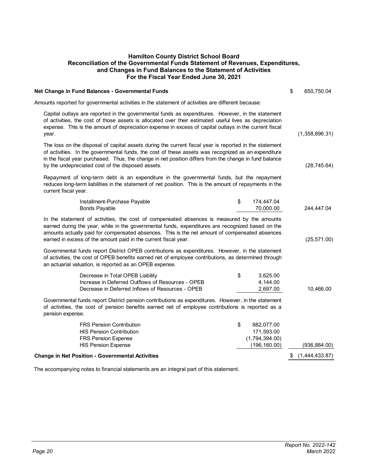#### <span id="page-25-0"></span>**Hamilton County District School Board Reconciliation of the Governmental Funds Statement of Revenues, Expenditures, and Changes in Fund Balances to the Statement of Activities For the Fiscal Year Ended June 30, 2021**

| Net Change in Fund Balances - Governmental Funds                                                                                                                                                                                                                                                                                                                             | \$<br>650,750.04 |
|------------------------------------------------------------------------------------------------------------------------------------------------------------------------------------------------------------------------------------------------------------------------------------------------------------------------------------------------------------------------------|------------------|
| Amounts reported for governmental activities in the statement of activities are different because:                                                                                                                                                                                                                                                                           |                  |
| Capital outlays are reported in the governmental funds as expenditures. However, in the statement<br>of activities, the cost of those assets is allocated over their estimated useful lives as depreciation<br>expense. This is the amount of depreciation expense in excess of capital outlays in the current fiscal<br>year.                                               | (1,358,896.31)   |
| The loss on the disposal of capital assets during the current fiscal year is reported in the statement<br>of activities. In the governmental funds, the cost of these assets was recognized as an expenditure<br>in the fiscal year purchased. Thus, the change in net position differs from the change in fund balance<br>by the undepreciated cost of the disposed assets. | (28, 745.64)     |
| Repayment of long-term debt is an expenditure in the governmental funds, but the repayment<br>reduces long-term liabilities in the statement of net position. This is the amount of repayments in the<br>current fiscal year.                                                                                                                                                |                  |
| \$<br>Installment-Purchase Payable<br>174,447.04<br><b>Bonds Payable</b><br>70,000.00                                                                                                                                                                                                                                                                                        | 244,447.04       |
| In the statement of activities, the cost of compensated absences is measured by the amounts<br>earned during the year, while in the governmental funds, expenditures are recognized based on the<br>amounts actually paid for compensated absences. This is the net amount of compensated absences<br>earned in excess of the amount paid in the current fiscal year.        | (25, 571.00)     |
| Governmental funds report District OPEB contributions as expenditures. However, in the statement<br>of activities, the cost of OPEB benefits earned net of employee contributions, as determined through<br>an actuarial valuation, is reported as an OPEB expense.                                                                                                          |                  |
| Decrease in Total OPEB Liability<br>\$<br>3,625.00<br>Increase in Deferred Outflows of Resources - OPEB<br>4,144.00<br>Decrease in Deferred Inflows of Resources - OPEB<br>2,697.00                                                                                                                                                                                          | 10,466.00        |
| Governmental funds report District pension contributions as expenditures. However, in the statement<br>of activities, the cost of pension benefits earned net of employee contributions is reported as a<br>pension expense.                                                                                                                                                 |                  |
| <b>FRS Pension Contribution</b><br>\$<br>882,077.00<br>171,593.00<br><b>HIS Pension Contribution</b><br>(1,794,394.00)<br><b>FRS Pension Expense</b>                                                                                                                                                                                                                         |                  |
| <b>HIS Pension Expense</b><br>(196, 160.00)                                                                                                                                                                                                                                                                                                                                  | (936, 884.00)    |
| <b>Change in Net Position - Governmental Activities</b>                                                                                                                                                                                                                                                                                                                      | \$(1,444,433.87) |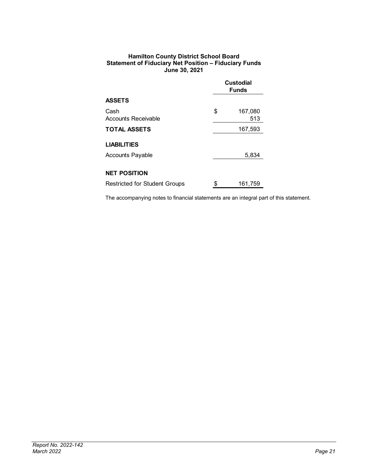#### <span id="page-26-0"></span>**Hamilton County District School Board Statement of Fiduciary Net Position – Fiduciary Funds June 30, 2021**

|                                      | <b>Custodial</b><br><b>Funds</b> |                |  |  |
|--------------------------------------|----------------------------------|----------------|--|--|
| <b>ASSETS</b>                        |                                  |                |  |  |
| Cash<br>Accounts Receivable          | \$                               | 167,080<br>513 |  |  |
| <b>TOTAL ASSETS</b>                  |                                  | 167,593        |  |  |
| <b>LIABILITIES</b>                   |                                  |                |  |  |
| <b>Accounts Payable</b>              |                                  | 5,834          |  |  |
| <b>NET POSITION</b>                  |                                  |                |  |  |
| <b>Restricted for Student Groups</b> | \$                               | 161,759        |  |  |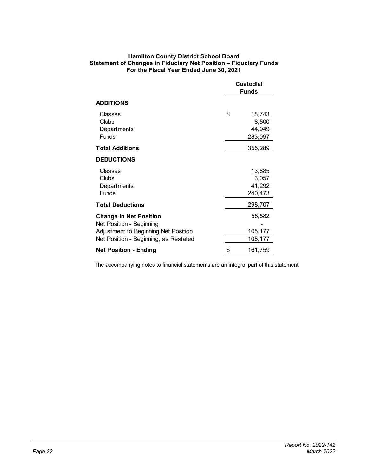#### <span id="page-27-0"></span>**Hamilton County District School Board Statement of Changes in Fiduciary Net Position – Fiduciary Funds For the Fiscal Year Ended June 30, 2021**

|                                       | <b>Custodial</b><br><b>Funds</b> |  |
|---------------------------------------|----------------------------------|--|
| <b>ADDITIONS</b>                      |                                  |  |
| Classes                               | \$<br>18,743                     |  |
| Clubs                                 | 8,500                            |  |
| Departments                           | 44,949                           |  |
| Funds                                 | 283,097                          |  |
| <b>Total Additions</b>                | 355,289                          |  |
| <b>DEDUCTIONS</b>                     |                                  |  |
| Classes                               | 13,885                           |  |
| Clubs                                 | 3,057                            |  |
| Departments                           | 41,292                           |  |
| Funds                                 | 240,473                          |  |
| <b>Total Deductions</b>               | 298,707                          |  |
| <b>Change in Net Position</b>         | 56,582                           |  |
| Net Position - Beginning              |                                  |  |
| Adjustment to Beginning Net Position  | 105,177                          |  |
| Net Position - Beginning, as Restated | 105,177                          |  |
| <b>Net Position - Ending</b>          | \$<br>161,759                    |  |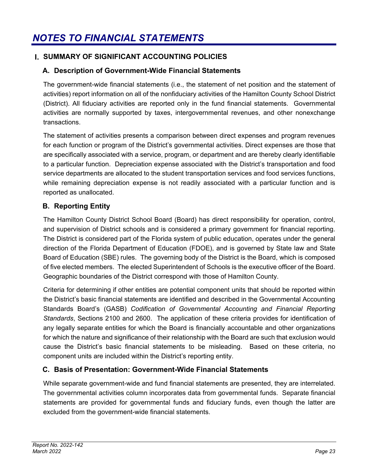### <span id="page-28-0"></span> **SUMMARY OF SIGNIFICANT ACCOUNTING POLICIES**

### **A. Description of Government-Wide Financial Statements**

The government-wide financial statements (i.e., the statement of net position and the statement of activities) report information on all of the nonfiduciary activities of the Hamilton County School District (District). All fiduciary activities are reported only in the fund financial statements. Governmental activities are normally supported by taxes, intergovernmental revenues, and other nonexchange transactions.

The statement of activities presents a comparison between direct expenses and program revenues for each function or program of the District's governmental activities. Direct expenses are those that are specifically associated with a service, program, or department and are thereby clearly identifiable to a particular function. Depreciation expense associated with the District's transportation and food service departments are allocated to the student transportation services and food services functions, while remaining depreciation expense is not readily associated with a particular function and is reported as unallocated.

### **B. Reporting Entity**

The Hamilton County District School Board (Board) has direct responsibility for operation, control, and supervision of District schools and is considered a primary government for financial reporting. The District is considered part of the Florida system of public education, operates under the general direction of the Florida Department of Education (FDOE), and is governed by State law and State Board of Education (SBE) rules. The governing body of the District is the Board, which is composed of five elected members. The elected Superintendent of Schools is the executive officer of the Board. Geographic boundaries of the District correspond with those of Hamilton County.

Criteria for determining if other entities are potential component units that should be reported within the District's basic financial statements are identified and described in the Governmental Accounting Standards Board's (GASB) *Codification of Governmental Accounting and Financial Reporting Standards*, Sections 2100 and 2600. The application of these criteria provides for identification of any legally separate entities for which the Board is financially accountable and other organizations for which the nature and significance of their relationship with the Board are such that exclusion would cause the District's basic financial statements to be misleading. Based on these criteria, no component units are included within the District's reporting entity.

### **C. Basis of Presentation: Government-Wide Financial Statements**

While separate government-wide and fund financial statements are presented, they are interrelated. The governmental activities column incorporates data from governmental funds. Separate financial statements are provided for governmental funds and fiduciary funds, even though the latter are excluded from the government-wide financial statements.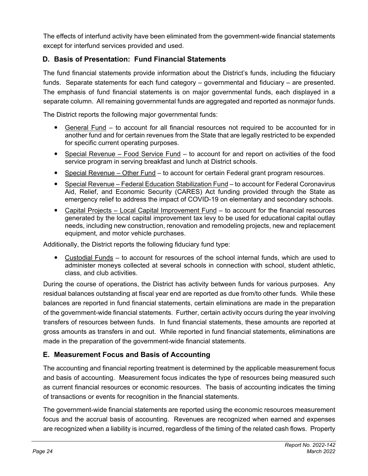The effects of interfund activity have been eliminated from the government-wide financial statements except for interfund services provided and used.

### **D. Basis of Presentation: Fund Financial Statements**

The fund financial statements provide information about the District's funds, including the fiduciary funds. Separate statements for each fund category – governmental and fiduciary – are presented. The emphasis of fund financial statements is on major governmental funds, each displayed in a separate column. All remaining governmental funds are aggregated and reported as nonmajor funds.

The District reports the following major governmental funds:

- General Fund to account for all financial resources not required to be accounted for in another fund and for certain revenues from the State that are legally restricted to be expended for specific current operating purposes.
- Special Revenue Food Service Fund to account for and report on activities of the food service program in serving breakfast and lunch at District schools.
- Special Revenue Other Fund to account for certain Federal grant program resources.
- Special Revenue Federal Education Stabilization Fund to account for Federal Coronavirus Aid, Relief, and Economic Security (CARES) Act funding provided through the State as emergency relief to address the impact of COVID-19 on elementary and secondary schools.
- Capital Projects Local Capital Improvement Fund to account for the financial resources generated by the local capital improvement tax levy to be used for educational capital outlay needs, including new construction, renovation and remodeling projects, new and replacement equipment, and motor vehicle purchases.

Additionally, the District reports the following fiduciary fund type:

 Custodial Funds – to account for resources of the school internal funds, which are used to administer moneys collected at several schools in connection with school, student athletic, class, and club activities.

During the course of operations, the District has activity between funds for various purposes. Any residual balances outstanding at fiscal year end are reported as due from/to other funds. While these balances are reported in fund financial statements, certain eliminations are made in the preparation of the government-wide financial statements. Further, certain activity occurs during the year involving transfers of resources between funds. In fund financial statements, these amounts are reported at gross amounts as transfers in and out. While reported in fund financial statements, eliminations are made in the preparation of the government-wide financial statements.

### **E. Measurement Focus and Basis of Accounting**

The accounting and financial reporting treatment is determined by the applicable measurement focus and basis of accounting. Measurement focus indicates the type of resources being measured such as current financial resources or economic resources. The basis of accounting indicates the timing of transactions or events for recognition in the financial statements.

The government-wide financial statements are reported using the economic resources measurement focus and the accrual basis of accounting. Revenues are recognized when earned and expenses are recognized when a liability is incurred, regardless of the timing of the related cash flows. Property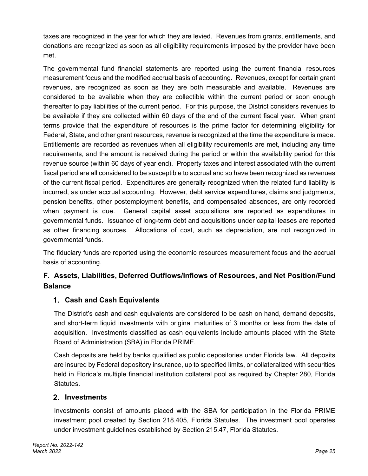taxes are recognized in the year for which they are levied. Revenues from grants, entitlements, and donations are recognized as soon as all eligibility requirements imposed by the provider have been met.

The governmental fund financial statements are reported using the current financial resources measurement focus and the modified accrual basis of accounting. Revenues, except for certain grant revenues, are recognized as soon as they are both measurable and available. Revenues are considered to be available when they are collectible within the current period or soon enough thereafter to pay liabilities of the current period. For this purpose, the District considers revenues to be available if they are collected within 60 days of the end of the current fiscal year. When grant terms provide that the expenditure of resources is the prime factor for determining eligibility for Federal, State, and other grant resources, revenue is recognized at the time the expenditure is made. Entitlements are recorded as revenues when all eligibility requirements are met, including any time requirements, and the amount is received during the period or within the availability period for this revenue source (within 60 days of year end). Property taxes and interest associated with the current fiscal period are all considered to be susceptible to accrual and so have been recognized as revenues of the current fiscal period. Expenditures are generally recognized when the related fund liability is incurred, as under accrual accounting. However, debt service expenditures, claims and judgments, pension benefits, other postemployment benefits, and compensated absences, are only recorded when payment is due. General capital asset acquisitions are reported as expenditures in governmental funds. Issuance of long-term debt and acquisitions under capital leases are reported as other financing sources. Allocations of cost, such as depreciation, are not recognized in governmental funds.

The fiduciary funds are reported using the economic resources measurement focus and the accrual basis of accounting.

# **F. Assets, Liabilities, Deferred Outflows/Inflows of Resources, and Net Position/Fund Balance**

### **Cash and Cash Equivalents**

The District's cash and cash equivalents are considered to be cash on hand, demand deposits, and short-term liquid investments with original maturities of 3 months or less from the date of acquisition. Investments classified as cash equivalents include amounts placed with the State Board of Administration (SBA) in Florida PRIME.

Cash deposits are held by banks qualified as public depositories under Florida law. All deposits are insured by Federal depository insurance, up to specified limits, or collateralized with securities held in Florida's multiple financial institution collateral pool as required by Chapter 280, Florida Statutes.

# **Investments**

Investments consist of amounts placed with the SBA for participation in the Florida PRIME investment pool created by Section 218.405, Florida Statutes. The investment pool operates under investment guidelines established by Section 215.47, Florida Statutes.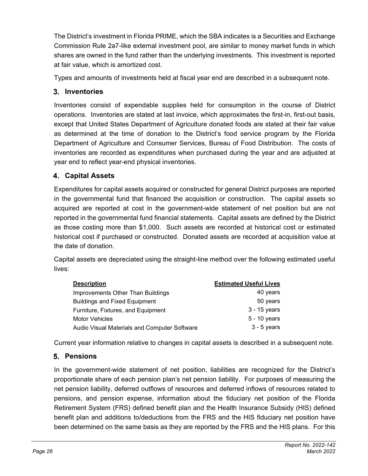The District's investment in Florida PRIME, which the SBA indicates is a Securities and Exchange Commission Rule 2a7-like external investment pool, are similar to money market funds in which shares are owned in the fund rather than the underlying investments. This investment is reported at fair value, which is amortized cost.

Types and amounts of investments held at fiscal year end are described in a subsequent note.

### **Inventories**

Inventories consist of expendable supplies held for consumption in the course of District operations. Inventories are stated at last invoice, which approximates the first-in, first-out basis, except that United States Department of Agriculture donated foods are stated at their fair value as determined at the time of donation to the District's food service program by the Florida Department of Agriculture and Consumer Services, Bureau of Food Distribution. The costs of inventories are recorded as expenditures when purchased during the year and are adjusted at year end to reflect year-end physical inventories.

### **Capital Assets**

Expenditures for capital assets acquired or constructed for general District purposes are reported in the governmental fund that financed the acquisition or construction. The capital assets so acquired are reported at cost in the government-wide statement of net position but are not reported in the governmental fund financial statements. Capital assets are defined by the District as those costing more than \$1,000. Such assets are recorded at historical cost or estimated historical cost if purchased or constructed. Donated assets are recorded at acquisition value at the date of donation.

Capital assets are depreciated using the straight-line method over the following estimated useful lives:

| <b>Description</b>                           | <b>Estimated Useful Lives</b> |
|----------------------------------------------|-------------------------------|
| Improvements Other Than Buildings            | 40 years                      |
| <b>Buildings and Fixed Equipment</b>         | 50 years                      |
| Furniture, Fixtures, and Equipment           | $3 - 15$ years                |
| <b>Motor Vehicles</b>                        | 5 - 10 years                  |
| Audio Visual Materials and Computer Software | $3 - 5$ years                 |

Current year information relative to changes in capital assets is described in a subsequent note.

### **Pensions**

In the government-wide statement of net position, liabilities are recognized for the District's proportionate share of each pension plan's net pension liability. For purposes of measuring the net pension liability, deferred outflows of resources and deferred inflows of resources related to pensions, and pension expense, information about the fiduciary net position of the Florida Retirement System (FRS) defined benefit plan and the Health Insurance Subsidy (HIS) defined benefit plan and additions to/deductions from the FRS and the HIS fiduciary net position have been determined on the same basis as they are reported by the FRS and the HIS plans. For this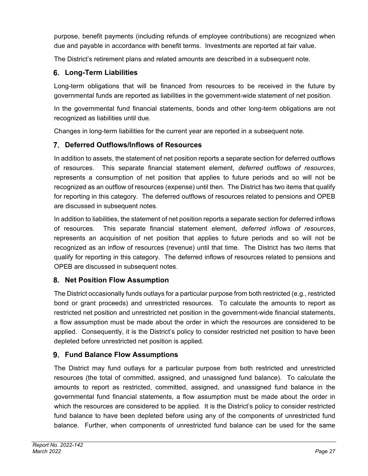purpose, benefit payments (including refunds of employee contributions) are recognized when due and payable in accordance with benefit terms. Investments are reported at fair value.

The District's retirement plans and related amounts are described in a subsequent note.

# **Long-Term Liabilities**

Long-term obligations that will be financed from resources to be received in the future by governmental funds are reported as liabilities in the government-wide statement of net position.

In the governmental fund financial statements, bonds and other long-term obligations are not recognized as liabilities until due.

Changes in long-term liabilities for the current year are reported in a subsequent note.

# **Deferred Outflows/Inflows of Resources**

In addition to assets, the statement of net position reports a separate section for deferred outflows of resources. This separate financial statement element, *deferred outflows of resources*, represents a consumption of net position that applies to future periods and so will not be recognized as an outflow of resources (expense) until then. The District has two items that qualify for reporting in this category. The deferred outflows of resources related to pensions and OPEB are discussed in subsequent notes.

In addition to liabilities, the statement of net position reports a separate section for deferred inflows of resources. This separate financial statement element, *deferred inflows of resources*, represents an acquisition of net position that applies to future periods and so will not be recognized as an inflow of resources (revenue) until that time. The District has two items that qualify for reporting in this category. The deferred inflows of resources related to pensions and OPEB are discussed in subsequent notes.

# **Net Position Flow Assumption**

The District occasionally funds outlays for a particular purpose from both restricted (e.g., restricted bond or grant proceeds) and unrestricted resources. To calculate the amounts to report as restricted net position and unrestricted net position in the government-wide financial statements, a flow assumption must be made about the order in which the resources are considered to be applied. Consequently, it is the District's policy to consider restricted net position to have been depleted before unrestricted net position is applied.

### **Fund Balance Flow Assumptions**

The District may fund outlays for a particular purpose from both restricted and unrestricted resources (the total of committed, assigned, and unassigned fund balance). To calculate the amounts to report as restricted, committed, assigned, and unassigned fund balance in the governmental fund financial statements, a flow assumption must be made about the order in which the resources are considered to be applied. It is the District's policy to consider restricted fund balance to have been depleted before using any of the components of unrestricted fund balance. Further, when components of unrestricted fund balance can be used for the same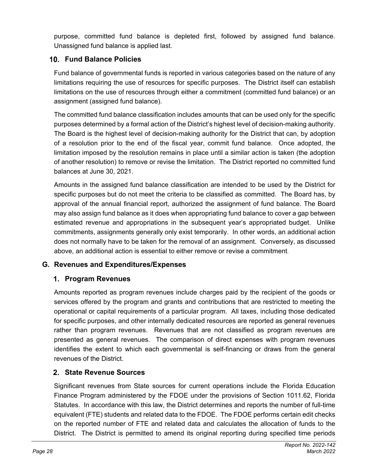purpose, committed fund balance is depleted first, followed by assigned fund balance. Unassigned fund balance is applied last.

### **Fund Balance Policies**

Fund balance of governmental funds is reported in various categories based on the nature of any limitations requiring the use of resources for specific purposes. The District itself can establish limitations on the use of resources through either a commitment (committed fund balance) or an assignment (assigned fund balance).

The committed fund balance classification includes amounts that can be used only for the specific purposes determined by a formal action of the District's highest level of decision-making authority. The Board is the highest level of decision-making authority for the District that can, by adoption of a resolution prior to the end of the fiscal year, commit fund balance. Once adopted, the limitation imposed by the resolution remains in place until a similar action is taken (the adoption of another resolution) to remove or revise the limitation. The District reported no committed fund balances at June 30, 2021.

Amounts in the assigned fund balance classification are intended to be used by the District for specific purposes but do not meet the criteria to be classified as committed. The Board has, by approval of the annual financial report, authorized the assignment of fund balance. The Board may also assign fund balance as it does when appropriating fund balance to cover a gap between estimated revenue and appropriations in the subsequent year's appropriated budget. Unlike commitments, assignments generally only exist temporarily. In other words, an additional action does not normally have to be taken for the removal of an assignment. Conversely, as discussed above, an additional action is essential to either remove or revise a commitment.

### **G. Revenues and Expenditures/Expenses**

### **Program Revenues**

Amounts reported as program revenues include charges paid by the recipient of the goods or services offered by the program and grants and contributions that are restricted to meeting the operational or capital requirements of a particular program. All taxes, including those dedicated for specific purposes, and other internally dedicated resources are reported as general revenues rather than program revenues. Revenues that are not classified as program revenues are presented as general revenues. The comparison of direct expenses with program revenues identifies the extent to which each governmental is self-financing or draws from the general revenues of the District.

### **State Revenue Sources**

Significant revenues from State sources for current operations include the Florida Education Finance Program administered by the FDOE under the provisions of Section 1011.62, Florida Statutes. In accordance with this law, the District determines and reports the number of full-time equivalent (FTE) students and related data to the FDOE. The FDOE performs certain edit checks on the reported number of FTE and related data and calculates the allocation of funds to the District. The District is permitted to amend its original reporting during specified time periods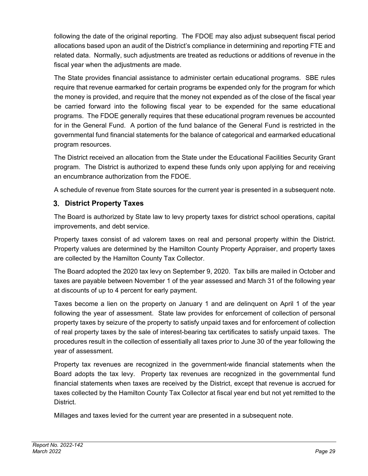following the date of the original reporting. The FDOE may also adjust subsequent fiscal period allocations based upon an audit of the District's compliance in determining and reporting FTE and related data. Normally, such adjustments are treated as reductions or additions of revenue in the fiscal year when the adjustments are made.

The State provides financial assistance to administer certain educational programs. SBE rules require that revenue earmarked for certain programs be expended only for the program for which the money is provided, and require that the money not expended as of the close of the fiscal year be carried forward into the following fiscal year to be expended for the same educational programs. The FDOE generally requires that these educational program revenues be accounted for in the General Fund. A portion of the fund balance of the General Fund is restricted in the governmental fund financial statements for the balance of categorical and earmarked educational program resources.

The District received an allocation from the State under the Educational Facilities Security Grant program. The District is authorized to expend these funds only upon applying for and receiving an encumbrance authorization from the FDOE.

A schedule of revenue from State sources for the current year is presented in a subsequent note.

## **District Property Taxes**

The Board is authorized by State law to levy property taxes for district school operations, capital improvements, and debt service.

Property taxes consist of ad valorem taxes on real and personal property within the District. Property values are determined by the Hamilton County Property Appraiser, and property taxes are collected by the Hamilton County Tax Collector.

The Board adopted the 2020 tax levy on September 9, 2020. Tax bills are mailed in October and taxes are payable between November 1 of the year assessed and March 31 of the following year at discounts of up to 4 percent for early payment.

Taxes become a lien on the property on January 1 and are delinquent on April 1 of the year following the year of assessment. State law provides for enforcement of collection of personal property taxes by seizure of the property to satisfy unpaid taxes and for enforcement of collection of real property taxes by the sale of interest-bearing tax certificates to satisfy unpaid taxes. The procedures result in the collection of essentially all taxes prior to June 30 of the year following the year of assessment.

Property tax revenues are recognized in the government-wide financial statements when the Board adopts the tax levy. Property tax revenues are recognized in the governmental fund financial statements when taxes are received by the District, except that revenue is accrued for taxes collected by the Hamilton County Tax Collector at fiscal year end but not yet remitted to the District.

Millages and taxes levied for the current year are presented in a subsequent note.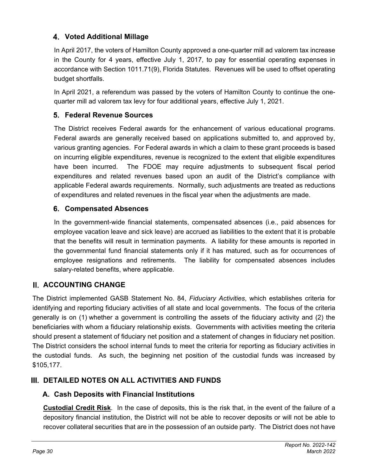### **Voted Additional Millage**

In April 2017, the voters of Hamilton County approved a one-quarter mill ad valorem tax increase in the County for 4 years, effective July 1, 2017, to pay for essential operating expenses in accordance with Section 1011.71(9), Florida Statutes. Revenues will be used to offset operating budget shortfalls.

In April 2021, a referendum was passed by the voters of Hamilton County to continue the onequarter mill ad valorem tax levy for four additional years, effective July 1, 2021.

### **Federal Revenue Sources**

The District receives Federal awards for the enhancement of various educational programs. Federal awards are generally received based on applications submitted to, and approved by, various granting agencies. For Federal awards in which a claim to these grant proceeds is based on incurring eligible expenditures, revenue is recognized to the extent that eligible expenditures have been incurred. The FDOE may require adjustments to subsequent fiscal period expenditures and related revenues based upon an audit of the District's compliance with applicable Federal awards requirements. Normally, such adjustments are treated as reductions of expenditures and related revenues in the fiscal year when the adjustments are made.

### **Compensated Absences**

In the government-wide financial statements, compensated absences (i.e., paid absences for employee vacation leave and sick leave) are accrued as liabilities to the extent that it is probable that the benefits will result in termination payments. A liability for these amounts is reported in the governmental fund financial statements only if it has matured, such as for occurrences of employee resignations and retirements. The liability for compensated absences includes salary-related benefits, where applicable.

### **ACCOUNTING CHANGE**

The District implemented GASB Statement No. 84, *Fiduciary Activities*, which establishes criteria for identifying and reporting fiduciary activities of all state and local governments. The focus of the criteria generally is on (1) whether a government is controlling the assets of the fiduciary activity and (2) the beneficiaries with whom a fiduciary relationship exists. Governments with activities meeting the criteria should present a statement of fiduciary net position and a statement of changes in fiduciary net position. The District considers the school internal funds to meet the criteria for reporting as fiduciary activities in the custodial funds. As such, the beginning net position of the custodial funds was increased by \$105,177.

### **DETAILED NOTES ON ALL ACTIVITIES AND FUNDS**

### **A. Cash Deposits with Financial Institutions**

**Custodial Credit Risk**. In the case of deposits, this is the risk that, in the event of the failure of a depository financial institution, the District will not be able to recover deposits or will not be able to recover collateral securities that are in the possession of an outside party. The District does not have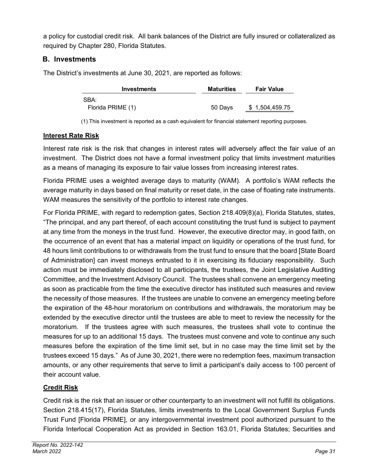a policy for custodial credit risk. All bank balances of the District are fully insured or collateralized as required by Chapter 280, Florida Statutes.

### **B. Investments**

The District's investments at June 30, 2021, are reported as follows:

| <b>Investments</b> | <b>Maturities</b> | <b>Fair Value</b> |
|--------------------|-------------------|-------------------|
| SBA:               |                   |                   |
| Florida PRIME (1)  | 50 Days           | \$1,504,459.75    |

(1) This investment is reported as a cash equivalent for financial statement reporting purposes.

### **Interest Rate Risk**

Interest rate risk is the risk that changes in interest rates will adversely affect the fair value of an investment. The District does not have a formal investment policy that limits investment maturities as a means of managing its exposure to fair value losses from increasing interest rates.

Florida PRIME uses a weighted average days to maturity (WAM). A portfolio's WAM reflects the average maturity in days based on final maturity or reset date, in the case of floating rate instruments. WAM measures the sensitivity of the portfolio to interest rate changes.

For Florida PRIME, with regard to redemption gates, Section 218.409(8)(a), Florida Statutes, states, "The principal, and any part thereof, of each account constituting the trust fund is subject to payment at any time from the moneys in the trust fund. However, the executive director may, in good faith, on the occurrence of an event that has a material impact on liquidity or operations of the trust fund, for 48 hours limit contributions to or withdrawals from the trust fund to ensure that the board [State Board of Administration] can invest moneys entrusted to it in exercising its fiduciary responsibility. Such action must be immediately disclosed to all participants, the trustees, the Joint Legislative Auditing Committee, and the Investment Advisory Council. The trustees shall convene an emergency meeting as soon as practicable from the time the executive director has instituted such measures and review the necessity of those measures. If the trustees are unable to convene an emergency meeting before the expiration of the 48-hour moratorium on contributions and withdrawals, the moratorium may be extended by the executive director until the trustees are able to meet to review the necessity for the moratorium. If the trustees agree with such measures, the trustees shall vote to continue the measures for up to an additional 15 days. The trustees must convene and vote to continue any such measures before the expiration of the time limit set, but in no case may the time limit set by the trustees exceed 15 days." As of June 30, 2021, there were no redemption fees, maximum transaction amounts, or any other requirements that serve to limit a participant's daily access to 100 percent of their account value.

### **Credit Risk**

Credit risk is the risk that an issuer or other counterparty to an investment will not fulfill its obligations. Section 218.415(17), Florida Statutes, limits investments to the Local Government Surplus Funds Trust Fund [Florida PRIME], or any intergovernmental investment pool authorized pursuant to the Florida Interlocal Cooperation Act as provided in Section 163.01, Florida Statutes; Securities and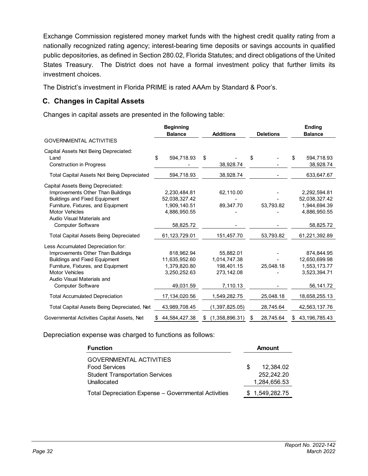Exchange Commission registered money market funds with the highest credit quality rating from a nationally recognized rating agency; interest-bearing time deposits or savings accounts in qualified public depositories, as defined in Section 280.02, Florida Statutes; and direct obligations of the United States Treasury. The District does not have a formal investment policy that further limits its investment choices.

The District's investment in Florida PRIME is rated AAAm by Standard & Poor's.

### **C. Changes in Capital Assets**

Changes in capital assets are presented in the following table:

|                                                                                                                                                                                                                                                                                          | <b>Beginning</b><br><b>Balance</b>                                                          | <b>Additions</b>                                      | <b>Deletions</b>       | <b>Ending</b><br><b>Balance</b>                                                             |  |
|------------------------------------------------------------------------------------------------------------------------------------------------------------------------------------------------------------------------------------------------------------------------------------------|---------------------------------------------------------------------------------------------|-------------------------------------------------------|------------------------|---------------------------------------------------------------------------------------------|--|
| <b>GOVERNMENTAL ACTIVITIES</b>                                                                                                                                                                                                                                                           |                                                                                             |                                                       |                        |                                                                                             |  |
| Capital Assets Not Being Depreciated:<br>Land<br><b>Construction in Progress</b>                                                                                                                                                                                                         | \$<br>594,718.93                                                                            | \$<br>38,928.74                                       | \$                     | \$<br>594,718.93<br>38,928.74                                                               |  |
| <b>Total Capital Assets Not Being Depreciated</b>                                                                                                                                                                                                                                        | 594,718.93                                                                                  | 38,928.74                                             |                        | 633,647.67                                                                                  |  |
| Capital Assets Being Depreciated:<br>Improvements Other Than Buildings<br><b>Buildings and Fixed Equipment</b><br>Furniture, Fixtures, and Equipment<br><b>Motor Vehicles</b><br>Audio Visual Materials and<br><b>Computer Software</b><br><b>Total Capital Assets Being Depreciated</b> | 2,230,484.81<br>52,038,327.42<br>1,909,140.51<br>4,886,950.55<br>58,825.72<br>61,123,729.01 | 62,110.00<br>89,347.70<br>151,457.70                  | 53,793.82<br>53,793.82 | 2,292,594.81<br>52,038,327.42<br>1,944,694.39<br>4,886,950.55<br>58,825.72<br>61,221,392.89 |  |
| Less Accumulated Depreciation for:<br>Improvements Other Than Buildings<br><b>Buildings and Fixed Equipment</b><br>Furniture, Fixtures, and Equipment<br><b>Motor Vehicles</b><br>Audio Visual Materials and                                                                             | 818,962.94<br>11.635.952.60<br>1,379,820.80<br>3,250,252.63                                 | 55,882.01<br>1,014,747.38<br>198,401.15<br>273,142.08 | 25,048.18              | 874,844.95<br>12.650.699.98<br>1,553,173.77<br>3,523,394.71                                 |  |
| <b>Computer Software</b>                                                                                                                                                                                                                                                                 | 49,031.59                                                                                   | 7,110.13                                              |                        | 56,141.72                                                                                   |  |
| <b>Total Accumulated Depreciation</b>                                                                                                                                                                                                                                                    | 17,134,020.56                                                                               | 1,549,282.75                                          | 25,048.18              | 18,658,255.13                                                                               |  |
| Total Capital Assets Being Depreciated, Net                                                                                                                                                                                                                                              | 43,989,708.45                                                                               | (1,397,825.05)                                        | 28,745.64              | 42,563,137.76                                                                               |  |
| Governmental Activities Capital Assets, Net                                                                                                                                                                                                                                              | 44,584,427.38<br>S.                                                                         | (1,358,896.31)<br>S                                   | 28,745.64<br>S         | 43,196,785.43<br>\$                                                                         |  |

Depreciation expense was charged to functions as follows:

| <b>Function</b>                                      |   | Amount         |  |  |
|------------------------------------------------------|---|----------------|--|--|
| <b>GOVERNMENTAL ACTIVITIES</b>                       |   |                |  |  |
| <b>Food Services</b>                                 | S | 12.384.02      |  |  |
| <b>Student Transportation Services</b>               |   | 252.242.20     |  |  |
| Unallocated                                          |   | 1,284,656.53   |  |  |
| Total Depreciation Expense - Governmental Activities |   | \$1,549,282.75 |  |  |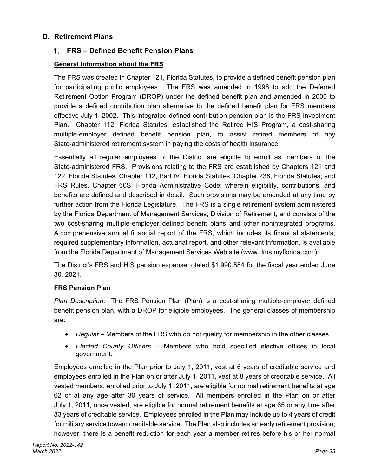### **D. Retirement Plans**

### **FRS – Defined Benefit Pension Plans**

### **General Information about the FRS**

The FRS was created in Chapter 121, Florida Statutes, to provide a defined benefit pension plan for participating public employees. The FRS was amended in 1998 to add the Deferred Retirement Option Program (DROP) under the defined benefit plan and amended in 2000 to provide a defined contribution plan alternative to the defined benefit plan for FRS members effective July 1, 2002. This integrated defined contribution pension plan is the FRS Investment Plan. Chapter 112, Florida Statutes, established the Retiree HIS Program, a cost-sharing multiple-employer defined benefit pension plan, to assist retired members of any State-administered retirement system in paying the costs of health insurance.

Essentially all regular employees of the District are eligible to enroll as members of the State-administered FRS. Provisions relating to the FRS are established by Chapters 121 and 122, Florida Statutes; Chapter 112, Part IV, Florida Statutes; Chapter 238, Florida Statutes; and FRS Rules, Chapter 60S, Florida Administrative Code; wherein eligibility, contributions, and benefits are defined and described in detail. Such provisions may be amended at any time by further action from the Florida Legislature. The FRS is a single retirement system administered by the Florida Department of Management Services, Division of Retirement, and consists of the two cost-sharing multiple-employer defined benefit plans and other nonintegrated programs. A comprehensive annual financial report of the FRS, which includes its financial statements, required supplementary information, actuarial report, and other relevant information, is available from the Florida Department of Management Services Web site (www.dms.myflorida.com).

The District's FRS and HIS pension expense totaled \$1,990,554 for the fiscal year ended June 30, 2021.

### **FRS Pension Plan**

*Plan Description*. The FRS Pension Plan (Plan) is a cost-sharing multiple-employer defined benefit pension plan, with a DROP for eligible employees. The general classes of membership are:

- *Regular* Members of the FRS who do not qualify for membership in the other classes.
- *Elected County Officers* Members who hold specified elective offices in local government.

Employees enrolled in the Plan prior to July 1, 2011, vest at 6 years of creditable service and employees enrolled in the Plan on or after July 1, 2011, vest at 8 years of creditable service. All vested members, enrolled prior to July 1, 2011, are eligible for normal retirement benefits at age 62 or at any age after 30 years of service. All members enrolled in the Plan on or after July 1, 2011, once vested, are eligible for normal retirement benefits at age 65 or any time after 33 years of creditable service. Employees enrolled in the Plan may include up to 4 years of credit for military service toward creditable service. The Plan also includes an early retirement provision; however, there is a benefit reduction for each year a member retires before his or her normal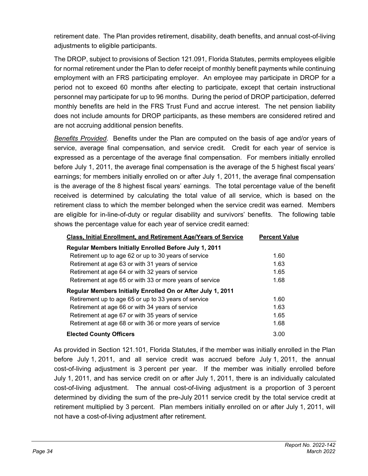retirement date. The Plan provides retirement, disability, death benefits, and annual cost-of-living adjustments to eligible participants.

The DROP, subject to provisions of Section 121.091, Florida Statutes, permits employees eligible for normal retirement under the Plan to defer receipt of monthly benefit payments while continuing employment with an FRS participating employer. An employee may participate in DROP for a period not to exceed 60 months after electing to participate, except that certain instructional personnel may participate for up to 96 months. During the period of DROP participation, deferred monthly benefits are held in the FRS Trust Fund and accrue interest. The net pension liability does not include amounts for DROP participants, as these members are considered retired and are not accruing additional pension benefits.

*Benefits Provided*. Benefits under the Plan are computed on the basis of age and/or years of service, average final compensation, and service credit. Credit for each year of service is expressed as a percentage of the average final compensation. For members initially enrolled before July 1, 2011, the average final compensation is the average of the 5 highest fiscal years' earnings; for members initially enrolled on or after July 1, 2011, the average final compensation is the average of the 8 highest fiscal years' earnings. The total percentage value of the benefit received is determined by calculating the total value of all service, which is based on the retirement class to which the member belonged when the service credit was earned. Members are eligible for in-line-of-duty or regular disability and survivors' benefits. The following table shows the percentage value for each year of service credit earned:

| Class, Initial Enrollment, and Retirement Age/Years of Service | <b>Percent Value</b> |
|----------------------------------------------------------------|----------------------|
| Regular Members Initially Enrolled Before July 1, 2011         |                      |
| Retirement up to age 62 or up to 30 years of service           | 1.60                 |
| Retirement at age 63 or with 31 years of service               | 1.63                 |
| Retirement at age 64 or with 32 years of service               | 1.65                 |
| Retirement at age 65 or with 33 or more years of service       | 1.68                 |
| Regular Members Initially Enrolled On or After July 1, 2011    |                      |
| Retirement up to age 65 or up to 33 years of service           | 1.60                 |
| Retirement at age 66 or with 34 years of service               | 1.63                 |
| Retirement at age 67 or with 35 years of service               | 1.65                 |
| Retirement at age 68 or with 36 or more years of service       | 1.68                 |
| <b>Elected County Officers</b>                                 | 3.00                 |

As provided in Section 121.101, Florida Statutes, if the member was initially enrolled in the Plan before July 1, 2011, and all service credit was accrued before July 1, 2011, the annual cost-of-living adjustment is 3 percent per year. If the member was initially enrolled before July 1, 2011, and has service credit on or after July 1, 2011, there is an individually calculated cost-of-living adjustment. The annual cost-of-living adjustment is a proportion of 3 percent determined by dividing the sum of the pre-July 2011 service credit by the total service credit at retirement multiplied by 3 percent. Plan members initially enrolled on or after July 1, 2011, will not have a cost-of-living adjustment after retirement.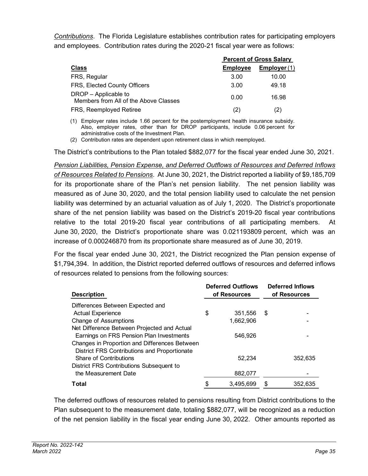*Contributions*. The Florida Legislature establishes contribution rates for participating employers and employees. Contribution rates during the 2020-21 fiscal year were as follows:

|                                                               |                 | <b>Percent of Gross Salary</b> |
|---------------------------------------------------------------|-----------------|--------------------------------|
| <b>Class</b>                                                  | <b>Employee</b> | Employer (1)                   |
| FRS, Regular                                                  | 3.00            | 10.00                          |
| FRS, Elected County Officers                                  | 3.00            | 49.18                          |
| DROP - Applicable to<br>Members from All of the Above Classes | 0.00            | 16.98                          |
| FRS, Reemployed Retiree                                       | (2)             | (2)                            |

(1) Employer rates include 1.66 percent for the postemployment health insurance subsidy. Also, employer rates, other than for DROP participants, include 0.06 percent for administrative costs of the Investment Plan.

(2) Contribution rates are dependent upon retirement class in which reemployed.

The District's contributions to the Plan totaled \$882,077 for the fiscal year ended June 30, 2021.

*Pension Liabilities, Pension Expense, and Deferred Outflows of Resources and Deferred Inflows of Resources Related to Pensions*. At June 30, 2021, the District reported a liability of \$9,185,709 for its proportionate share of the Plan's net pension liability. The net pension liability was measured as of June 30, 2020, and the total pension liability used to calculate the net pension liability was determined by an actuarial valuation as of July 1, 2020. The District's proportionate share of the net pension liability was based on the District's 2019-20 fiscal year contributions relative to the total 2019-20 fiscal year contributions of all participating members. At June 30, 2020, the District's proportionate share was 0.021193809 percent, which was an increase of 0.000246870 from its proportionate share measured as of June 30, 2019.

For the fiscal year ended June 30, 2021, the District recognized the Plan pension expense of \$1,794,394. In addition, the District reported deferred outflows of resources and deferred inflows of resources related to pensions from the following sources:

| <b>Description</b>                            | <b>Deferred Outflows</b><br>of Resources |           | <b>Deferred Inflows</b><br>of Resources |         |
|-----------------------------------------------|------------------------------------------|-----------|-----------------------------------------|---------|
| Differences Between Expected and              |                                          |           |                                         |         |
| <b>Actual Experience</b>                      | \$                                       | 351,556   | \$                                      |         |
| <b>Change of Assumptions</b>                  |                                          | 1,662,906 |                                         |         |
| Net Difference Between Projected and Actual   |                                          |           |                                         |         |
| Earnings on FRS Pension Plan Investments      |                                          | 546.926   |                                         |         |
| Changes in Proportion and Differences Between |                                          |           |                                         |         |
| District FRS Contributions and Proportionate  |                                          |           |                                         |         |
| <b>Share of Contributions</b>                 |                                          | 52.234    |                                         | 352,635 |
| District FRS Contributions Subsequent to      |                                          |           |                                         |         |
| the Measurement Date                          |                                          | 882,077   |                                         |         |
| Total                                         | .ፍ                                       | 3,495,699 | S                                       | 352.635 |

The deferred outflows of resources related to pensions resulting from District contributions to the Plan subsequent to the measurement date, totaling \$882,077, will be recognized as a reduction of the net pension liability in the fiscal year ending June 30, 2022. Other amounts reported as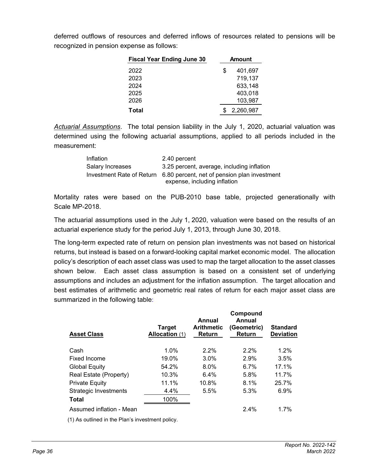| <b>Fiscal Year Ending June 30</b> | Amount |           |
|-----------------------------------|--------|-----------|
| 2022                              | S      | 401,697   |
| 2023                              |        | 719,137   |
| 2024                              |        | 633,148   |
| 2025                              |        | 403,018   |
| 2026                              |        | 103,987   |
| Total                             |        | 2,260,987 |

deferred outflows of resources and deferred inflows of resources related to pensions will be recognized in pension expense as follows:

*Actuarial Assumptions*. The total pension liability in the July 1, 2020, actuarial valuation was determined using the following actuarial assumptions, applied to all periods included in the measurement:

| <b>Inflation</b> | 2.40 percent                                                           |
|------------------|------------------------------------------------------------------------|
| Salary Increases | 3.25 percent, average, including inflation                             |
|                  | Investment Rate of Return 6.80 percent, net of pension plan investment |
|                  | expense, including inflation                                           |

Mortality rates were based on the PUB-2010 base table, projected generationally with Scale MP-2018.

The actuarial assumptions used in the July 1, 2020, valuation were based on the results of an actuarial experience study for the period July 1, 2013, through June 30, 2018.

The long-term expected rate of return on pension plan investments was not based on historical returns, but instead is based on a forward-looking capital market economic model. The allocation policy's description of each asset class was used to map the target allocation to the asset classes shown below. Each asset class assumption is based on a consistent set of underlying assumptions and includes an adjustment for the inflation assumption. The target allocation and best estimates of arithmetic and geometric real rates of return for each major asset class are summarized in the following table:

| <b>Asset Class</b>           | <b>Target</b><br><b>Allocation (1)</b> | Annual<br><b>Arithmetic</b><br><b>Return</b> | Compound<br>Annual<br>(Geometric)<br>Return | <b>Standard</b><br><b>Deviation</b> |
|------------------------------|----------------------------------------|----------------------------------------------|---------------------------------------------|-------------------------------------|
| Cash                         | 1.0%                                   | $2.2\%$                                      | $2.2\%$                                     | $1.2\%$                             |
| Fixed Income                 | 19.0%                                  | 3.0%                                         | 2.9%                                        | 3.5%                                |
| <b>Global Equity</b>         | 54.2%                                  | 8.0%                                         | 6.7%                                        | 17.1%                               |
| Real Estate (Property)       | 10.3%                                  | 6.4%                                         | 5.8%                                        | 11.7%                               |
| <b>Private Equity</b>        | 11.1%                                  | 10.8%                                        | 8.1%                                        | 25.7%                               |
| <b>Strategic Investments</b> | 4.4%                                   | 5.5%                                         | 5.3%                                        | 6.9%                                |
| <b>Total</b>                 | 100%                                   |                                              |                                             |                                     |
| Assumed inflation - Mean     |                                        |                                              | 2.4%                                        | 1.7%                                |

(1) As outlined in the Plan's investment policy.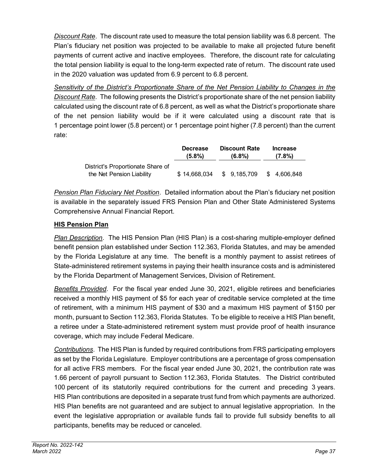*Discount Rate*. The discount rate used to measure the total pension liability was 6.8 percent. The Plan's fiduciary net position was projected to be available to make all projected future benefit payments of current active and inactive employees. Therefore, the discount rate for calculating the total pension liability is equal to the long-term expected rate of return. The discount rate used in the 2020 valuation was updated from 6.9 percent to 6.8 percent.

*Sensitivity of the District's Proportionate Share of the Net Pension Liability to Changes in the Discount Rate*. The following presents the District's proportionate share of the net pension liability calculated using the discount rate of 6.8 percent, as well as what the District's proportionate share of the net pension liability would be if it were calculated using a discount rate that is 1 percentage point lower (5.8 percent) or 1 percentage point higher (7.8 percent) than the current rate:

|                                                                | <b>Decrease</b><br>$(5.8\%)$ | <b>Discount Rate</b><br>$(6.8\%)$ | <b>Increase</b><br>$(7.8\%)$ |
|----------------------------------------------------------------|------------------------------|-----------------------------------|------------------------------|
| District's Proportionate Share of<br>the Net Pension Liability | \$14.668.034                 | \$9.185.709                       | \$4,606,848                  |

*Pension Plan Fiduciary Net Position*. Detailed information about the Plan's fiduciary net position is available in the separately issued FRS Pension Plan and Other State Administered Systems Comprehensive Annual Financial Report.

### **HIS Pension Plan**

*Plan Description*. The HIS Pension Plan (HIS Plan) is a cost-sharing multiple-employer defined benefit pension plan established under Section 112.363, Florida Statutes, and may be amended by the Florida Legislature at any time. The benefit is a monthly payment to assist retirees of State-administered retirement systems in paying their health insurance costs and is administered by the Florida Department of Management Services, Division of Retirement.

*Benefits Provided*. For the fiscal year ended June 30, 2021, eligible retirees and beneficiaries received a monthly HIS payment of \$5 for each year of creditable service completed at the time of retirement, with a minimum HIS payment of \$30 and a maximum HIS payment of \$150 per month, pursuant to Section 112.363, Florida Statutes. To be eligible to receive a HIS Plan benefit, a retiree under a State-administered retirement system must provide proof of health insurance coverage, which may include Federal Medicare.

*Contributions*. The HIS Plan is funded by required contributions from FRS participating employers as set by the Florida Legislature. Employer contributions are a percentage of gross compensation for all active FRS members. For the fiscal year ended June 30, 2021, the contribution rate was 1.66 percent of payroll pursuant to Section 112.363, Florida Statutes. The District contributed 100 percent of its statutorily required contributions for the current and preceding 3 years. HIS Plan contributions are deposited in a separate trust fund from which payments are authorized. HIS Plan benefits are not guaranteed and are subject to annual legislative appropriation. In the event the legislative appropriation or available funds fail to provide full subsidy benefits to all participants, benefits may be reduced or canceled.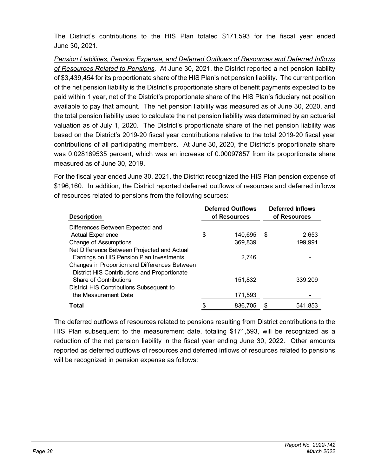The District's contributions to the HIS Plan totaled \$171,593 for the fiscal year ended June 30, 2021.

*Pension Liabilities, Pension Expense, and Deferred Outflows of Resources and Deferred Inflows of Resources Related to Pensions*. At June 30, 2021, the District reported a net pension liability of \$3,439,454 for its proportionate share of the HIS Plan's net pension liability. The current portion of the net pension liability is the District's proportionate share of benefit payments expected to be paid within 1 year, net of the District's proportionate share of the HIS Plan's fiduciary net position available to pay that amount. The net pension liability was measured as of June 30, 2020, and the total pension liability used to calculate the net pension liability was determined by an actuarial valuation as of July 1, 2020. The District's proportionate share of the net pension liability was based on the District's 2019-20 fiscal year contributions relative to the total 2019-20 fiscal year contributions of all participating members. At June 30, 2020, the District's proportionate share was 0.028169535 percent, which was an increase of 0.00097857 from its proportionate share measured as of June 30, 2019.

For the fiscal year ended June 30, 2021, the District recognized the HIS Plan pension expense of \$196,160. In addition, the District reported deferred outflows of resources and deferred inflows of resources related to pensions from the following sources:

| <b>Description</b>                            | <b>Deferred Outflows</b><br>of Resources |         |    | <b>Deferred Inflows</b><br>of Resources |
|-----------------------------------------------|------------------------------------------|---------|----|-----------------------------------------|
| Differences Between Expected and              |                                          |         |    |                                         |
| <b>Actual Experience</b>                      | \$                                       | 140,695 | \$ | 2,653                                   |
| <b>Change of Assumptions</b>                  |                                          | 369,839 |    | 199,991                                 |
| Net Difference Between Projected and Actual   |                                          |         |    |                                         |
| Earnings on HIS Pension Plan Investments      |                                          | 2.746   |    |                                         |
| Changes in Proportion and Differences Between |                                          |         |    |                                         |
| District HIS Contributions and Proportionate  |                                          |         |    |                                         |
| <b>Share of Contributions</b>                 |                                          | 151,832 |    | 339,209                                 |
| District HIS Contributions Subsequent to      |                                          |         |    |                                         |
| the Measurement Date                          |                                          | 171,593 |    |                                         |
| Total                                         | \$                                       | 836,705 | S  | 541,853                                 |

The deferred outflows of resources related to pensions resulting from District contributions to the HIS Plan subsequent to the measurement date, totaling \$171,593, will be recognized as a reduction of the net pension liability in the fiscal year ending June 30, 2022. Other amounts reported as deferred outflows of resources and deferred inflows of resources related to pensions will be recognized in pension expense as follows: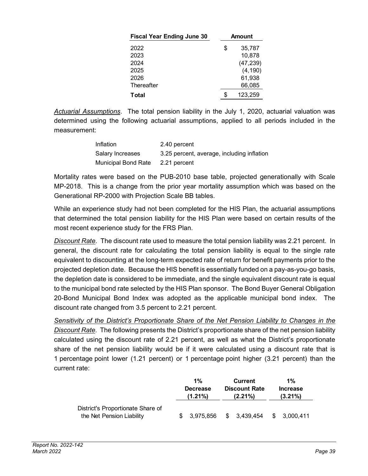| <b>Fiscal Year Ending June 30</b> |    | Amount    |  |  |
|-----------------------------------|----|-----------|--|--|
| 2022                              | \$ | 35,787    |  |  |
| 2023                              |    | 10,878    |  |  |
| 2024                              |    | (47, 239) |  |  |
| 2025                              |    | (4, 190)  |  |  |
| 2026                              |    | 61,938    |  |  |
| Thereafter                        |    | 66,085    |  |  |
| Total                             | S. | 123,259   |  |  |

*Actuarial Assumptions*. The total pension liability in the July 1, 2020, actuarial valuation was determined using the following actuarial assumptions, applied to all periods included in the measurement:

| Inflation                  | 2.40 percent                               |
|----------------------------|--------------------------------------------|
| Salary Increases           | 3.25 percent, average, including inflation |
| <b>Municipal Bond Rate</b> | 2.21 percent                               |

Mortality rates were based on the PUB-2010 base table, projected generationally with Scale MP-2018. This is a change from the prior year mortality assumption which was based on the Generational RP-2000 with Projection Scale BB tables.

While an experience study had not been completed for the HIS Plan, the actuarial assumptions that determined the total pension liability for the HIS Plan were based on certain results of the most recent experience study for the FRS Plan.

*Discount Rate*. The discount rate used to measure the total pension liability was 2.21 percent. In general, the discount rate for calculating the total pension liability is equal to the single rate equivalent to discounting at the long-term expected rate of return for benefit payments prior to the projected depletion date. Because the HIS benefit is essentially funded on a pay-as-you-go basis, the depletion date is considered to be immediate, and the single equivalent discount rate is equal to the municipal bond rate selected by the HIS Plan sponsor. The Bond Buyer General Obligation 20-Bond Municipal Bond Index was adopted as the applicable municipal bond index. The discount rate changed from 3.5 percent to 2.21 percent.

*Sensitivity of the District's Proportionate Share of the Net Pension Liability to Changes in the Discount Rate*. The following presents the District's proportionate share of the net pension liability calculated using the discount rate of 2.21 percent, as well as what the District's proportionate share of the net pension liability would be if it were calculated using a discount rate that is 1 percentage point lower (1.21 percent) or 1 percentage point higher (3.21 percent) than the current rate:

|                                                                | 1%                            | <b>Current</b>                     | 1%                            |
|----------------------------------------------------------------|-------------------------------|------------------------------------|-------------------------------|
|                                                                | <b>Decrease</b><br>$(1.21\%)$ | <b>Discount Rate</b><br>$(2.21\%)$ | <b>Increase</b><br>$(3.21\%)$ |
| District's Proportionate Share of<br>the Net Pension Liability | \$ 3.975.856                  | $$3,439,454$ $$3,000,411$          |                               |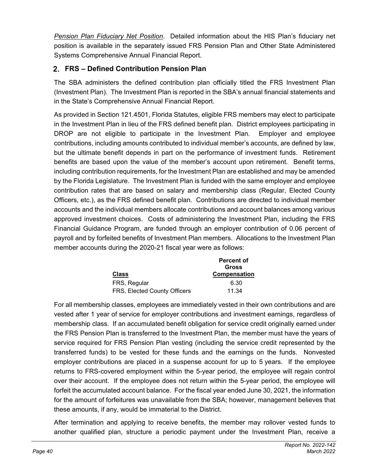*Pension Plan Fiduciary Net Position*. Detailed information about the HIS Plan's fiduciary net position is available in the separately issued FRS Pension Plan and Other State Administered Systems Comprehensive Annual Financial Report.

### **FRS – Defined Contribution Pension Plan**

The SBA administers the defined contribution plan officially titled the FRS Investment Plan (Investment Plan). The Investment Plan is reported in the SBA's annual financial statements and in the State's Comprehensive Annual Financial Report.

As provided in Section 121.4501, Florida Statutes, eligible FRS members may elect to participate in the Investment Plan in lieu of the FRS defined benefit plan. District employees participating in DROP are not eligible to participate in the Investment Plan. Employer and employee contributions, including amounts contributed to individual member's accounts, are defined by law, but the ultimate benefit depends in part on the performance of investment funds. Retirement benefits are based upon the value of the member's account upon retirement. Benefit terms, including contribution requirements, for the Investment Plan are established and may be amended by the Florida Legislature. The Investment Plan is funded with the same employer and employee contribution rates that are based on salary and membership class (Regular, Elected County Officers, etc.), as the FRS defined benefit plan. Contributions are directed to individual member accounts and the individual members allocate contributions and account balances among various approved investment choices. Costs of administering the Investment Plan, including the FRS Financial Guidance Program, are funded through an employer contribution of 0.06 percent of payroll and by forfeited benefits of Investment Plan members. Allocations to the Investment Plan member accounts during the 2020-21 fiscal year were as follows:

|                              | <b>Percent of</b> |
|------------------------------|-------------------|
|                              | Gross             |
| <b>Class</b>                 | Compensation      |
| FRS, Regular                 | 6.30              |
| FRS, Elected County Officers | 11.34             |

For all membership classes, employees are immediately vested in their own contributions and are vested after 1 year of service for employer contributions and investment earnings, regardless of membership class. If an accumulated benefit obligation for service credit originally earned under the FRS Pension Plan is transferred to the Investment Plan, the member must have the years of service required for FRS Pension Plan vesting (including the service credit represented by the transferred funds) to be vested for these funds and the earnings on the funds. Nonvested employer contributions are placed in a suspense account for up to 5 years. If the employee returns to FRS-covered employment within the 5-year period, the employee will regain control over their account. If the employee does not return within the 5-year period, the employee will forfeit the accumulated account balance. For the fiscal year ended June 30, 2021, the information for the amount of forfeitures was unavailable from the SBA; however, management believes that these amounts, if any, would be immaterial to the District.

After termination and applying to receive benefits, the member may rollover vested funds to another qualified plan, structure a periodic payment under the Investment Plan, receive a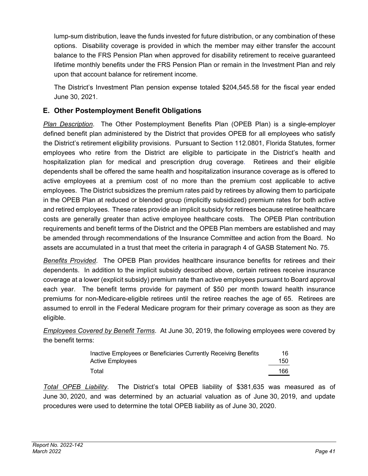lump-sum distribution, leave the funds invested for future distribution, or any combination of these options. Disability coverage is provided in which the member may either transfer the account balance to the FRS Pension Plan when approved for disability retirement to receive guaranteed lifetime monthly benefits under the FRS Pension Plan or remain in the Investment Plan and rely upon that account balance for retirement income.

The District's Investment Plan pension expense totaled \$204,545.58 for the fiscal year ended June 30, 2021.

### **E. Other Postemployment Benefit Obligations**

*Plan Description*. The Other Postemployment Benefits Plan (OPEB Plan) is a single-employer defined benefit plan administered by the District that provides OPEB for all employees who satisfy the District's retirement eligibility provisions. Pursuant to Section 112.0801, Florida Statutes, former employees who retire from the District are eligible to participate in the District's health and hospitalization plan for medical and prescription drug coverage. Retirees and their eligible dependents shall be offered the same health and hospitalization insurance coverage as is offered to active employees at a premium cost of no more than the premium cost applicable to active employees. The District subsidizes the premium rates paid by retirees by allowing them to participate in the OPEB Plan at reduced or blended group (implicitly subsidized) premium rates for both active and retired employees. These rates provide an implicit subsidy for retirees because retiree healthcare costs are generally greater than active employee healthcare costs. The OPEB Plan contribution requirements and benefit terms of the District and the OPEB Plan members are established and may be amended through recommendations of the Insurance Committee and action from the Board. No assets are accumulated in a trust that meet the criteria in paragraph 4 of GASB Statement No. 75.

*Benefits Provided*.The OPEB Plan provides healthcare insurance benefits for retirees and their dependents. In addition to the implicit subsidy described above, certain retirees receive insurance coverage at a lower (explicit subsidy) premium rate than active employees pursuant to Board approval each year. The benefit terms provide for payment of \$50 per month toward health insurance premiums for non-Medicare-eligible retirees until the retiree reaches the age of 65. Retirees are assumed to enroll in the Federal Medicare program for their primary coverage as soon as they are eligible.

*Employees Covered by Benefit Terms*. At June 30, 2019, the following employees were covered by the benefit terms:

| Inactive Employees or Beneficiaries Currently Receiving Benefits | 16  |
|------------------------------------------------------------------|-----|
| <b>Active Employees</b>                                          | 150 |
| Total                                                            | 166 |

*Total OPEB Liability*. The District's total OPEB liability of \$381,635 was measured as of June 30, 2020, and was determined by an actuarial valuation as of June 30, 2019, and update procedures were used to determine the total OPEB liability as of June 30, 2020.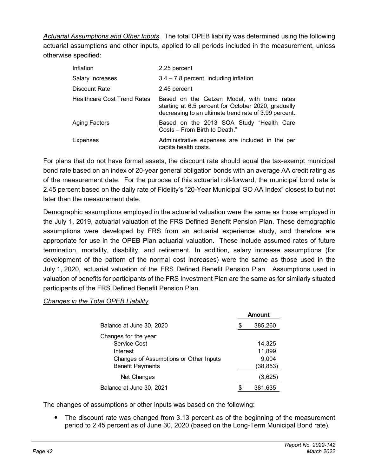*Actuarial Assumptions and Other Inputs*. The total OPEB liability was determined using the following actuarial assumptions and other inputs, applied to all periods included in the measurement, unless otherwise specified:

| Inflation                          | 2.25 percent                                                                                                                                                |
|------------------------------------|-------------------------------------------------------------------------------------------------------------------------------------------------------------|
| Salary Increases                   | $3.4 - 7.8$ percent, including inflation                                                                                                                    |
| Discount Rate                      | 2.45 percent                                                                                                                                                |
| <b>Healthcare Cost Trend Rates</b> | Based on the Getzen Model, with trend rates<br>starting at 6.5 percent for October 2020, gradually<br>decreasing to an ultimate trend rate of 3.99 percent. |
| Aging Factors                      | Based on the 2013 SOA Study "Health Care<br>Costs – From Birth to Death."                                                                                   |
| Expenses                           | Administrative expenses are included in the per<br>capita health costs.                                                                                     |

For plans that do not have formal assets, the discount rate should equal the tax-exempt municipal bond rate based on an index of 20-year general obligation bonds with an average AA credit rating as of the measurement date. For the purpose of this actuarial roll-forward, the municipal bond rate is 2.45 percent based on the daily rate of Fidelity's "20-Year Municipal GO AA Index" closest to but not later than the measurement date.

Demographic assumptions employed in the actuarial valuation were the same as those employed in the July 1, 2019, actuarial valuation of the FRS Defined Benefit Pension Plan. These demographic assumptions were developed by FRS from an actuarial experience study, and therefore are appropriate for use in the OPEB Plan actuarial valuation. These include assumed rates of future termination, mortality, disability, and retirement. In addition, salary increase assumptions (for development of the pattern of the normal cost increases) were the same as those used in the July 1, 2020, actuarial valuation of the FRS Defined Benefit Pension Plan. Assumptions used in valuation of benefits for participants of the FRS Investment Plan are the same as for similarly situated participants of the FRS Defined Benefit Pension Plan.

### *Changes in the Total OPEB Liability*.

|                                        | Amount |           |
|----------------------------------------|--------|-----------|
| Balance at June 30, 2020               | \$     | 385,260   |
| Changes for the year:                  |        |           |
| Service Cost                           |        | 14,325    |
| Interest                               |        | 11,899    |
| Changes of Assumptions or Other Inputs |        | 9,004     |
| <b>Benefit Payments</b>                |        | (38, 853) |
| Net Changes                            |        | (3,625)   |
| Balance at June 30, 2021               | S.     | 381,635   |

**Amount**

The changes of assumptions or other inputs was based on the following:

• The discount rate was changed from 3.13 percent as of the beginning of the measurement period to 2.45 percent as of June 30, 2020 (based on the Long-Term Municipal Bond rate).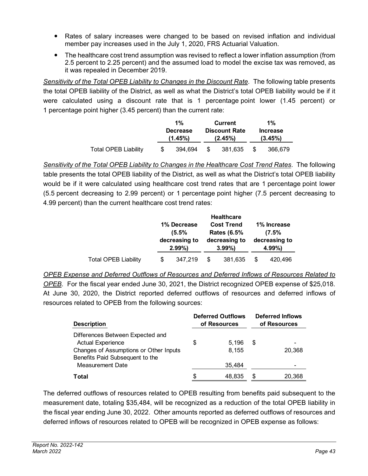- Rates of salary increases were changed to be based on revised inflation and individual member pay increases used in the July 1, 2020, FRS Actuarial Valuation.
- The healthcare cost trend assumption was revised to reflect a lower inflation assumption (from 2.5 percent to 2.25 percent) and the assumed load to model the excise tax was removed, as it was repealed in December 2019.

*Sensitivity of the Total OPEB Liability to Changes in the Discount Rate*. The following table presents the total OPEB liability of the District, as well as what the District's total OPEB liability would be if it were calculated using a discount rate that is 1 percentage point lower (1.45 percent) or 1 percentage point higher (3.45 percent) than the current rate:

|                             | 1%<br><b>Decrease</b><br>(1.45%) | <b>Current</b><br><b>Discount Rate</b><br>$(2.45\%)$ |         | $1\%$<br><b>Increase</b><br>(3.45%) |  |
|-----------------------------|----------------------------------|------------------------------------------------------|---------|-------------------------------------|--|
| <b>Total OPEB Liability</b> | 394.694                          |                                                      | 381.635 | 366,679                             |  |

*Sensitivity of the Total OPEB Liability to Changes in the Healthcare Cost Trend Rates*. The following table presents the total OPEB liability of the District, as well as what the District's total OPEB liability would be if it were calculated using healthcare cost trend rates that are 1 percentage point lower (5.5 percent decreasing to 2.99 percent) or 1 percentage point higher (7.5 percent decreasing to 4.99 percent) than the current healthcare cost trend rates:

|                             | 1% Decrease<br>(5.5%<br>decreasing to<br>$2.99\%$ |         |   | <b>Healthcare</b><br><b>Cost Trend</b><br><b>Rates (6.5%</b><br>decreasing to<br>$3.99\%$ | 1% Increase<br>(7.5%<br>decreasing to<br>4.99%) |
|-----------------------------|---------------------------------------------------|---------|---|-------------------------------------------------------------------------------------------|-------------------------------------------------|
| <b>Total OPEB Liability</b> | \$                                                | 347,219 | S | 381,635                                                                                   | 420,496                                         |

*OPEB Expense and Deferred Outflows of Resources and Deferred Inflows of Resources Related to OPEB*. For the fiscal year ended June 30, 2021, the District recognized OPEB expense of \$25,018. At June 30, 2020, the District reported deferred outflows of resources and deferred inflows of resources related to OPEB from the following sources:

| <b>Description</b>                                                                                                                                                   |   | <b>Deferred Outflows</b><br>of Resources | <b>Deferred Inflows</b><br>of Resources |        |  |
|----------------------------------------------------------------------------------------------------------------------------------------------------------------------|---|------------------------------------------|-----------------------------------------|--------|--|
| Differences Between Expected and<br><b>Actual Experience</b><br>Changes of Assumptions or Other Inputs<br>Benefits Paid Subsequent to the<br><b>Measurement Date</b> | S | 5,196<br>8,155<br>35,484                 | \$                                      | 20,368 |  |
| Total                                                                                                                                                                | S | 48.835                                   | S                                       | 20.368 |  |

The deferred outflows of resources related to OPEB resulting from benefits paid subsequent to the measurement date, totaling \$35,484, will be recognized as a reduction of the total OPEB liability in the fiscal year ending June 30, 2022. Other amounts reported as deferred outflows of resources and deferred inflows of resources related to OPEB will be recognized in OPEB expense as follows: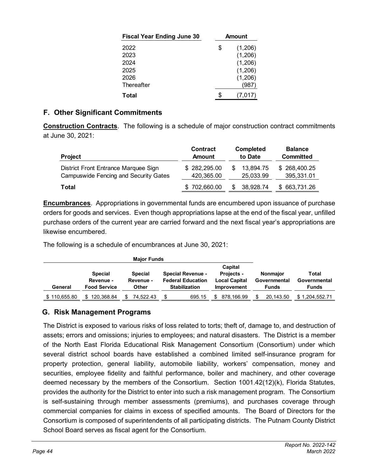| <b>Fiscal Year Ending June 30</b> |   | Amount  |  |  |
|-----------------------------------|---|---------|--|--|
| 2022                              | S | (1,206) |  |  |
| 2023                              |   | (1,206) |  |  |
| 2024                              |   | (1,206) |  |  |
| 2025                              |   | (1,206) |  |  |
| 2026                              |   | (1,206) |  |  |
| Thereafter                        |   | (987)   |  |  |
| Total                             |   | (7.017) |  |  |

### **F. Other Significant Commitments**

**Construction Contracts**. The following is a schedule of major construction contract commitments at June 30, 2021:

| <b>Project</b>                                                                | <b>Completed</b><br><b>Contract</b><br>to Date<br><b>Amount</b> |                        | <b>Balance</b><br>Committed |  |
|-------------------------------------------------------------------------------|-----------------------------------------------------------------|------------------------|-----------------------------|--|
| District Front Entrance Marquee Sign<br>Campuswide Fencing and Security Gates | \$282,295.00<br>420,365.00                                      | 13.894.75<br>25,033.99 | \$268,400.25<br>395,331.01  |  |
| Total                                                                         | \$702,660.00                                                    | 38,928.74              | \$663,731.26                |  |

**Encumbrances**. Appropriations in governmental funds are encumbered upon issuance of purchase orders for goods and services. Even though appropriations lapse at the end of the fiscal year, unfilled purchase orders of the current year are carried forward and the next fiscal year's appropriations are likewise encumbered.

The following is a schedule of encumbrances at June 30, 2021:

|              |                                                    | <b>Major Funds</b>                   |                                                                              |                                                              |                                                 |                                       |
|--------------|----------------------------------------------------|--------------------------------------|------------------------------------------------------------------------------|--------------------------------------------------------------|-------------------------------------------------|---------------------------------------|
| General      | <b>Special</b><br>Revenue -<br><b>Food Service</b> | <b>Special</b><br>Revenue -<br>Other | <b>Special Revenue -</b><br><b>Federal Education</b><br><b>Stabilization</b> | Capital<br>Projects -<br><b>Local Capital</b><br>Improvement | <b>Nonmajor</b><br>Governmental<br><b>Funds</b> | Total<br>Governmental<br><b>Funds</b> |
| \$110.655.80 | 120.368.84                                         | 74.522.43                            | 695.15                                                                       | 878.166.99                                                   | 20.143.50                                       | \$1.204.552.71                        |

### **G. Risk Management Programs**

The District is exposed to various risks of loss related to torts; theft of, damage to, and destruction of assets; errors and omissions; injuries to employees; and natural disasters. The District is a member of the North East Florida Educational Risk Management Consortium (Consortium) under which several district school boards have established a combined limited self-insurance program for property protection, general liability, automobile liability, workers' compensation, money and securities, employee fidelity and faithful performance, boiler and machinery, and other coverage deemed necessary by the members of the Consortium. Section 1001.42(12)(k), Florida Statutes, provides the authority for the District to enter into such a risk management program. The Consortium is self-sustaining through member assessments (premiums), and purchases coverage through commercial companies for claims in excess of specified amounts. The Board of Directors for the Consortium is composed of superintendents of all participating districts. The Putnam County District School Board serves as fiscal agent for the Consortium.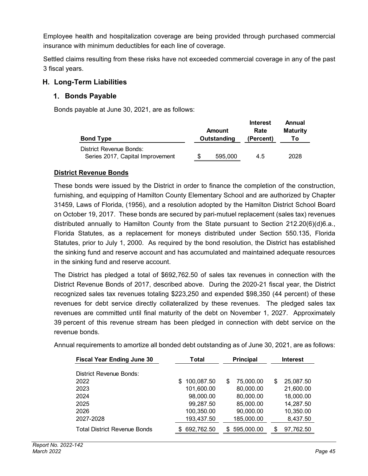Employee health and hospitalization coverage are being provided through purchased commercial insurance with minimum deductibles for each line of coverage.

Settled claims resulting from these risks have not exceeded commercial coverage in any of the past 3 fiscal years.

### **H. Long-Term Liabilities**

### **Bonds Payable**

Bonds payable at June 30, 2021, are as follows:

| <b>Bond Type</b>                 |  | Amount<br>Outstanding | <b>Interest</b><br>Rate<br>(Percent) | Annual<br><b>Maturity</b><br>Τo |  |
|----------------------------------|--|-----------------------|--------------------------------------|---------------------------------|--|
| District Revenue Bonds:          |  |                       |                                      |                                 |  |
| Series 2017, Capital Improvement |  | 595,000               | 4.5                                  | 2028                            |  |

#### **District Revenue Bonds**

These bonds were issued by the District in order to finance the completion of the construction, furnishing, and equipping of Hamilton County Elementary School and are authorized by Chapter 31459, Laws of Florida, (1956), and a resolution adopted by the Hamilton District School Board on October 19, 2017. These bonds are secured by pari-mutuel replacement (sales tax) revenues distributed annually to Hamilton County from the State pursuant to Section 212.20(6)(d)6.a., Florida Statutes, as a replacement for moneys distributed under Section 550.135, Florida Statutes, prior to July 1, 2000. As required by the bond resolution, the District has established the sinking fund and reserve account and has accumulated and maintained adequate resources in the sinking fund and reserve account.

The District has pledged a total of \$692,762.50 of sales tax revenues in connection with the District Revenue Bonds of 2017, described above. During the 2020-21 fiscal year, the District recognized sales tax revenues totaling \$223,250 and expended \$98,350 (44 percent) of these revenues for debt service directly collateralized by these revenues. The pledged sales tax revenues are committed until final maturity of the debt on November 1, 2027. Approximately 39 percent of this revenue stream has been pledged in connection with debt service on the revenue bonds.

Annual requirements to amortize all bonded debt outstanding as of June 30, 2021, are as follows:

| <b>Fiscal Year Ending June 30</b>   | Total             | <b>Principal</b> | <b>Interest</b> |
|-------------------------------------|-------------------|------------------|-----------------|
| District Revenue Bonds:             |                   |                  |                 |
| 2022                                | 100,087.50<br>\$. | 75.000.00<br>S   | 25,087.50<br>S  |
| 2023                                | 101,600.00        | 80,000.00        | 21,600.00       |
| 2024                                | 98,000.00         | 80,000.00        | 18,000.00       |
| 2025                                | 99,287.50         | 85,000.00        | 14,287.50       |
| 2026                                | 100,350.00        | 90,000.00        | 10,350.00       |
| 2027-2028                           | 193,437.50        | 185,000.00       | 8,437.50        |
| <b>Total District Revenue Bonds</b> | 692,762.50        | 595,000.00<br>S  | 97,762.50<br>S  |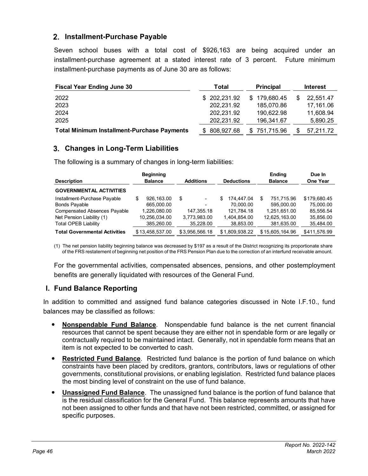### **Installment-Purchase Payable**

Seven school buses with a total cost of \$926,163 are being acquired under an installment-purchase agreement at a stated interest rate of 3 percent. Future minimum installment-purchase payments as of June 30 are as follows:

| <b>Fiscal Year Ending June 30</b>                  | Total        | <b>Principal</b> | <b>Interest</b> |
|----------------------------------------------------|--------------|------------------|-----------------|
| 2022                                               | \$202,231.92 | \$179,680.45     | 22.551.47       |
| 2023                                               | 202,231.92   | 185,070.86       | 17.161.06       |
| 2024                                               | 202,231.92   | 190,622.98       | 11,608.94       |
| 2025                                               | 202,231.92   | 196,341.67       | 5,890.25        |
| <b>Total Minimum Installment-Purchase Payments</b> | \$808,927.68 | \$751,715.96     | 57.211.72       |

### **Changes in Long-Term Liabilities**

The following is a summary of changes in long-term liabilities:

| <b>Description</b>                   | <b>Beginning</b><br><b>Balance</b> | <b>Additions</b> | <b>Deductions</b> | <b>Ending</b><br><b>Balance</b> | Due In<br><b>One Year</b> |
|--------------------------------------|------------------------------------|------------------|-------------------|---------------------------------|---------------------------|
| <b>GOVERNMENTAL ACTIVITIES</b>       |                                    |                  |                   |                                 |                           |
| Installment-Purchase Payable         | 926.163.00<br>\$                   | \$<br>۰          | 174.447.04<br>S   | 751.715.96<br>S                 | \$179.680.45              |
| <b>Bonds Payable</b>                 | 665,000.00                         | ٠                | 70,000.00         | 595.000.00                      | 75,000.00                 |
| <b>Compensated Absences Payable</b>  | 1.226.080.00                       | 147.355.18       | 121.784.18        | 1.251.651.00                    | 85.556.54                 |
| Net Pension Liability (1)            | 10,256,034.00                      | 3.773.983.00     | 1.404.854.00      | 12.625.163.00                   | 35,856.00                 |
| <b>Total OPEB Liability</b>          | 385,260.00                         | 35.228.00        | 38,853.00         | 381,635.00                      | 35,484.00                 |
| <b>Total Governmental Activities</b> | \$13,458,537.00                    | \$3,956,566.18   | \$1,809,938.22    | \$15,605,164.96                 | \$411,576.99              |

(1) The net pension liability beginning balance was decreased by \$197 as a result of the District recognizing its proportionate share of the FRS restatement of beginning net position of the FRS Pension Plan due to the correction of an interfund receivable amount.

For the governmental activities, compensated absences, pensions, and other postemployment benefits are generally liquidated with resources of the General Fund.

### **I. Fund Balance Reporting**

In addition to committed and assigned fund balance categories discussed in Note I.F.10., fund balances may be classified as follows:

- **Nonspendable Fund Balance**. Nonspendable fund balance is the net current financial resources that cannot be spent because they are either not in spendable form or are legally or contractually required to be maintained intact. Generally, not in spendable form means that an item is not expected to be converted to cash.
- **Restricted Fund Balance**. Restricted fund balance is the portion of fund balance on which constraints have been placed by creditors, grantors, contributors, laws or regulations of other governments, constitutional provisions, or enabling legislation. Restricted fund balance places the most binding level of constraint on the use of fund balance.
- **Unassigned Fund Balance**. The unassigned fund balance is the portion of fund balance that is the residual classification for the General Fund. This balance represents amounts that have not been assigned to other funds and that have not been restricted, committed, or assigned for specific purposes.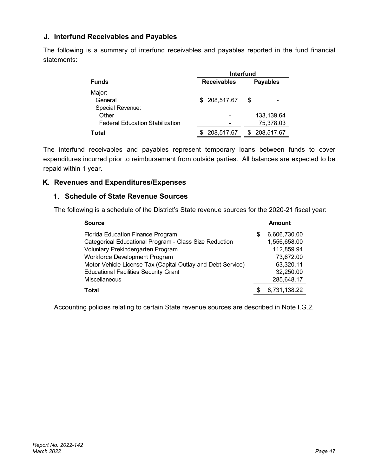### **J. Interfund Receivables and Payables**

The following is a summary of interfund receivables and payables reported in the fund financial statements:

|                                        | <b>Interfund</b>   |                 |  |  |  |  |  |
|----------------------------------------|--------------------|-----------------|--|--|--|--|--|
| <b>Funds</b>                           | <b>Receivables</b> | <b>Payables</b> |  |  |  |  |  |
| Major:                                 |                    |                 |  |  |  |  |  |
| General                                | \$ 208,517.67      | S               |  |  |  |  |  |
| Special Revenue:                       |                    |                 |  |  |  |  |  |
| Other                                  |                    | 133,139.64      |  |  |  |  |  |
| <b>Federal Education Stabilization</b> |                    | 75,378.03       |  |  |  |  |  |
| Total                                  | 208,517.67         | 208,517.67      |  |  |  |  |  |

The interfund receivables and payables represent temporary loans between funds to cover expenditures incurred prior to reimbursement from outside parties. All balances are expected to be repaid within 1 year.

### **K. Revenues and Expenditures/Expenses**

### **Schedule of State Revenue Sources**

The following is a schedule of the District's State revenue sources for the 2020-21 fiscal year:

| <b>Source</b>                                               |   | <b>Amount</b> |
|-------------------------------------------------------------|---|---------------|
| Florida Education Finance Program                           | S | 6,606,730.00  |
| Categorical Educational Program - Class Size Reduction      |   | 1,556,658.00  |
| Voluntary Prekindergarten Program                           |   | 112,859.94    |
| Workforce Development Program                               |   | 73,672.00     |
| Motor Vehicle License Tax (Capital Outlay and Debt Service) |   | 63,320.11     |
| <b>Educational Facilities Security Grant</b>                |   | 32,250.00     |
| Miscellaneous                                               |   | 285,648.17    |
| Total                                                       |   | 8,731,138.22  |

Accounting policies relating to certain State revenue sources are described in Note I.G.2.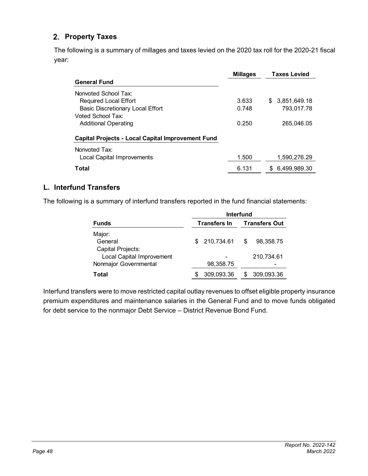### **Property Taxes**

The following is a summary of millages and taxes levied on the 2020 tax roll for the 2020-21 fiscal year:

|                                                          | <b>Millages</b> | <b>Taxes Levied</b> |
|----------------------------------------------------------|-----------------|---------------------|
| <b>General Fund</b>                                      |                 |                     |
| Nonvoted School Tax:                                     |                 |                     |
| <b>Required Local Effort</b>                             | 3.633           | 3.851.649.18<br>\$. |
| <b>Basic Discretionary Local Effort</b>                  | 0.748           | 793,017.78          |
| Voted School Tax:                                        |                 |                     |
| <b>Additional Operating</b>                              | 0.250           | 265.046.05          |
| <b>Capital Projects - Local Capital Improvement Fund</b> |                 |                     |
| Nonvoted Tax:                                            |                 |                     |
| Local Capital Improvements                               | 1.500           | 1,590,276.29        |
| Total                                                    | 6.131           | \$ 6.499.989.30     |

### **L. Interfund Transfers**

The following is a summary of interfund transfers reported in the fund financial statements:

|                                  |                     | <b>Interfund</b>     |  |  |  |  |
|----------------------------------|---------------------|----------------------|--|--|--|--|
| <b>Funds</b>                     | <b>Transfers In</b> | <b>Transfers Out</b> |  |  |  |  |
| Major:                           |                     |                      |  |  |  |  |
| General                          | \$210,734.61        | 98,358.75<br>S       |  |  |  |  |
| Capital Projects:                |                     |                      |  |  |  |  |
| <b>Local Capital Improvement</b> |                     | 210,734.61           |  |  |  |  |
| Nonmajor Governmental            | 98,358.75           |                      |  |  |  |  |
| Total                            | 309,093.36          | 309,093.36           |  |  |  |  |

Interfund transfers were to move restricted capital outlay revenues to offset eligible property insurance premium expenditures and maintenance salaries in the General Fund and to move funds obligated for debt service to the nonmajor Debt Service – District Revenue Bond Fund.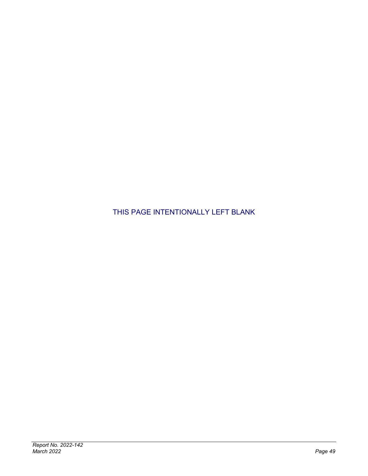THIS PAGE INTENTIONALLY LEFT BLANK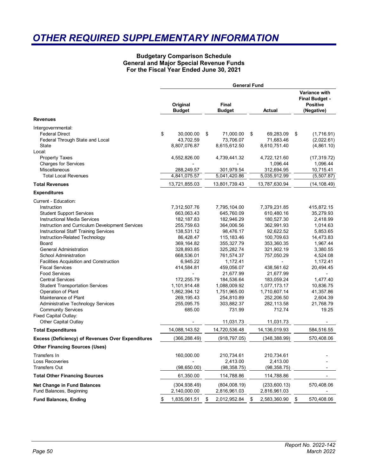# *OTHER REQUIRED SUPPLEMENTARY INFORMATION*

#### **Budgetary Comparison Schedule General and Major Special Revenue Funds For the Fiscal Year Ended June 30, 2021**

|                                                                                                                                                                                                                                                                                                                                                                                                                                                                                                                                                                                                                                                                         | <b>General Fund</b> |                                                                                                                                                                                                                                             |    |                                                                                                                                                                                                                                                                     |    |                                                                                                                                                                                                                                                         |    |                                                                                                                                                                                                               |
|-------------------------------------------------------------------------------------------------------------------------------------------------------------------------------------------------------------------------------------------------------------------------------------------------------------------------------------------------------------------------------------------------------------------------------------------------------------------------------------------------------------------------------------------------------------------------------------------------------------------------------------------------------------------------|---------------------|---------------------------------------------------------------------------------------------------------------------------------------------------------------------------------------------------------------------------------------------|----|---------------------------------------------------------------------------------------------------------------------------------------------------------------------------------------------------------------------------------------------------------------------|----|---------------------------------------------------------------------------------------------------------------------------------------------------------------------------------------------------------------------------------------------------------|----|---------------------------------------------------------------------------------------------------------------------------------------------------------------------------------------------------------------|
|                                                                                                                                                                                                                                                                                                                                                                                                                                                                                                                                                                                                                                                                         |                     | Original<br><b>Budget</b>                                                                                                                                                                                                                   |    | <b>Final</b><br><b>Budget</b>                                                                                                                                                                                                                                       |    | Actual                                                                                                                                                                                                                                                  |    | <b>Variance with</b><br><b>Final Budget -</b><br><b>Positive</b><br>(Negative)                                                                                                                                |
| <b>Revenues</b>                                                                                                                                                                                                                                                                                                                                                                                                                                                                                                                                                                                                                                                         |                     |                                                                                                                                                                                                                                             |    |                                                                                                                                                                                                                                                                     |    |                                                                                                                                                                                                                                                         |    |                                                                                                                                                                                                               |
| Intergovernmental:<br><b>Federal Direct</b><br>Federal Through State and Local                                                                                                                                                                                                                                                                                                                                                                                                                                                                                                                                                                                          | \$                  | 30,000.00<br>43,702.59                                                                                                                                                                                                                      | \$ | 71,000.00<br>73,706.07                                                                                                                                                                                                                                              | \$ | 69,283.09<br>71,683.46                                                                                                                                                                                                                                  | \$ | (1,716.91)<br>(2,022.61)                                                                                                                                                                                      |
| State<br>Local:<br><b>Property Taxes</b><br><b>Charges for Services</b><br>Miscellaneous<br><b>Total Local Revenues</b>                                                                                                                                                                                                                                                                                                                                                                                                                                                                                                                                                 |                     | 8,807,076.87<br>4,552,826.00<br>288,249.57<br>4,841,075.57                                                                                                                                                                                  |    | 8,615,612.50<br>4,739,441.32<br>301,979.54<br>5,041,420.86                                                                                                                                                                                                          |    | 8,610,751.40<br>4,722,121.60<br>1,096.44<br>312,694.95<br>5,035,912.99                                                                                                                                                                                  |    | (4,861.10)<br>(17, 319.72)<br>1,096.44<br>10,715.41<br>(5,507.87)                                                                                                                                             |
| <b>Total Revenues</b>                                                                                                                                                                                                                                                                                                                                                                                                                                                                                                                                                                                                                                                   |                     | 13,721,855.03                                                                                                                                                                                                                               |    | 13,801,739.43                                                                                                                                                                                                                                                       |    | 13,787,630.94                                                                                                                                                                                                                                           |    | (14, 108.49)                                                                                                                                                                                                  |
| <b>Expenditures</b>                                                                                                                                                                                                                                                                                                                                                                                                                                                                                                                                                                                                                                                     |                     |                                                                                                                                                                                                                                             |    |                                                                                                                                                                                                                                                                     |    |                                                                                                                                                                                                                                                         |    |                                                                                                                                                                                                               |
| Current - Education:<br>Instruction<br><b>Student Support Services</b><br><b>Instructional Media Services</b><br>Instruction and Curriculum Development Services<br><b>Instructional Staff Training Services</b><br>Instruction-Related Technology<br>Board<br><b>General Administration</b><br><b>School Administration</b><br>Facilities Acquisition and Construction<br><b>Fiscal Services</b><br><b>Food Services</b><br><b>Central Services</b><br><b>Student Transportation Services</b><br>Operation of Plant<br>Maintenance of Plant<br><b>Administrative Technology Services</b><br><b>Community Services</b><br>Fixed Capital Outlay:<br>Other Capital Outlay |                     | 7,312,507.76<br>663,063.43<br>182, 187.83<br>255,759.63<br>138,531.12<br>86,428.47<br>369,164.82<br>328,893.85<br>668,536.01<br>6,945.22<br>414,584.81<br>172,255.79<br>1,101,914.48<br>1,862,394.12<br>269, 195.43<br>255,095.75<br>685.00 |    | 7,795,104.00<br>645,760.09<br>182,946.29<br>364,006.56<br>98,476.17<br>115,183.46<br>355,327.79<br>325,282.74<br>761,574.37<br>1,172.41<br>459,056.07<br>21,677.99<br>184,536.64<br>1,088,009.92<br>1,751,965.00<br>254,810.89<br>303,882.37<br>731.99<br>11,031.73 |    | 7,379,231.85<br>610,480.16<br>180,527.30<br>362,991.93<br>92,622.52<br>100,709.63<br>353,360.35<br>321,902.19<br>757,050.29<br>438,561.62<br>21,677.99<br>183,059.24<br>1,077,173.17<br>1,710,607.14<br>252,206.50<br>282,113.58<br>712.74<br>11,031.73 |    | 415,872.15<br>35,279.93<br>2,418.99<br>1,014.63<br>5,853.65<br>14,473.83<br>1,967.44<br>3,380.55<br>4,524.08<br>1,172.41<br>20,494.45<br>1,477.40<br>10,836.75<br>41,357.86<br>2,604.39<br>21,768.79<br>19.25 |
| <b>Total Expenditures</b>                                                                                                                                                                                                                                                                                                                                                                                                                                                                                                                                                                                                                                               |                     | 14,088,143.52                                                                                                                                                                                                                               |    | 14,720,536.48                                                                                                                                                                                                                                                       |    | 14,136,019.93                                                                                                                                                                                                                                           |    | 584,516.55                                                                                                                                                                                                    |
| <b>Excess (Deficiency) of Revenues Over Expenditures</b>                                                                                                                                                                                                                                                                                                                                                                                                                                                                                                                                                                                                                |                     | (366, 288.49)                                                                                                                                                                                                                               |    | (918, 797.05)                                                                                                                                                                                                                                                       |    | (348, 388.99)                                                                                                                                                                                                                                           |    | 570,408.06                                                                                                                                                                                                    |
| <b>Other Financing Sources (Uses)</b><br>Transfers In<br>Loss Recoveries<br><b>Transfers Out</b>                                                                                                                                                                                                                                                                                                                                                                                                                                                                                                                                                                        |                     | 160,000.00<br>(98, 650.00)                                                                                                                                                                                                                  |    | 210,734.61<br>2,413.00<br>(98, 358.75)                                                                                                                                                                                                                              |    | 210,734.61<br>2,413.00<br>(98, 358.75)                                                                                                                                                                                                                  |    |                                                                                                                                                                                                               |
| <b>Total Other Financing Sources</b>                                                                                                                                                                                                                                                                                                                                                                                                                                                                                                                                                                                                                                    |                     | 61,350.00                                                                                                                                                                                                                                   |    | 114,788.86                                                                                                                                                                                                                                                          |    | 114,788.86                                                                                                                                                                                                                                              |    |                                                                                                                                                                                                               |
| <b>Net Change in Fund Balances</b><br>Fund Balances, Beginning                                                                                                                                                                                                                                                                                                                                                                                                                                                                                                                                                                                                          |                     | (304, 938.49)<br>2,140,000.00                                                                                                                                                                                                               |    | (804,008.19)<br>2,816,961.03                                                                                                                                                                                                                                        |    | (233,600.13)<br>2,816,961.03                                                                                                                                                                                                                            |    | 570,408.06                                                                                                                                                                                                    |
| <b>Fund Balances, Ending</b>                                                                                                                                                                                                                                                                                                                                                                                                                                                                                                                                                                                                                                            | \$                  | 1,835,061.51                                                                                                                                                                                                                                | \$ | 2,012,952.84                                                                                                                                                                                                                                                        | \$ | 2,583,360.90                                                                                                                                                                                                                                            | \$ | 570,408.06                                                                                                                                                                                                    |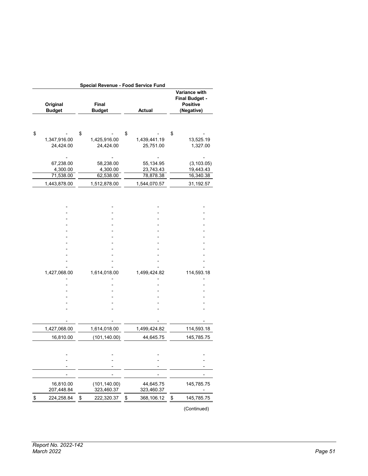|                           |               | Special Revenue - Food Service Fund |                  |               |                                                                         |
|---------------------------|---------------|-------------------------------------|------------------|---------------|-------------------------------------------------------------------------|
| Original<br><b>Budget</b> |               | Final<br><b>Budget</b>              | <b>Actual</b>    |               | <b>Variance with</b><br>Final Budget -<br><b>Positive</b><br>(Negative) |
|                           |               |                                     |                  |               |                                                                         |
|                           |               |                                     |                  |               |                                                                         |
| \$                        | \$            |                                     | \$               | \$            |                                                                         |
| 1,347,916.00              |               | 1,425,916.00                        | 1,439,441.19     |               | 13,525.19                                                               |
| 24,424.00                 |               | 24,424.00                           | 25,751.00        |               | 1,327.00                                                                |
|                           |               |                                     |                  |               |                                                                         |
| 67,238.00                 |               | 58,238.00                           | 55, 134.95       |               | (3, 103.05)                                                             |
| 4,300.00                  |               | 4,300.00                            | 23,743.43        |               | 19,443.43                                                               |
| 71,538.00                 |               | 62,538.00                           | 78,878.38        |               | 16,340.38                                                               |
| 1,443,878.00              |               | 1,512,878.00                        | 1,544,070.57     |               | 31,192.57                                                               |
|                           |               |                                     |                  |               |                                                                         |
|                           |               |                                     |                  |               |                                                                         |
|                           |               |                                     |                  |               |                                                                         |
|                           |               |                                     |                  |               |                                                                         |
|                           |               |                                     |                  |               |                                                                         |
|                           |               |                                     |                  |               |                                                                         |
|                           |               |                                     |                  |               |                                                                         |
|                           |               |                                     |                  |               |                                                                         |
|                           |               |                                     |                  |               |                                                                         |
|                           |               |                                     |                  |               |                                                                         |
|                           |               |                                     |                  |               |                                                                         |
|                           |               |                                     |                  |               |                                                                         |
| 1,427,068.00              |               | 1,614,018.00                        | 1,499,424.82     |               | 114,593.18                                                              |
|                           |               |                                     |                  |               |                                                                         |
|                           |               |                                     |                  |               |                                                                         |
|                           |               |                                     |                  |               |                                                                         |
|                           |               |                                     |                  |               |                                                                         |
|                           |               |                                     |                  |               |                                                                         |
|                           |               |                                     |                  |               |                                                                         |
|                           |               |                                     |                  |               |                                                                         |
| 1,427,068.00              |               | 1,614,018.00                        | 1,499,424.82     |               | 114,593.18                                                              |
| 16,810.00                 |               | (101, 140.00)                       | 44,645.75        |               | 145,785.75                                                              |
|                           |               |                                     |                  |               |                                                                         |
|                           |               |                                     |                  |               |                                                                         |
|                           |               |                                     |                  |               |                                                                         |
|                           |               |                                     |                  |               |                                                                         |
|                           |               |                                     |                  |               |                                                                         |
|                           |               |                                     | 44,645.75        |               |                                                                         |
| 16,810.00<br>207,448.84   |               | (101, 140.00)<br>323,460.37         | 323,460.37       |               | 145,785.75                                                              |
| 224,258.84                | $\frac{1}{2}$ | 222,320.37                          | \$<br>368,106.12 | $\frac{1}{2}$ | 145,785.75                                                              |

|  | (Continued) |
|--|-------------|
|--|-------------|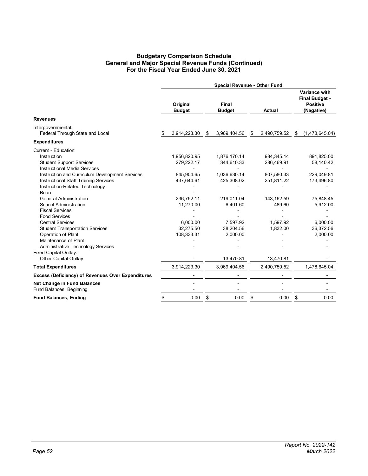#### **Budgetary Comparison Schedule General and Major Special Revenue Funds (Continued) For the Fiscal Year Ended June 30, 2021**

|                                                                                                                                                                                                                                                                                                                                                                                                                                                                                                                                         |                           |                                                                                                                          |     | Special Revenue - Other Fund                                                                                            |      |                                                                                                        |      |                                                                                                                   |  |
|-----------------------------------------------------------------------------------------------------------------------------------------------------------------------------------------------------------------------------------------------------------------------------------------------------------------------------------------------------------------------------------------------------------------------------------------------------------------------------------------------------------------------------------------|---------------------------|--------------------------------------------------------------------------------------------------------------------------|-----|-------------------------------------------------------------------------------------------------------------------------|------|--------------------------------------------------------------------------------------------------------|------|-------------------------------------------------------------------------------------------------------------------|--|
|                                                                                                                                                                                                                                                                                                                                                                                                                                                                                                                                         | Original<br><b>Budget</b> |                                                                                                                          |     | Final<br><b>Budget</b>                                                                                                  |      | <b>Actual</b>                                                                                          |      | <b>Variance with</b><br><b>Final Budget -</b><br><b>Positive</b><br>(Negative)                                    |  |
| <b>Revenues</b>                                                                                                                                                                                                                                                                                                                                                                                                                                                                                                                         |                           |                                                                                                                          |     |                                                                                                                         |      |                                                                                                        |      |                                                                                                                   |  |
| Intergovernmental:<br>Federal Through State and Local                                                                                                                                                                                                                                                                                                                                                                                                                                                                                   |                           | 3,914,223.30                                                                                                             | -\$ | 3,969,404.56                                                                                                            | - \$ | 2,490,759.52                                                                                           | - \$ | (1,478,645.04)                                                                                                    |  |
| <b>Expenditures</b>                                                                                                                                                                                                                                                                                                                                                                                                                                                                                                                     |                           |                                                                                                                          |     |                                                                                                                         |      |                                                                                                        |      |                                                                                                                   |  |
| Current - Education:<br>Instruction<br><b>Student Support Services</b><br><b>Instructional Media Services</b><br>Instruction and Curriculum Development Services<br><b>Instructional Staff Training Services</b><br>Instruction-Related Technology<br>Board<br><b>General Administration</b><br>School Administration<br><b>Fiscal Services</b><br><b>Food Services</b><br><b>Central Services</b><br><b>Student Transportation Services</b><br>Operation of Plant<br>Maintenance of Plant<br><b>Administrative Technology Services</b> |                           | 1,956,820.95<br>279,222.17<br>845,904.65<br>437,644.61<br>236,752.11<br>11,270.00<br>6,000.00<br>32,275.50<br>108,333.31 |     | 1,876,170.14<br>344,610.33<br>1,036,630.14<br>425,308.02<br>219,011.04<br>6,401.60<br>7,597.92<br>38,204.56<br>2,000.00 |      | 984, 345.14<br>286,469.91<br>807,580.33<br>251,811.22<br>143, 162.59<br>489.60<br>1,597.92<br>1,832.00 |      | 891,825.00<br>58,140.42<br>229,049.81<br>173,496.80<br>75,848.45<br>5,912.00<br>6,000.00<br>36,372.56<br>2,000.00 |  |
| Fixed Capital Outlay:<br><b>Other Capital Outlay</b>                                                                                                                                                                                                                                                                                                                                                                                                                                                                                    |                           |                                                                                                                          |     | 13,470.81                                                                                                               |      | 13,470.81                                                                                              |      |                                                                                                                   |  |
| <b>Total Expenditures</b>                                                                                                                                                                                                                                                                                                                                                                                                                                                                                                               |                           | 3,914,223.30                                                                                                             |     | 3,969,404.56                                                                                                            |      | 2,490,759.52                                                                                           |      | 1,478,645.04                                                                                                      |  |
| <b>Excess (Deficiency) of Revenues Over Expenditures</b>                                                                                                                                                                                                                                                                                                                                                                                                                                                                                |                           |                                                                                                                          |     |                                                                                                                         |      |                                                                                                        |      |                                                                                                                   |  |
| Net Change in Fund Balances<br>Fund Balances, Beginning                                                                                                                                                                                                                                                                                                                                                                                                                                                                                 |                           |                                                                                                                          |     |                                                                                                                         |      |                                                                                                        |      |                                                                                                                   |  |
| <b>Fund Balances, Ending</b>                                                                                                                                                                                                                                                                                                                                                                                                                                                                                                            | \$                        | 0.00                                                                                                                     | \$  | 0.00                                                                                                                    | \$   | 0.00                                                                                                   | \$   | 0.00                                                                                                              |  |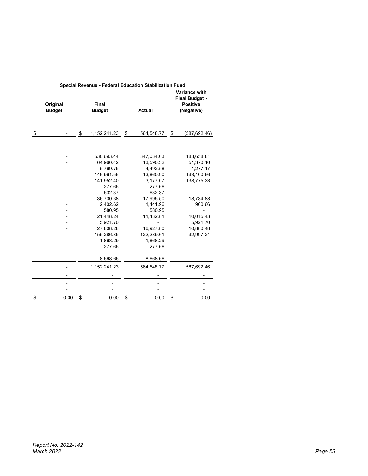| Special Revenue - Federal Education Stabilization Fund |                           |                               |              |    |               |                                                                  |               |  |  |  |
|--------------------------------------------------------|---------------------------|-------------------------------|--------------|----|---------------|------------------------------------------------------------------|---------------|--|--|--|
|                                                        | Original<br><b>Budget</b> | <b>Final</b><br><b>Budget</b> |              |    | <b>Actual</b> | Variance with<br>Final Budget -<br><b>Positive</b><br>(Negative) |               |  |  |  |
|                                                        |                           |                               |              |    |               |                                                                  |               |  |  |  |
| \$                                                     |                           | \$                            | 1,152,241.23 | \$ | 564,548.77    | \$                                                               | (587, 692.46) |  |  |  |
|                                                        |                           |                               |              |    |               |                                                                  |               |  |  |  |
|                                                        |                           |                               | 530,693.44   |    | 347,034.63    |                                                                  | 183,658.81    |  |  |  |
|                                                        |                           |                               | 64,960.42    |    | 13,590.32     |                                                                  | 51,370.10     |  |  |  |
|                                                        |                           |                               | 5,769.75     |    | 4,492.58      |                                                                  | 1,277.17      |  |  |  |
|                                                        |                           |                               | 146,961.56   |    | 13,860.90     |                                                                  | 133,100.66    |  |  |  |
|                                                        |                           |                               | 141,952.40   |    | 3,177.07      |                                                                  | 138,775.33    |  |  |  |
|                                                        |                           |                               | 277.66       |    | 277.66        |                                                                  |               |  |  |  |
|                                                        |                           |                               | 632.37       |    | 632.37        |                                                                  |               |  |  |  |
|                                                        |                           |                               | 36,730.38    |    | 17,995.50     |                                                                  | 18,734.88     |  |  |  |
|                                                        |                           |                               | 2,402.62     |    | 1,441.96      |                                                                  | 960.66        |  |  |  |
|                                                        |                           |                               | 580.95       |    | 580.95        |                                                                  |               |  |  |  |
|                                                        |                           |                               | 21,448.24    |    | 11,432.81     |                                                                  | 10,015.43     |  |  |  |
|                                                        |                           |                               | 5,921.70     |    |               |                                                                  | 5,921.70      |  |  |  |
|                                                        |                           |                               | 27.808.28    |    | 16,927.80     |                                                                  | 10,880.48     |  |  |  |
|                                                        |                           |                               | 155,286.85   |    | 122,289.61    |                                                                  | 32,997.24     |  |  |  |
|                                                        |                           |                               | 1,868.29     |    | 1,868.29      |                                                                  |               |  |  |  |
|                                                        |                           |                               | 277.66       |    | 277.66        |                                                                  |               |  |  |  |
|                                                        |                           |                               | 8,668.66     |    | 8,668.66      |                                                                  |               |  |  |  |
|                                                        |                           |                               | 1,152,241.23 |    | 564,548.77    |                                                                  | 587,692.46    |  |  |  |
|                                                        | -                         |                               |              |    |               |                                                                  |               |  |  |  |
|                                                        |                           |                               |              |    |               |                                                                  |               |  |  |  |
|                                                        |                           |                               |              |    |               |                                                                  |               |  |  |  |
| \$                                                     | 0.00                      | \$                            | 0.00         | \$ | 0.00          | \$                                                               | 0.00          |  |  |  |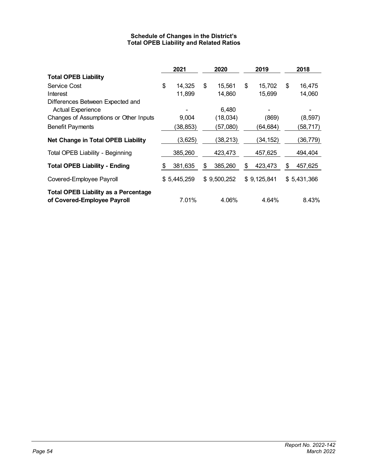#### **Schedule of Changes in the District's Total OPEB Liability and Related Ratios**

|                                                                            |    | 2021        | 2020          | 2019          | 2018          |
|----------------------------------------------------------------------------|----|-------------|---------------|---------------|---------------|
| <b>Total OPEB Liability</b>                                                |    |             |               |               |               |
| Service Cost                                                               | \$ | 14,325      | \$<br>15,561  | \$<br>15,702  | \$<br>16,475  |
| Interest                                                                   |    | 11,899      | 14,860        | 15,699        | 14,060        |
| Differences Between Expected and                                           |    |             |               |               |               |
| <b>Actual Experience</b>                                                   |    |             | 6,480         |               |               |
| Changes of Assumptions or Other Inputs                                     |    | 9,004       | (18,034)      | (869)         | (8, 597)      |
| <b>Benefit Payments</b>                                                    |    | (38, 853)   | (57,080)      | (64, 684)     | (58,717)      |
| Net Change in Total OPEB Liability                                         |    | (3,625)     | (38, 213)     | (34, 152)     | (36,779)      |
| Total OPEB Liability - Beginning                                           |    | 385,260     | 423,473       | 457,625       | 494,404       |
| <b>Total OPEB Liability - Ending</b>                                       | S  | 381,635     | \$<br>385,260 | \$<br>423,473 | \$<br>457,625 |
| Covered-Employee Payroll                                                   |    | \$5,445,259 | \$9,500,252   | \$9,125,841   | \$5,431,366   |
| <b>Total OPEB Liability as a Percentage</b><br>of Covered-Employee Payroll |    | 7.01%       | 4.06%         | 4.64%         | 8.43%         |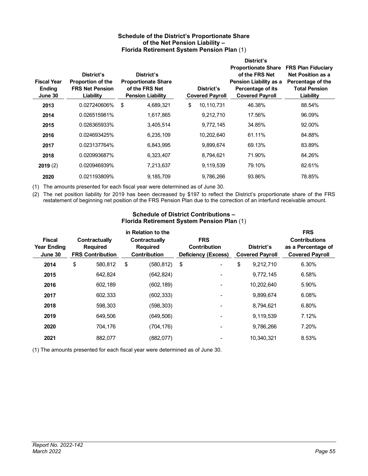#### **Schedule of the District's Proportionate Share of the Net Pension Liability – Florida Retirement System Pension Plan** (1)

| <b>Fiscal Year</b><br><b>Ending</b><br>June 30 | District's<br><b>Proportion of the</b><br><b>FRS Net Pension</b><br>Liability | District's<br><b>Proportionate Share</b><br>of the FRS Net<br><b>Pension Liability</b> | District's<br><b>Covered Payroll</b> | District's<br><b>Proportionate Share</b><br>of the FRS Net<br>Pension Liability as a<br>Percentage of its<br><b>Covered Payroll</b> | <b>FRS Plan Fiduciary</b><br>Net Position as a<br>Percentage of the<br><b>Total Pension</b><br>Liability |
|------------------------------------------------|-------------------------------------------------------------------------------|----------------------------------------------------------------------------------------|--------------------------------------|-------------------------------------------------------------------------------------------------------------------------------------|----------------------------------------------------------------------------------------------------------|
| 2013                                           | 0.027240606%                                                                  | \$<br>4,689,321                                                                        | \$<br>10,110,731                     | 46.38%                                                                                                                              | 88.54%                                                                                                   |
| 2014                                           | 0.026515981%                                                                  | 1,617,865                                                                              | 9,212,710                            | 17.56%                                                                                                                              | 96.09%                                                                                                   |
| 2015                                           | 0.026365933%                                                                  | 3,405,514                                                                              | 9,772,145                            | 34.85%                                                                                                                              | 92.00%                                                                                                   |
| 2016                                           | 0.024693425%                                                                  | 6,235,109                                                                              | 10,202,640                           | 61.11%                                                                                                                              | 84.88%                                                                                                   |
| 2017                                           | 0.023137764%                                                                  | 6,843,995                                                                              | 9,899,674                            | 69.13%                                                                                                                              | 83.89%                                                                                                   |
| 2018                                           | 0.020993687%                                                                  | 6,323,407                                                                              | 8,794,621                            | 71.90%                                                                                                                              | 84.26%                                                                                                   |
| 2019(2)                                        | 0.020946939%                                                                  | 7,213,637                                                                              | 9,119,539                            | 79.10%                                                                                                                              | 82.61%                                                                                                   |
| 2020                                           | 0.021193809%                                                                  | 9,185,709                                                                              | 9,786,266                            | 93.86%                                                                                                                              | 78.85%                                                                                                   |

(1) The amounts presented for each fiscal year were determined as of June 30.

(2) The net position liability for 2019 has been decreased by \$197 to reflect the District's proportionate share of the FRS restatement of beginning net position of the FRS Pension Plan due to the correction of an interfund receivable amount.

#### **Schedule of District Contributions – Florida Retirement System Pension Plan** (1)

| <b>Fiscal</b><br><b>Year Ending</b><br>June 30 | Contractually<br><b>Required</b><br><b>FRS Contribution</b> | in Relation to the<br>Contractually<br><b>Required</b><br><b>Contribution</b> | <b>FRS</b><br><b>Contribution</b><br><b>Deficiency (Excess)</b> | District's<br><b>Covered Payroll</b> | <b>FRS</b><br><b>Contributions</b><br>as a Percentage of<br><b>Covered Payroll</b> |
|------------------------------------------------|-------------------------------------------------------------|-------------------------------------------------------------------------------|-----------------------------------------------------------------|--------------------------------------|------------------------------------------------------------------------------------|
| 2014                                           | \$<br>580.812                                               | \$<br>(580, 812)                                                              | \$<br>$\blacksquare$                                            | \$<br>9,212,710                      | 6.30%                                                                              |
| 2015                                           | 642.824                                                     | (642, 824)                                                                    |                                                                 | 9.772.145                            | 6.58%                                                                              |
| 2016                                           | 602,189                                                     | (602,189)                                                                     |                                                                 | 10,202,640                           | 5.90%                                                                              |
| 2017                                           | 602,333                                                     | (602, 333)                                                                    |                                                                 | 9.899.674                            | 6.08%                                                                              |
| 2018                                           | 598,303                                                     | (598, 303)                                                                    |                                                                 | 8,794,621                            | 6.80%                                                                              |
| 2019                                           | 649.506                                                     | (649, 506)                                                                    |                                                                 | 9,119,539                            | 7.12%                                                                              |
| 2020                                           | 704.176                                                     | (704, 176)                                                                    |                                                                 | 9,786,266                            | 7.20%                                                                              |
| 2021                                           | 882.077                                                     | (882,077)                                                                     |                                                                 | 10,340,321                           | 8.53%                                                                              |

(1) The amounts presented for each fiscal year were determined as of June 30.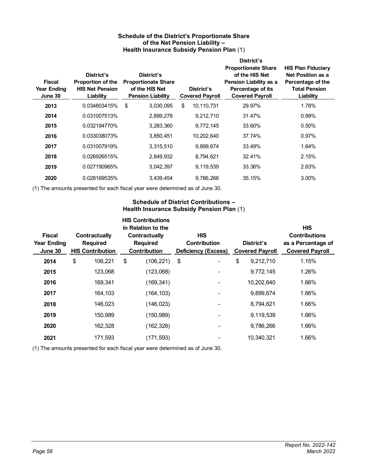#### **Schedule of the District's Proportionate Share of the Net Pension Liability – Health Insurance Subsidy Pension Plan** (1)

| <b>Fiscal</b><br><b>Year Ending</b><br>June 30 | District's<br><b>Proportion of the</b><br><b>HIS Net Pension</b><br>Liability | District's<br><b>Proportionate Share</b><br>of the HIS Net<br><b>Pension Liability</b> | District's<br><b>Covered Payroll</b> | District's<br><b>Proportionate Share</b><br>of the HIS Net<br>Pension Liability as a<br>Percentage of its<br><b>Covered Payroll</b> | <b>HIS Plan Fiduciary</b><br>Net Position as a<br>Percentage of the<br><b>Total Pension</b><br>Liability |
|------------------------------------------------|-------------------------------------------------------------------------------|----------------------------------------------------------------------------------------|--------------------------------------|-------------------------------------------------------------------------------------------------------------------------------------|----------------------------------------------------------------------------------------------------------|
| 2013                                           | 0.034803415%                                                                  | \$<br>3,030,095                                                                        | \$<br>10,110,731                     | 29.97%                                                                                                                              | 1.78%                                                                                                    |
| 2014                                           | 0.031007513%                                                                  | 2,899,278                                                                              | 9,212,710                            | 31.47%                                                                                                                              | 0.99%                                                                                                    |
| 2015                                           | 0.032194770%                                                                  | 3,283,360                                                                              | 9,772,145                            | 33.60%                                                                                                                              | 0.50%                                                                                                    |
| 2016                                           | 0.033038073%                                                                  | 3,850,451                                                                              | 10,202,640                           | 37.74%                                                                                                                              | 0.97%                                                                                                    |
| 2017                                           | 0.031007919%                                                                  | 3,315,510                                                                              | 9,899,674                            | 33.49%                                                                                                                              | 1.64%                                                                                                    |
| 2018                                           | 0.026926515%                                                                  | 2,849,932                                                                              | 8,794,621                            | 32.41%                                                                                                                              | 2.15%                                                                                                    |
| 2019                                           | 0.027190965%                                                                  | 3,042,397                                                                              | 9,119,539                            | 33.36%                                                                                                                              | 2.63%                                                                                                    |
| 2020                                           | 0.028169535%                                                                  | 3,439,454                                                                              | 9,786,266                            | 35.15%                                                                                                                              | 3.00%                                                                                                    |

(1) The amounts presented for each fiscal year were determined as of June 30.

#### **Schedule of District Contributions – Health Insurance Subsidy Pension Plan** (1)

| <b>Fiscal</b><br><b>Year Ending</b><br>June 30 | Contractually<br><b>Required</b><br><b>HIS Contribution</b> |         | <b>HIS Contributions</b><br>in Relation to the<br>Contractually<br><b>Required</b><br><b>Contribution</b> | <b>HIS</b><br><b>Contribution</b><br><b>Deficiency (Excess)</b> | District's<br><b>Covered Payroll</b> | <b>HIS</b><br><b>Contributions</b><br>as a Percentage of<br><b>Covered Payroll</b> |  |
|------------------------------------------------|-------------------------------------------------------------|---------|-----------------------------------------------------------------------------------------------------------|-----------------------------------------------------------------|--------------------------------------|------------------------------------------------------------------------------------|--|
| 2014                                           | \$                                                          | 106,221 | \$<br>(106, 221)                                                                                          | \$                                                              | \$<br>9,212,710                      | 1.15%                                                                              |  |
| 2015                                           |                                                             | 123,068 | (123,068)                                                                                                 |                                                                 | 9,772,145                            | 1.26%                                                                              |  |
| 2016                                           |                                                             | 169,341 | (169, 341)                                                                                                |                                                                 | 10,202,640                           | 1.66%                                                                              |  |
| 2017                                           |                                                             | 164,103 | (164, 103)                                                                                                | ۰                                                               | 9,899,674                            | 1.66%                                                                              |  |
| 2018                                           |                                                             | 146,023 | (146, 023)                                                                                                |                                                                 | 8,794,621                            | 1.66%                                                                              |  |
| 2019                                           |                                                             | 150,989 | (150, 989)                                                                                                |                                                                 | 9,119,539                            | 1.66%                                                                              |  |
| 2020                                           |                                                             | 162,328 | (162, 328)                                                                                                |                                                                 | 9,786,266                            | 1.66%                                                                              |  |
| 2021                                           |                                                             | 171,593 | (171, 593)                                                                                                |                                                                 | 10,340,321                           | 1.66%                                                                              |  |
|                                                |                                                             |         |                                                                                                           |                                                                 |                                      |                                                                                    |  |

(1) The amounts presented for each fiscal year were determined as of June 30.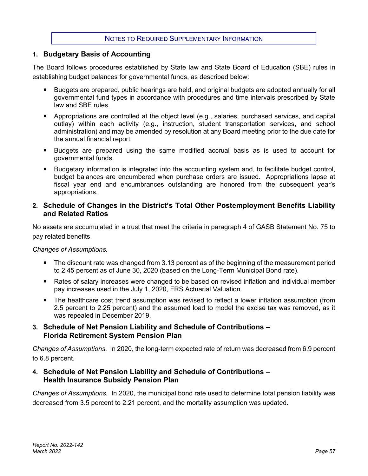#### NOTES TO REQUIRED SUPPLEMENTARY INFORMATION

### **1. Budgetary Basis of Accounting**

The Board follows procedures established by State law and State Board of Education (SBE) rules in establishing budget balances for governmental funds, as described below:

- Budgets are prepared, public hearings are held, and original budgets are adopted annually for all governmental fund types in accordance with procedures and time intervals prescribed by State law and SBE rules.
- Appropriations are controlled at the object level (e.g., salaries, purchased services, and capital outlay) within each activity (e.g., instruction, student transportation services, and school administration) and may be amended by resolution at any Board meeting prior to the due date for the annual financial report.
- Budgets are prepared using the same modified accrual basis as is used to account for governmental funds.
- Budgetary information is integrated into the accounting system and, to facilitate budget control, budget balances are encumbered when purchase orders are issued. Appropriations lapse at fiscal year end and encumbrances outstanding are honored from the subsequent year's appropriations.

### **2. Schedule of Changes in the District's Total Other Postemployment Benefits Liability and Related Ratios**

No assets are accumulated in a trust that meet the criteria in paragraph 4 of GASB Statement No. 75 to pay related benefits.

#### *Changes of Assumptions.*

- The discount rate was changed from 3.13 percent as of the beginning of the measurement period to 2.45 percent as of June 30, 2020 (based on the Long-Term Municipal Bond rate).
- Rates of salary increases were changed to be based on revised inflation and individual member pay increases used in the July 1, 2020, FRS Actuarial Valuation.
- The healthcare cost trend assumption was revised to reflect a lower inflation assumption (from 2.5 percent to 2.25 percent) and the assumed load to model the excise tax was removed, as it was repealed in December 2019.

#### **3. Schedule of Net Pension Liability and Schedule of Contributions – Florida Retirement System Pension Plan**

*Changes of Assumptions.* In 2020, the long-term expected rate of return was decreased from 6.9 percent to 6.8 percent.

### **4. Schedule of Net Pension Liability and Schedule of Contributions – Health Insurance Subsidy Pension Plan**

*Changes of Assumptions.* In 2020, the municipal bond rate used to determine total pension liability was decreased from 3.5 percent to 2.21 percent, and the mortality assumption was updated.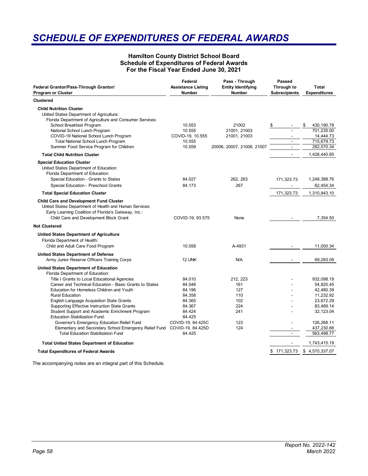## *SCHEDULE OF EXPENDITURES OF FEDERAL AWARDS*

#### **Hamilton County District School Board Schedule of Expenditures of Federal Awards For the Fiscal Year Ended June 30, 2021**

| Federal Grantor/Pass-Through Grantor/<br><b>Program or Cluster</b>                                                                                                                                                                                                                                                                                                                                                                                                                                                                                                                                       | Federal<br><b>Assistance Listing</b><br><b>Number</b>                                                                            | Pass - Through<br><b>Entity Identifying</b><br><b>Number</b>        | <b>Passed</b><br>Through to<br><b>Subrecipients</b> | Total<br><b>Expenditures</b>                                                                                                        |
|----------------------------------------------------------------------------------------------------------------------------------------------------------------------------------------------------------------------------------------------------------------------------------------------------------------------------------------------------------------------------------------------------------------------------------------------------------------------------------------------------------------------------------------------------------------------------------------------------------|----------------------------------------------------------------------------------------------------------------------------------|---------------------------------------------------------------------|-----------------------------------------------------|-------------------------------------------------------------------------------------------------------------------------------------|
| <b>Clustered</b>                                                                                                                                                                                                                                                                                                                                                                                                                                                                                                                                                                                         |                                                                                                                                  |                                                                     |                                                     |                                                                                                                                     |
| <b>Child Nutrition Cluster</b><br>United States Department of Agriculture:<br>Florida Department of Agriculture and Consumer Services:<br>School Breakfast Program<br>National School Lunch Program<br>COVID-19 National School Lunch Program<br><b>Total National School Lunch Program</b><br>Summer Food Service Program for Children                                                                                                                                                                                                                                                                  | 10.553<br>10.555<br>COVID-19, 10.555<br>10.555<br>10.559                                                                         | 21002<br>21001, 21003<br>21001, 21003<br>20006, 20007, 21006, 21007 |                                                     | 430, 190.78<br>\$<br>701.235.00<br>14,444.73<br>715,679.73<br>282,570.34                                                            |
| <b>Total Child Nutrition Cluster</b>                                                                                                                                                                                                                                                                                                                                                                                                                                                                                                                                                                     |                                                                                                                                  |                                                                     |                                                     | 1,428,440.85                                                                                                                        |
| <b>Special Education Cluster</b><br>United States Department of Education:<br>Florida Department of Education:<br>Special Education - Grants to States<br>Special Education - Preschool Grants                                                                                                                                                                                                                                                                                                                                                                                                           | 84.027<br>84.173                                                                                                                 | 262, 263<br>267                                                     | 171,323.73                                          | 1,248,388.76<br>62,454.34                                                                                                           |
| <b>Total Special Education Cluster</b>                                                                                                                                                                                                                                                                                                                                                                                                                                                                                                                                                                   |                                                                                                                                  |                                                                     | 171,323.73                                          | 1,310,843.10                                                                                                                        |
| <b>Child Care and Development Fund Cluster</b><br>United States Department of Health and Human Services:<br>Early Learning Coalition of Florida's Gateway, Inc.:<br>Child Care and Development Block Grant                                                                                                                                                                                                                                                                                                                                                                                               | COVID-19, 93.575                                                                                                                 | None                                                                |                                                     | 7.354.50                                                                                                                            |
| <b>Not Clustered</b>                                                                                                                                                                                                                                                                                                                                                                                                                                                                                                                                                                                     |                                                                                                                                  |                                                                     |                                                     |                                                                                                                                     |
| <b>United States Department of Agriculture</b><br>Florida Department of Health:<br>Child and Adult Care Food Program                                                                                                                                                                                                                                                                                                                                                                                                                                                                                     | 10.558                                                                                                                           | A-4931                                                              |                                                     | 11.000.34                                                                                                                           |
| <b>United States Department of Defense</b><br>Army Junior Reserve Officers Training Corps                                                                                                                                                                                                                                                                                                                                                                                                                                                                                                                | <b>12.UNK</b>                                                                                                                    | N/A                                                                 |                                                     | 69,283.09                                                                                                                           |
| United States Department of Education<br>Florida Department of Education:<br>Title I Grants to Local Educational Agencies<br>Career and Technical Education - Basic Grants to States<br>Education for Homeless Children and Youth<br><b>Rural Education</b><br>English Language Acquisition State Grants<br>Supporting Effective Instruction State Grants<br>Student Support and Academic Enrichment Program<br><b>Education Stabilization Fund:</b><br>Governor's Emergency Education Relief Fund<br>Elementary and Secondary School Emergency Relief Fund<br><b>Total Education Stabilization Fund</b> | 84.010<br>84.048<br>84.196<br>84.358<br>84.365<br>84.367<br>84.424<br>84.425<br>COVID-19, 84.425C<br>COVID-19, 84.425D<br>84.425 | 212, 223<br>161<br>127<br>110<br>102<br>224<br>241<br>123<br>124    | L,                                                  | 932,098.19<br>54,820.45<br>42,480.39<br>11,232.92<br>23,672.29<br>83,489.14<br>32, 123.04<br>126,268.11<br>437,230.66<br>563,498.77 |
| <b>Total United States Department of Education</b>                                                                                                                                                                                                                                                                                                                                                                                                                                                                                                                                                       |                                                                                                                                  |                                                                     | $\blacksquare$                                      | 1,743,415.19                                                                                                                        |
| <b>Total Expenditures of Federal Awards</b>                                                                                                                                                                                                                                                                                                                                                                                                                                                                                                                                                              |                                                                                                                                  |                                                                     |                                                     | \$171,323.73 \$4,570,337.07                                                                                                         |

The accompanying notes are an integral part of this Schedule.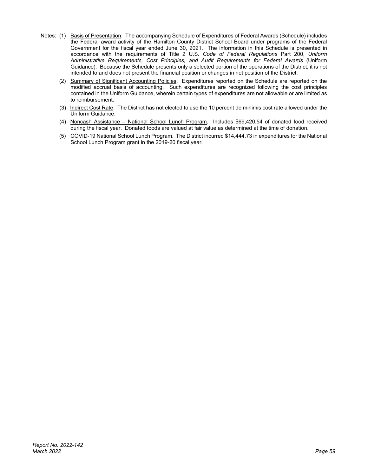- Notes: (1) Basis of Presentation. The accompanying Schedule of Expenditures of Federal Awards (Schedule) includes the Federal award activity of the Hamilton County District School Board under programs of the Federal Government for the fiscal year ended June 30, 2021. The information in this Schedule is presented in accordance with the requirements of Title 2 U.S. *Code of Federal Regulations* Part 200, *Uniform Administrative Requirements, Cost Principles, and Audit Requirements for Federal Awards* (Uniform Guidance). Because the Schedule presents only a selected portion of the operations of the District, it is not intended to and does not present the financial position or changes in net position of the District.
	- (2) Summary of Significant Accounting Policies. Expenditures reported on the Schedule are reported on the modified accrual basis of accounting. Such expenditures are recognized following the cost principles contained in the Uniform Guidance, wherein certain types of expenditures are not allowable or are limited as to reimbursement.
	- (3) Indirect Cost Rate. The District has not elected to use the 10 percent de minimis cost rate allowed under the Uniform Guidance.
	- (4) Noncash Assistance National School Lunch Program. Includes \$69,420.54 of donated food received during the fiscal year. Donated foods are valued at fair value as determined at the time of donation.
	- (5) COVID-19 National School Lunch Program. The District incurred \$14,444.73 in expenditures for the National School Lunch Program grant in the 2019-20 fiscal year.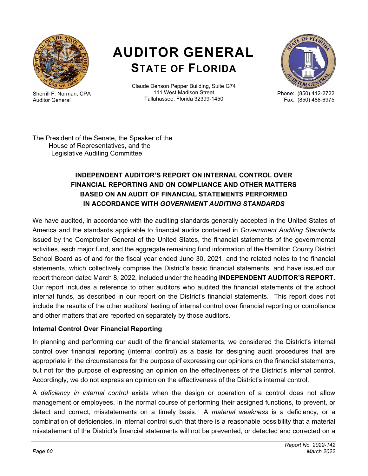

Sherrill F. Norman, CPA Auditor General

# **AUDITOR GENERAL STATE OF FLORIDA**

Claude Denson Pepper Building, Suite G74 111 West Madison Street Tallahassee, Florida 32399-1450



Phone: (850) 412-2722 Fax: (850) 488-6975

The President of the Senate, the Speaker of the House of Representatives, and the Legislative Auditing Committee

### **INDEPENDENT AUDITOR'S REPORT ON INTERNAL CONTROL OVER FINANCIAL REPORTING AND ON COMPLIANCE AND OTHER MATTERS BASED ON AN AUDIT OF FINANCIAL STATEMENTS PERFORMED IN ACCORDANCE WITH** *GOVERNMENT AUDITING STANDARDS*

We have audited, in accordance with the auditing standards generally accepted in the United States of America and the standards applicable to financial audits contained in *Government Auditing Standards* issued by the Comptroller General of the United States, the financial statements of the governmental activities, each major fund, and the aggregate remaining fund information of the Hamilton County District School Board as of and for the fiscal year ended June 30, 2021, and the related notes to the financial statements, which collectively comprise the District's basic financial statements, and have issued our report thereon dated March 8, 2022, included under the heading **INDEPENDENT AUDITOR'S REPORT**. Our report includes a reference to other auditors who audited the financial statements of the school internal funds, as described in our report on the District's financial statements. This report does not include the results of the other auditors' testing of internal control over financial reporting or compliance and other matters that are reported on separately by those auditors.

### **Internal Control Over Financial Reporting**

In planning and performing our audit of the financial statements, we considered the District's internal control over financial reporting (internal control) as a basis for designing audit procedures that are appropriate in the circumstances for the purpose of expressing our opinions on the financial statements, but not for the purpose of expressing an opinion on the effectiveness of the District's internal control. Accordingly, we do not express an opinion on the effectiveness of the District's internal control.

A *deficiency in internal control* exists when the design or operation of a control does not allow management or employees, in the normal course of performing their assigned functions, to prevent, or detect and correct, misstatements on a timely basis. A *material weakness* is a deficiency, or a combination of deficiencies, in internal control such that there is a reasonable possibility that a material misstatement of the District's financial statements will not be prevented, or detected and corrected on a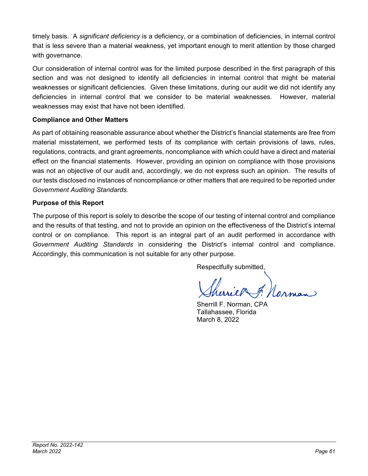timely basis. A *significant deficiency* is a deficiency, or a combination of deficiencies, in internal control that is less severe than a material weakness, yet important enough to merit attention by those charged with governance.

Our consideration of internal control was for the limited purpose described in the first paragraph of this section and was not designed to identify all deficiencies in internal control that might be material weaknesses or significant deficiencies. Given these limitations, during our audit we did not identify any deficiencies in internal control that we consider to be material weaknesses. However, material weaknesses may exist that have not been identified.

### **Compliance and Other Matters**

As part of obtaining reasonable assurance about whether the District's financial statements are free from material misstatement, we performed tests of its compliance with certain provisions of laws, rules, regulations, contracts, and grant agreements, noncompliance with which could have a direct and material effect on the financial statements. However, providing an opinion on compliance with those provisions was not an objective of our audit and, accordingly, we do not express such an opinion. The results of our tests disclosed no instances of noncompliance or other matters that are required to be reported under *Government Auditing Standards*.

### **Purpose of this Report**

The purpose of this report is solely to describe the scope of our testing of internal control and compliance and the results of that testing, and not to provide an opinion on the effectiveness of the District's internal control or on compliance. This report is an integral part of an audit performed in accordance with *Government Auditing Standards* in considering the District's internal control and compliance. Accordingly, this communication is not suitable for any other purpose.

Respectfully submitted,

Sherrill F. Norman, CPA Tallahassee, Florida March 8, 2022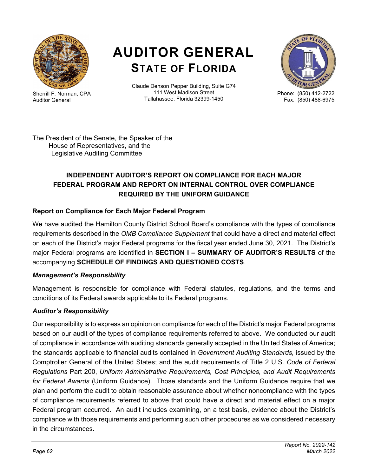

Sherrill F. Norman, CPA Auditor General

# **AUDITOR GENERAL STATE OF FLORIDA**

Claude Denson Pepper Building, Suite G74 111 West Madison Street Tallahassee, Florida 32399-1450



Phone: (850) 412-2722 Fax: (850) 488-6975

The President of the Senate, the Speaker of the House of Representatives, and the Legislative Auditing Committee

### **INDEPENDENT AUDITOR'S REPORT ON COMPLIANCE FOR EACH MAJOR FEDERAL PROGRAM AND REPORT ON INTERNAL CONTROL OVER COMPLIANCE REQUIRED BY THE UNIFORM GUIDANCE**

### **Report on Compliance for Each Major Federal Program**

We have audited the Hamilton County District School Board's compliance with the types of compliance requirements described in the *OMB Compliance Supplement* that could have a direct and material effect on each of the District's major Federal programs for the fiscal year ended June 30, 2021. The District's major Federal programs are identified in **SECTION I – SUMMARY OF AUDITOR'S RESULTS** of the accompanying **SCHEDULE OF FINDINGS AND QUESTIONED COSTS**.

### *Management's Responsibility*

Management is responsible for compliance with Federal statutes, regulations, and the terms and conditions of its Federal awards applicable to its Federal programs.

### *Auditor's Responsibility*

Our responsibility is to express an opinion on compliance for each of the District's major Federal programs based on our audit of the types of compliance requirements referred to above. We conducted our audit of compliance in accordance with auditing standards generally accepted in the United States of America; the standards applicable to financial audits contained in *Government Auditing Standards,* issued by the Comptroller General of the United States; and the audit requirements of Title 2 U.S. *Code of Federal Regulations* Part 200, *Uniform Administrative Requirements, Cost Principles, and Audit Requirements for Federal Awards* (Uniform Guidance). Those standards and the Uniform Guidance require that we plan and perform the audit to obtain reasonable assurance about whether noncompliance with the types of compliance requirements referred to above that could have a direct and material effect on a major Federal program occurred. An audit includes examining, on a test basis, evidence about the District's compliance with those requirements and performing such other procedures as we considered necessary in the circumstances.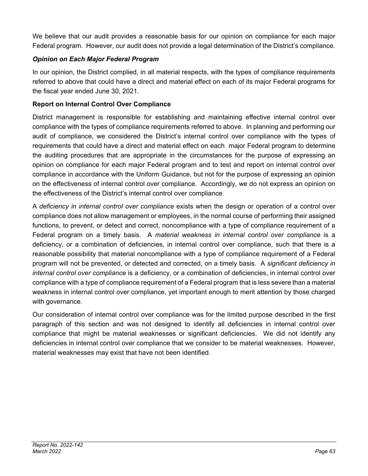We believe that our audit provides a reasonable basis for our opinion on compliance for each major Federal program. However, our audit does not provide a legal determination of the District's compliance.

### *Opinion on Each Major Federal Program*

In our opinion, the District complied, in all material respects, with the types of compliance requirements referred to above that could have a direct and material effect on each of its major Federal programs for the fiscal year ended June 30, 2021.

### **Report on Internal Control Over Compliance**

District management is responsible for establishing and maintaining effective internal control over compliance with the types of compliance requirements referred to above. In planning and performing our audit of compliance, we considered the District's internal control over compliance with the types of requirements that could have a direct and material effect on each major Federal program to determine the auditing procedures that are appropriate in the circumstances for the purpose of expressing an opinion on compliance for each major Federal program and to test and report on internal control over compliance in accordance with the Uniform Guidance, but not for the purpose of expressing an opinion on the effectiveness of internal control over compliance. Accordingly, we do not express an opinion on the effectiveness of the District's internal control over compliance.

A *deficiency in internal control over compliance* exists when the design or operation of a control over compliance does not allow management or employees, in the normal course of performing their assigned functions, to prevent, or detect and correct, noncompliance with a type of compliance requirement of a Federal program on a timely basis. A *material weakness in internal control over compliance* is a deficiency, or a combination of deficiencies, in internal control over compliance, such that there is a reasonable possibility that material noncompliance with a type of compliance requirement of a Federal program will not be prevented, or detected and corrected, on a timely basis. A *significant deficiency in internal control over compliance* is a deficiency, or a combination of deficiencies, in internal control over compliance with a type of compliance requirement of a Federal program that is less severe than a material weakness in internal control over compliance, yet important enough to merit attention by those charged with governance.

Our consideration of internal control over compliance was for the limited purpose described in the first paragraph of this section and was not designed to identify all deficiencies in internal control over compliance that might be material weaknesses or significant deficiencies. We did not identify any deficiencies in internal control over compliance that we consider to be material weaknesses. However, material weaknesses may exist that have not been identified.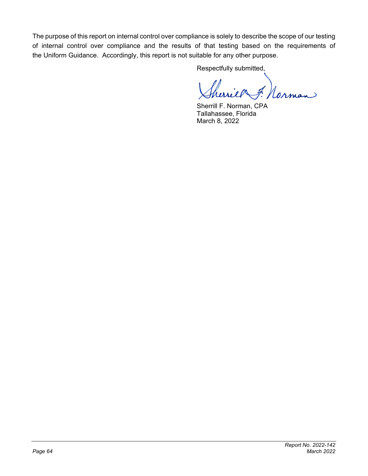The purpose of this report on internal control over compliance is solely to describe the scope of our testing of internal control over compliance and the results of that testing based on the requirements of the Uniform Guidance. Accordingly, this report is not suitable for any other purpose.

Respectfully submitted,

F. Norman

Sherrill F. Norman, CPA Tallahassee, Florida March 8, 2022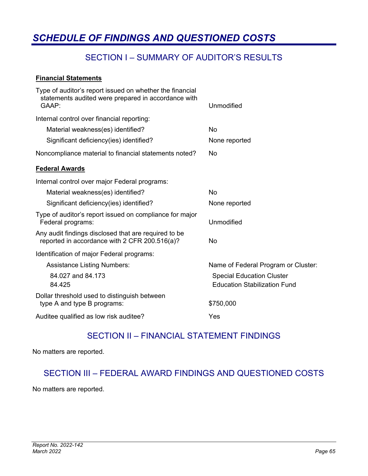# *SCHEDULE OF FINDINGS AND QUESTIONED COSTS*

### SECTION I – SUMMARY OF AUDITOR'S RESULTS

#### **Financial Statements**

| Type of auditor's report issued on whether the financial<br>statements audited were prepared in accordance with<br>GAAP: | Unmodified                                                              |  |  |  |  |
|--------------------------------------------------------------------------------------------------------------------------|-------------------------------------------------------------------------|--|--|--|--|
| Internal control over financial reporting:                                                                               |                                                                         |  |  |  |  |
| Material weakness(es) identified?                                                                                        | No                                                                      |  |  |  |  |
| Significant deficiency(ies) identified?                                                                                  | None reported                                                           |  |  |  |  |
| Noncompliance material to financial statements noted?                                                                    | <b>No</b>                                                               |  |  |  |  |
| <b>Federal Awards</b>                                                                                                    |                                                                         |  |  |  |  |
| Internal control over major Federal programs:                                                                            |                                                                         |  |  |  |  |
| Material weakness(es) identified?                                                                                        | No                                                                      |  |  |  |  |
| Significant deficiency(ies) identified?                                                                                  | None reported                                                           |  |  |  |  |
| Type of auditor's report issued on compliance for major<br>Federal programs:                                             | Unmodified                                                              |  |  |  |  |
| Any audit findings disclosed that are required to be<br>reported in accordance with 2 CFR 200.516(a)?                    | No                                                                      |  |  |  |  |
| Identification of major Federal programs:                                                                                |                                                                         |  |  |  |  |
| <b>Assistance Listing Numbers:</b>                                                                                       | Name of Federal Program or Cluster:                                     |  |  |  |  |
| 84.027 and 84.173<br>84.425                                                                                              | <b>Special Education Cluster</b><br><b>Education Stabilization Fund</b> |  |  |  |  |
| Dollar threshold used to distinguish between<br>type A and type B programs:                                              | \$750,000                                                               |  |  |  |  |
| Auditee qualified as low risk auditee?                                                                                   | Yes                                                                     |  |  |  |  |
|                                                                                                                          |                                                                         |  |  |  |  |

### SECTION II – FINANCIAL STATEMENT FINDINGS

No matters are reported.

### SECTION III – FEDERAL AWARD FINDINGS AND QUESTIONED COSTS

No matters are reported.